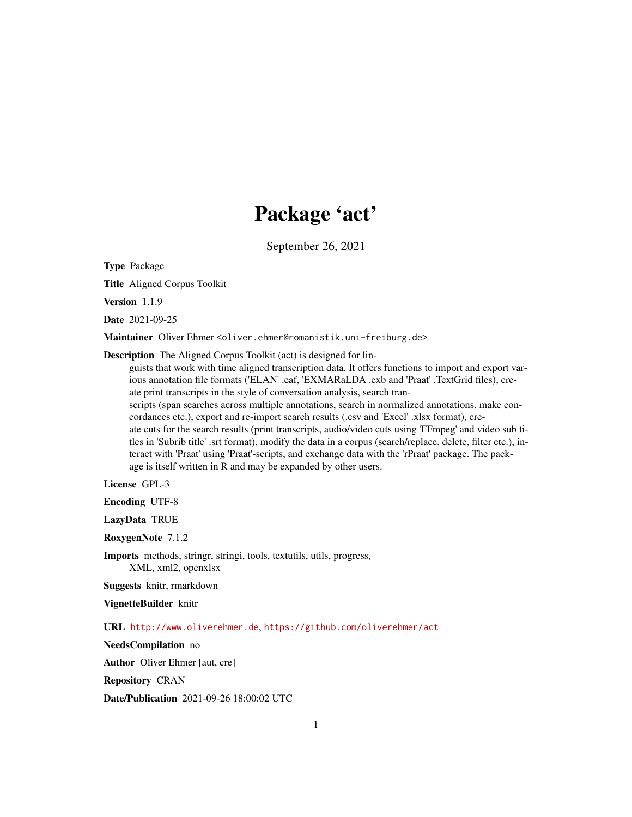# Package 'act'

September 26, 2021

Type Package

Title Aligned Corpus Toolkit

Version 1.1.9

Date 2021-09-25

Maintainer Oliver Ehmer <oliver.ehmer@romanistik.uni-freiburg.de>

Description The Aligned Corpus Toolkit (act) is designed for lin-

guists that work with time aligned transcription data. It offers functions to import and export various annotation file formats ('ELAN' .eaf, 'EXMARaLDA .exb and 'Praat' .TextGrid files), create print transcripts in the style of conversation analysis, search transcripts (span searches across multiple annotations, search in normalized annotations, make concordances etc.), export and re-import search results (.csv and 'Excel' .xlsx format), create cuts for the search results (print transcripts, audio/video cuts using 'FFmpeg' and video sub titles in 'Subrib title' .srt format), modify the data in a corpus (search/replace, delete, filter etc.), interact with 'Praat' using 'Praat'-scripts, and exchange data with the 'rPraat' package. The package is itself written in R and may be expanded by other users.

License GPL-3

Encoding UTF-8

LazyData TRUE

RoxygenNote 7.1.2

Imports methods, stringr, stringi, tools, textutils, utils, progress, XML, xml2, openxlsx

Suggests knitr, rmarkdown

VignetteBuilder knitr

URL <http://www.oliverehmer.de>, <https://github.com/oliverehmer/act>

NeedsCompilation no

Author Oliver Ehmer [aut, cre]

Repository CRAN

Date/Publication 2021-09-26 18:00:02 UTC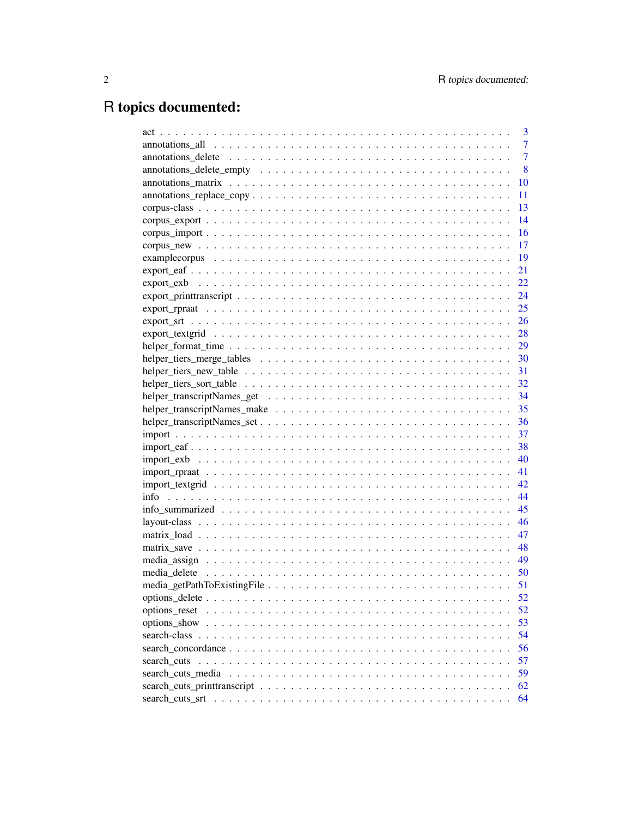# R topics documented:

| 3              |
|----------------|
| $\overline{7}$ |
| $\overline{7}$ |
| 8              |
| 10             |
| 11             |
| 13             |
| 14             |
| 16             |
| 17             |
| 19             |
| 21             |
| 22             |
| 24             |
| 25             |
| 26             |
| 28             |
| 29             |
| 30             |
| 31             |
| 32             |
| 34             |
| 35             |
| 36             |
| 37             |
| 38             |
| 40             |
| 41             |
| 42             |
| 44             |
| 45             |
| 46             |
| 47             |
| 48             |
| 49             |
| 50             |
| 51             |
| 52             |
| 52             |
| 53             |
| 54             |
| 56             |
| 57             |
| 59             |
| 62             |
| 64             |
|                |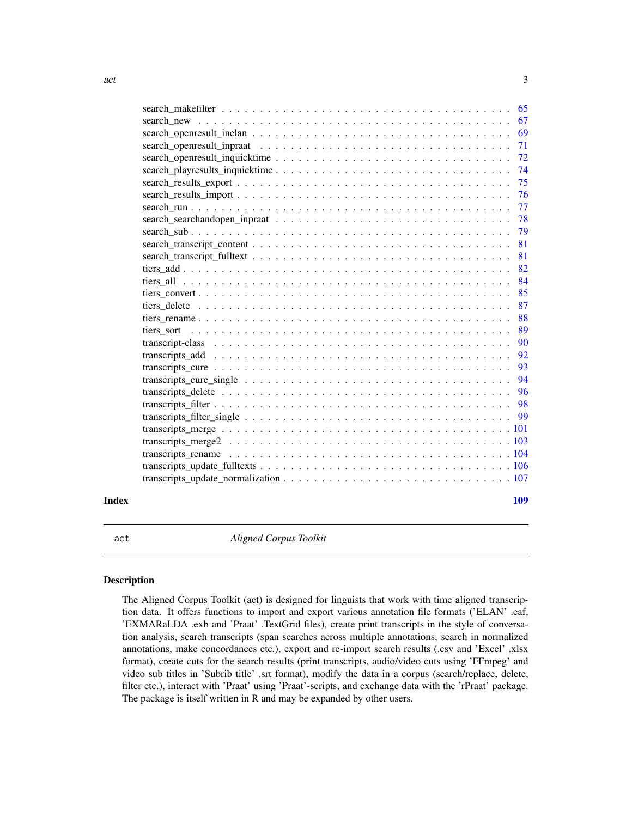<span id="page-2-0"></span>

|       | 71  |
|-------|-----|
|       | 72  |
|       | 74  |
|       | 75  |
|       | 76  |
|       | 77  |
|       | 78  |
|       | 79  |
|       | 81  |
|       | 81  |
|       | 82  |
|       | 84  |
|       | 85  |
|       | 87  |
|       | 88  |
|       | 89  |
|       | 90  |
|       | 92  |
|       | 93  |
|       | -94 |
|       | 96  |
|       | 98  |
|       |     |
|       |     |
|       |     |
|       |     |
|       |     |
|       |     |
|       |     |
| Index | 109 |

act *Aligned Corpus Toolkit*

#### Description

The Aligned Corpus Toolkit (act) is designed for linguists that work with time aligned transcription data. It offers functions to import and export various annotation file formats ('ELAN' .eaf, 'EXMARaLDA .exb and 'Praat' .TextGrid files), create print transcripts in the style of conversation analysis, search transcripts (span searches across multiple annotations, search in normalized annotations, make concordances etc.), export and re-import search results (.csv and 'Excel' .xlsx format), create cuts for the search results (print transcripts, audio/video cuts using 'FFmpeg' and video sub titles in 'Subrib title' .srt format), modify the data in a corpus (search/replace, delete, filter etc.), interact with 'Praat' using 'Praat'-scripts, and exchange data with the 'rPraat' package. The package is itself written in R and may be expanded by other users.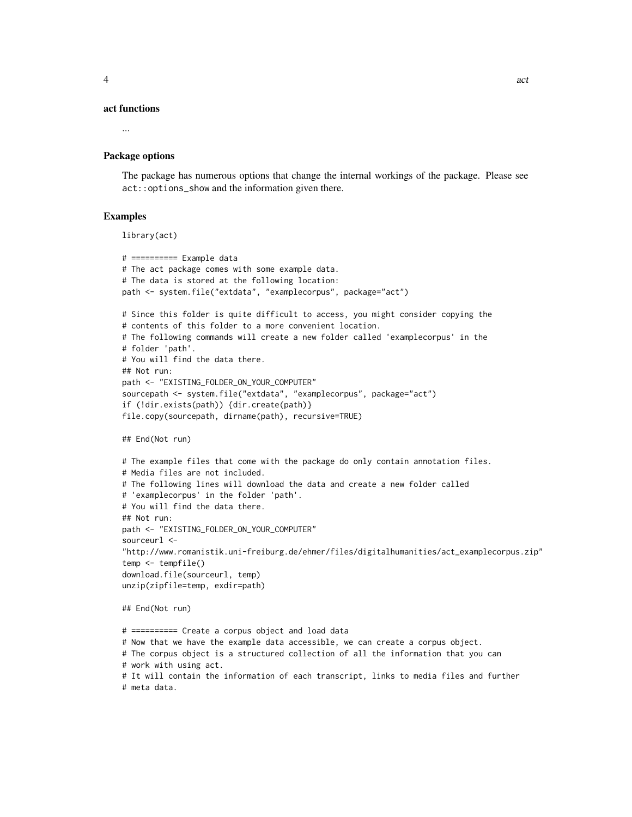#### act functions

...

#### Package options

The package has numerous options that change the internal workings of the package. Please see act::options\_show and the information given there.

# Examples

```
library(act)
```

```
# ========== Example data
# The act package comes with some example data.
# The data is stored at the following location:
path <- system.file("extdata", "examplecorpus", package="act")
# Since this folder is quite difficult to access, you might consider copying the
# contents of this folder to a more convenient location.
# The following commands will create a new folder called 'examplecorpus' in the
# folder 'path'.
# You will find the data there.
## Not run:
path <- "EXISTING_FOLDER_ON_YOUR_COMPUTER"
sourcepath <- system.file("extdata", "examplecorpus", package="act")
if (!dir.exists(path)) {dir.create(path)}
file.copy(sourcepath, dirname(path), recursive=TRUE)
## End(Not run)
# The example files that come with the package do only contain annotation files.
# Media files are not included.
# The following lines will download the data and create a new folder called
# 'examplecorpus' in the folder 'path'.
# You will find the data there.
## Not run:
path <- "EXISTING_FOLDER_ON_YOUR_COMPUTER"
sourceurl <-
"http://www.romanistik.uni-freiburg.de/ehmer/files/digitalhumanities/act_examplecorpus.zip"
temp <- tempfile()
download.file(sourceurl, temp)
unzip(zipfile=temp, exdir=path)
## End(Not run)
# ========== Create a corpus object and load data
```

```
# Now that we have the example data accessible, we can create a corpus object.
```
# The corpus object is a structured collection of all the information that you can # work with using act.

```
# It will contain the information of each transcript, links to media files and further
# meta data.
```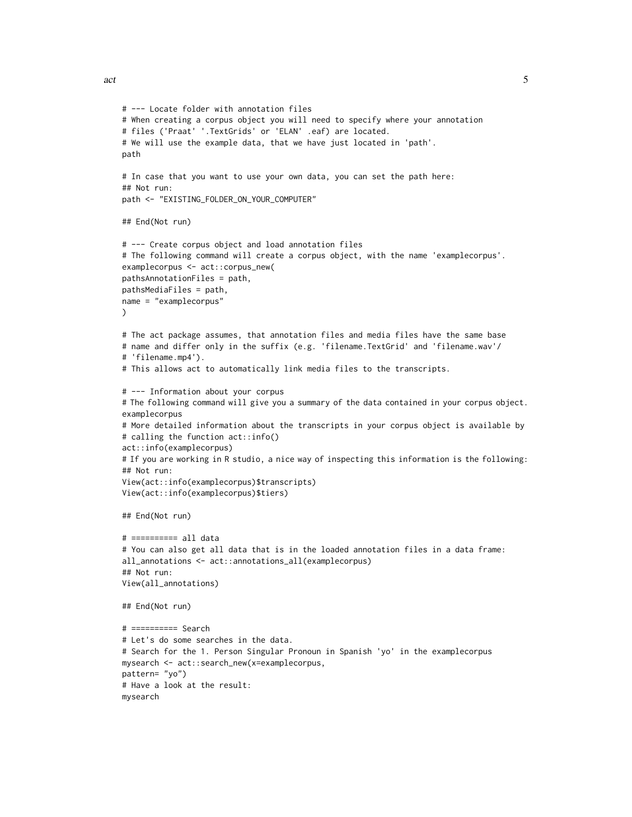```
# --- Locate folder with annotation files
# When creating a corpus object you will need to specify where your annotation
# files ('Praat' '.TextGrids' or 'ELAN' .eaf) are located.
# We will use the example data, that we have just located in 'path'.
path
# In case that you want to use your own data, you can set the path here:
## Not run:
path <- "EXISTING_FOLDER_ON_YOUR_COMPUTER"
## End(Not run)
# --- Create corpus object and load annotation files
# The following command will create a corpus object, with the name 'examplecorpus'.
examplecorpus <- act::corpus_new(
pathsAnnotationFiles = path,
pathsMediaFiles = path,
name = "examplecorpus"
\lambda# The act package assumes, that annotation files and media files have the same base
# name and differ only in the suffix (e.g. 'filename.TextGrid' and 'filename.wav'/
# 'filename.mp4').
# This allows act to automatically link media files to the transcripts.
# --- Information about your corpus
# The following command will give you a summary of the data contained in your corpus object.
examplecorpus
# More detailed information about the transcripts in your corpus object is available by
# calling the function act::info()
act::info(examplecorpus)
# If you are working in R studio, a nice way of inspecting this information is the following:
## Not run:
View(act::info(examplecorpus)$transcripts)
View(act::info(examplecorpus)$tiers)
## End(Not run)
# ========== all data
# You can also get all data that is in the loaded annotation files in a data frame:
all_annotations <- act::annotations_all(examplecorpus)
## Not run:
View(all_annotations)
## End(Not run)
# ========== Search
# Let's do some searches in the data.
# Search for the 1. Person Singular Pronoun in Spanish 'yo' in the examplecorpus
mysearch <- act::search_new(x=examplecorpus,
pattern= "yo")
# Have a look at the result:
mysearch
```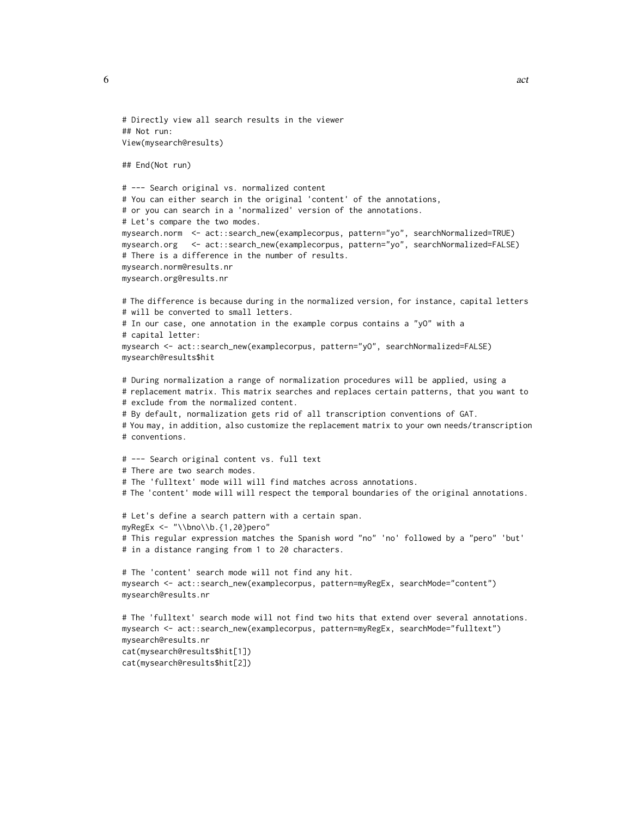```
# Directly view all search results in the viewer
## Not run:
View(mysearch@results)
## End(Not run)
# --- Search original vs. normalized content
# You can either search in the original 'content' of the annotations,
# or you can search in a 'normalized' version of the annotations.
# Let's compare the two modes.
mysearch.norm <- act::search_new(examplecorpus, pattern="yo", searchNormalized=TRUE)
mysearch.org <- act::search_new(examplecorpus, pattern="yo", searchNormalized=FALSE)
# There is a difference in the number of results.
mysearch.norm@results.nr
mysearch.org@results.nr
# The difference is because during in the normalized version, for instance, capital letters
# will be converted to small letters.
# In our case, one annotation in the example corpus contains a "yO" with a
# capital letter:
mysearch <- act::search_new(examplecorpus, pattern="yO", searchNormalized=FALSE)
mysearch@results$hit
# During normalization a range of normalization procedures will be applied, using a
# replacement matrix. This matrix searches and replaces certain patterns, that you want to
# exclude from the normalized content.
# By default, normalization gets rid of all transcription conventions of GAT.
# You may, in addition, also customize the replacement matrix to your own needs/transcription
# conventions.
# --- Search original content vs. full text
# There are two search modes.
# The 'fulltext' mode will will find matches across annotations.
# The 'content' mode will will respect the temporal boundaries of the original annotations.
# Let's define a search pattern with a certain span.
myRegEx <- "\\bno\\b.{1,20}pero"
# This regular expression matches the Spanish word "no" 'no' followed by a "pero" 'but'
# in a distance ranging from 1 to 20 characters.
# The 'content' search mode will not find any hit.
mysearch <- act::search_new(examplecorpus, pattern=myRegEx, searchMode="content")
mysearch@results.nr
# The 'fulltext' search mode will not find two hits that extend over several annotations.
mysearch <- act::search_new(examplecorpus, pattern=myRegEx, searchMode="fulltext")
mysearch@results.nr
cat(mysearch@results$hit[1])
cat(mysearch@results$hit[2])
```
 $\sim$  6 acts and  $\sim$  acts are set of  $\sim$  acts are set of  $\sim$  acts are set of  $\sim$  acts are set of  $\sim$  acts are set of  $\sim$  acts are set of  $\sim$  acts are set of  $\sim$  acts are set of  $\sim$  acts are set of  $\sim$  acts are se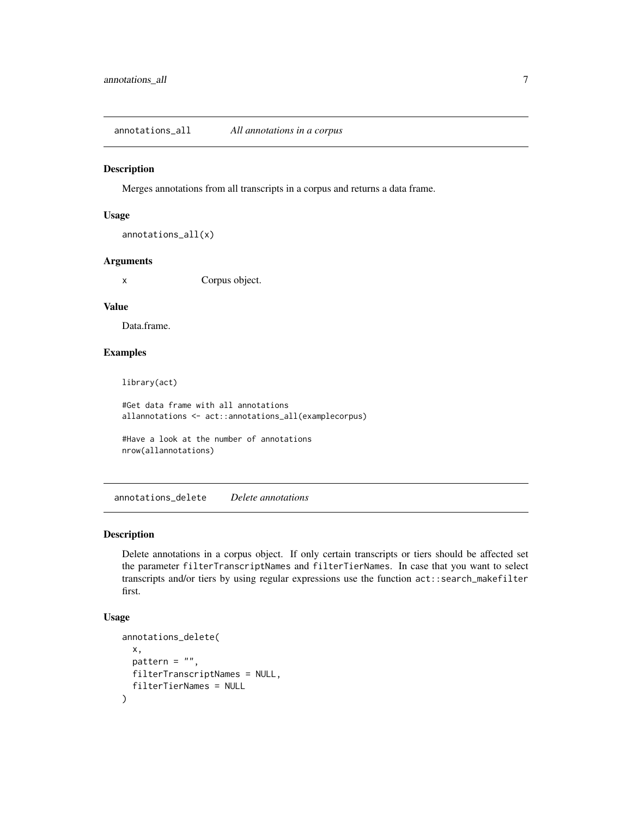<span id="page-6-0"></span>annotations\_all *All annotations in a corpus*

# Description

Merges annotations from all transcripts in a corpus and returns a data frame.

#### Usage

annotations\_all(x)

# Arguments

x Corpus object.

# Value

Data.frame.

# Examples

library(act)

#Get data frame with all annotations allannotations <- act::annotations\_all(examplecorpus)

```
#Have a look at the number of annotations
nrow(allannotations)
```
annotations\_delete *Delete annotations*

# Description

Delete annotations in a corpus object. If only certain transcripts or tiers should be affected set the parameter filterTranscriptNames and filterTierNames. In case that you want to select transcripts and/or tiers by using regular expressions use the function act::search\_makefilter first.

# Usage

```
annotations_delete(
 x,
 pattern = ",
 filterTranscriptNames = NULL,
  filterTierNames = NULL
)
```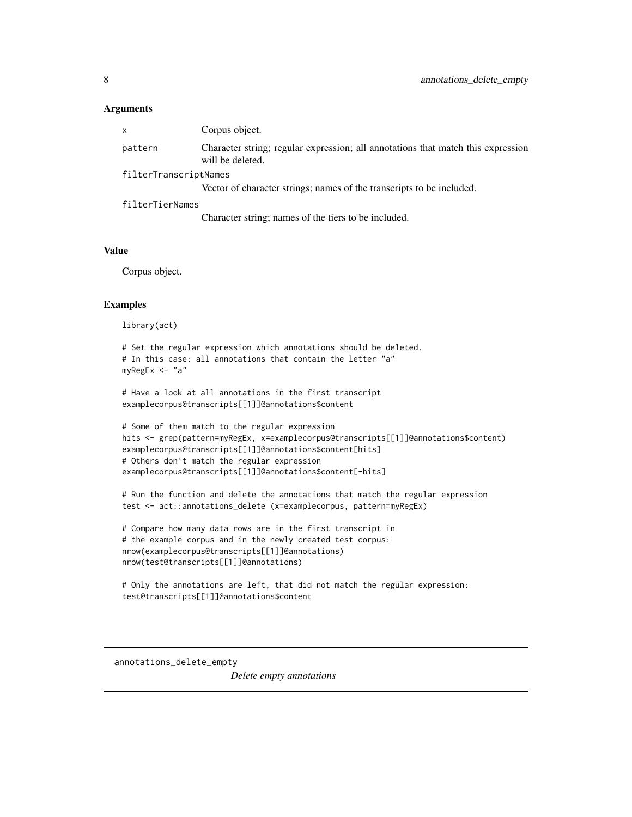<span id="page-7-0"></span>

| $\mathsf{x}$          | Corpus object.                                                                                       |  |
|-----------------------|------------------------------------------------------------------------------------------------------|--|
| pattern               | Character string; regular expression; all annotations that match this expression<br>will be deleted. |  |
| filterTranscriptNames |                                                                                                      |  |
|                       | Vector of character strings; names of the transcripts to be included.                                |  |
| filterTierNames       |                                                                                                      |  |
|                       | Character string; names of the tiers to be included.                                                 |  |

# Value

Corpus object.

#### Examples

```
library(act)
```

```
# Set the regular expression which annotations should be deleted.
# In this case: all annotations that contain the letter "a"
myRegEx <- "a"
```

```
# Have a look at all annotations in the first transcript
examplecorpus@transcripts[[1]]@annotations$content
```

```
# Some of them match to the regular expression
hits <- grep(pattern=myRegEx, x=examplecorpus@transcripts[[1]]@annotations$content)
examplecorpus@transcripts[[1]]@annotations$content[hits]
# Others don't match the regular expression
examplecorpus@transcripts[[1]]@annotations$content[-hits]
```

```
# Run the function and delete the annotations that match the regular expression
test <- act::annotations_delete (x=examplecorpus, pattern=myRegEx)
```

```
# Compare how many data rows are in the first transcript in
# the example corpus and in the newly created test corpus:
nrow(examplecorpus@transcripts[[1]]@annotations)
nrow(test@transcripts[[1]]@annotations)
```

```
# Only the annotations are left, that did not match the regular expression:
test@transcripts[[1]]@annotations$content
```

```
annotations_delete_empty
```
*Delete empty annotations*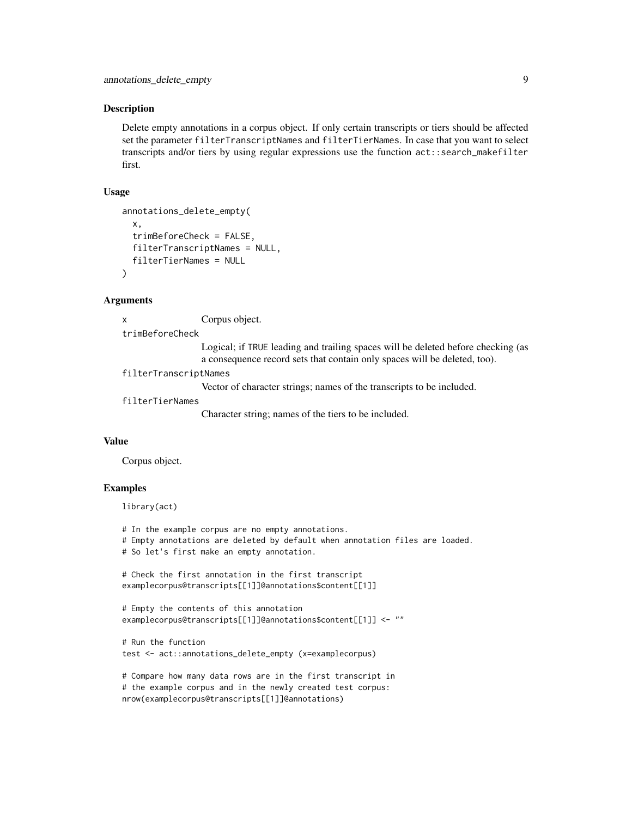#### Description

Delete empty annotations in a corpus object. If only certain transcripts or tiers should be affected set the parameter filterTranscriptNames and filterTierNames. In case that you want to select transcripts and/or tiers by using regular expressions use the function act::search\_makefilter first.

# Usage

```
annotations_delete_empty(
  x,
  trimBeforeCheck = FALSE,
 filterTranscriptNames = NULL,
  filterTierNames = NULL
)
```
# Arguments

x Corpus object.

trimBeforeCheck

Logical; if TRUE leading and trailing spaces will be deleted before checking (as a consequence record sets that contain only spaces will be deleted, too).

filterTranscriptNames

Vector of character strings; names of the transcripts to be included.

filterTierNames

Character string; names of the tiers to be included.

# Value

Corpus object.

# Examples

library(act)

# In the example corpus are no empty annotations.

# Empty annotations are deleted by default when annotation files are loaded.

# So let's first make an empty annotation.

# Check the first annotation in the first transcript examplecorpus@transcripts[[1]]@annotations\$content[[1]]

```
# Empty the contents of this annotation
examplecorpus@transcripts[[1]]@annotations$content[[1]] <- ""
```

```
# Run the function
test <- act::annotations_delete_empty (x=examplecorpus)
```
# Compare how many data rows are in the first transcript in # the example corpus and in the newly created test corpus: nrow(examplecorpus@transcripts[[1]]@annotations)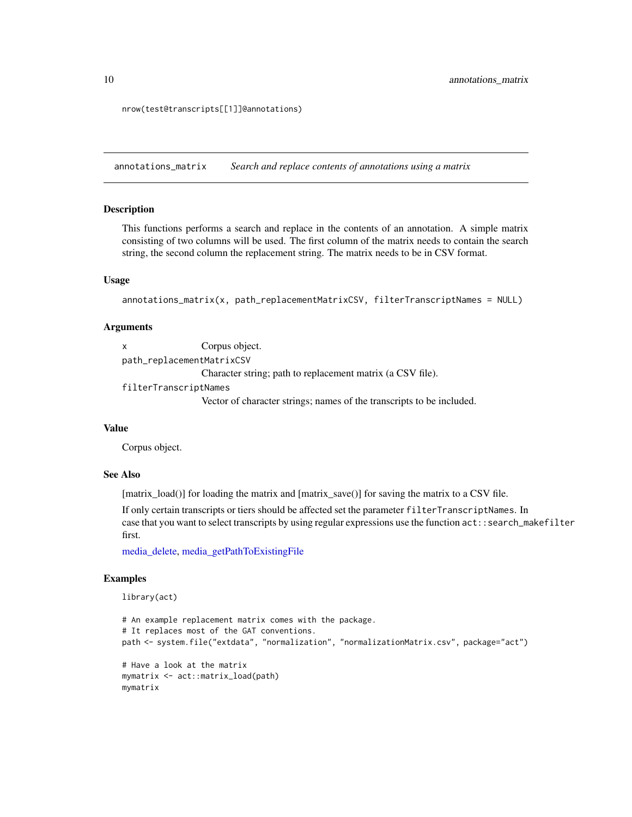nrow(test@transcripts[[1]]@annotations)

annotations\_matrix *Search and replace contents of annotations using a matrix*

#### Description

This functions performs a search and replace in the contents of an annotation. A simple matrix consisting of two columns will be used. The first column of the matrix needs to contain the search string, the second column the replacement string. The matrix needs to be in CSV format.

#### Usage

```
annotations_matrix(x, path_replacementMatrixCSV, filterTranscriptNames = NULL)
```
#### Arguments

| $\mathsf{X}$              | Corpus object.                                                        |
|---------------------------|-----------------------------------------------------------------------|
| path_replacementMatrixCSV |                                                                       |
|                           | Character string; path to replacement matrix (a CSV file).            |
| filterTranscriptNames     |                                                                       |
|                           | Vector of character strings; names of the transcripts to be included. |

#### Value

Corpus object.

#### See Also

[matrix\_load()] for loading the matrix and [matrix\_save()] for saving the matrix to a CSV file.

If only certain transcripts or tiers should be affected set the parameter filterTranscriptNames. In case that you want to select transcripts by using regular expressions use the function act::search\_makefilter first.

[media\\_delete,](#page-49-1) [media\\_getPathToExistingFile](#page-50-1)

# Examples

```
library(act)
```

```
# An example replacement matrix comes with the package.
# It replaces most of the GAT conventions.
path <- system.file("extdata", "normalization", "normalizationMatrix.csv", package="act")
# Have a look at the matrix
mymatrix <- act::matrix_load(path)
mymatrix
```
<span id="page-9-0"></span>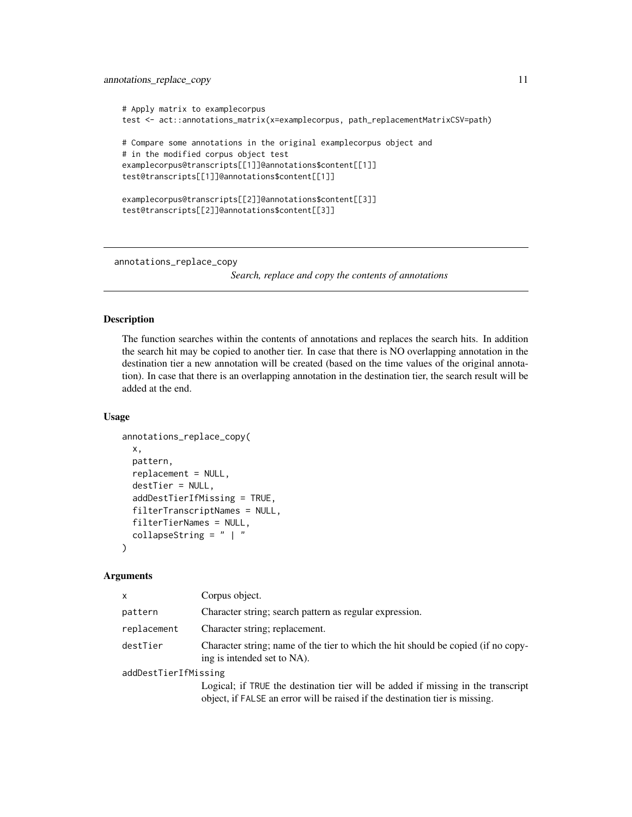```
# Apply matrix to examplecorpus
test <- act::annotations_matrix(x=examplecorpus, path_replacementMatrixCSV=path)
# Compare some annotations in the original examplecorpus object and
# in the modified corpus object test
examplecorpus@transcripts[[1]]@annotations$content[[1]]
test@transcripts[[1]]@annotations$content[[1]]
examplecorpus@transcripts[[2]]@annotations$content[[3]]
test@transcripts[[2]]@annotations$content[[3]]
```
annotations\_replace\_copy

*Search, replace and copy the contents of annotations*

# Description

The function searches within the contents of annotations and replaces the search hits. In addition the search hit may be copied to another tier. In case that there is NO overlapping annotation in the destination tier a new annotation will be created (based on the time values of the original annotation). In case that there is an overlapping annotation in the destination tier, the search result will be added at the end.

#### Usage

```
annotations_replace_copy(
  x,
 pattern,
  replacement = NULL,
  destTier = NULL,
  addDestTierIfMissing = TRUE,
  filterTranscriptNames = NULL,
  filterTierNames = NULL,
  collapseString = " | "\lambda
```
#### **Arguments**

| x                    | Corpus object.                                                                                                                                                   |  |
|----------------------|------------------------------------------------------------------------------------------------------------------------------------------------------------------|--|
| pattern              | Character string; search pattern as regular expression.                                                                                                          |  |
| replacement          | Character string; replacement.                                                                                                                                   |  |
| destTier             | Character string; name of the tier to which the hit should be copied (if no copy-<br>ing is intended set to NA).                                                 |  |
| addDestTierIfMissing |                                                                                                                                                                  |  |
|                      | Logical; if TRUE the destination tier will be added if missing in the transcript<br>object, if FALSE an error will be raised if the destination tier is missing. |  |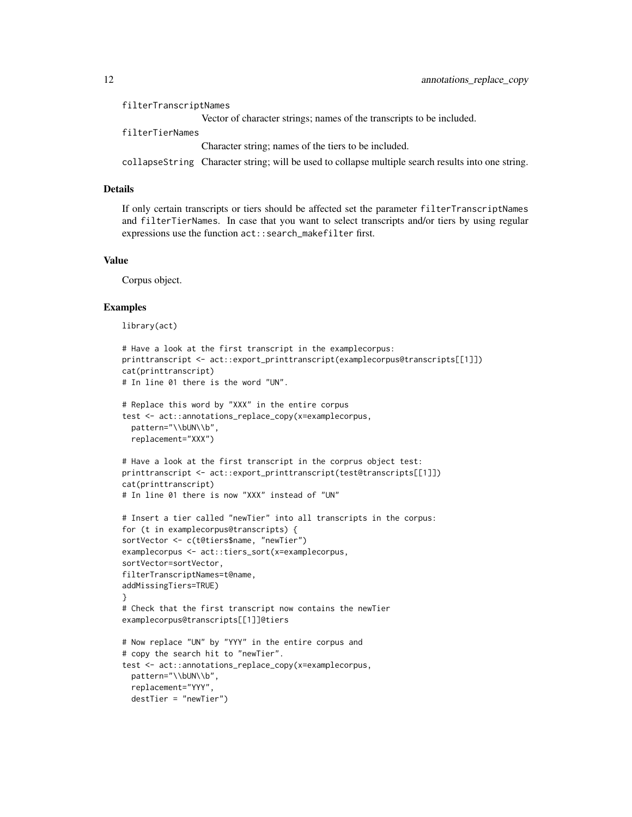filterTranscriptNames

Vector of character strings; names of the transcripts to be included.

filterTierNames

Character string; names of the tiers to be included.

collapseString Character string; will be used to collapse multiple search results into one string.

# Details

If only certain transcripts or tiers should be affected set the parameter filterTranscriptNames and filterTierNames. In case that you want to select transcripts and/or tiers by using regular expressions use the function act::search\_makefilter first.

#### Value

Corpus object.

#### Examples

library(act)

```
# Have a look at the first transcript in the examplecorpus:
printtranscript <- act::export_printtranscript(examplecorpus@transcripts[[1]])
cat(printtranscript)
# In line 01 there is the word "UN".
# Replace this word by "XXX" in the entire corpus
test <- act::annotations_replace_copy(x=examplecorpus,
 pattern="\\bUN\\b",
 replacement="XXX")
# Have a look at the first transcript in the corprus object test:
printtranscript <- act::export_printtranscript(test@transcripts[[1]])
cat(printtranscript)
# In line 01 there is now "XXX" instead of "UN"
# Insert a tier called "newTier" into all transcripts in the corpus:
for (t in examplecorpus@transcripts) {
sortVector <- c(t@tiers$name, "newTier")
examplecorpus <- act::tiers_sort(x=examplecorpus,
sortVector=sortVector,
filterTranscriptNames=t@name,
addMissingTiers=TRUE)
}
# Check that the first transcript now contains the newTier
examplecorpus@transcripts[[1]]@tiers
# Now replace "UN" by "YYY" in the entire corpus and
# copy the search hit to "newTier".
test <- act::annotations_replace_copy(x=examplecorpus,
 pattern="\\bUN\\b",
 replacement="YYY",
 destTier = "newTier")
```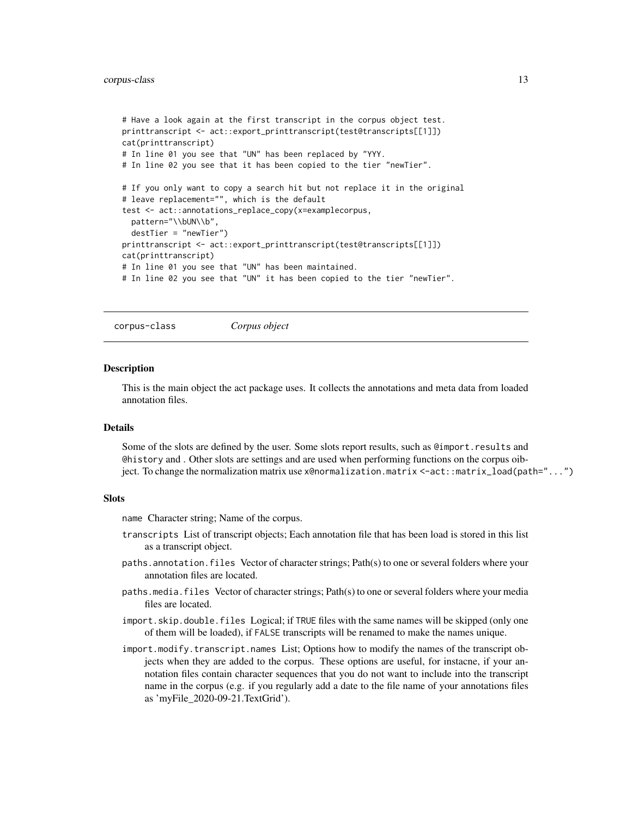```
# Have a look again at the first transcript in the corpus object test.
printtranscript <- act::export_printtranscript(test@transcripts[[1]])
cat(printtranscript)
# In line 01 you see that "UN" has been replaced by "YYY.
# In line 02 you see that it has been copied to the tier "newTier".
# If you only want to copy a search hit but not replace it in the original
# leave replacement="", which is the default
test <- act::annotations_replace_copy(x=examplecorpus,
 pattern="\\bUN\\b",
 destTier = "newTier")
printtranscript <- act::export_printtranscript(test@transcripts[[1]])
cat(printtranscript)
# In line 01 you see that "UN" has been maintained.
# In line 02 you see that "UN" it has been copied to the tier "newTier".
```

```
corpus-class Corpus object
```
#### **Description**

This is the main object the act package uses. It collects the annotations and meta data from loaded annotation files.

#### Details

Some of the slots are defined by the user. Some slots report results, such as @import.results and @history and . Other slots are settings and are used when performing functions on the corpus oibject. To change the normalization matrix use x@normalization.matrix <-act::matrix\_load(path="...")

# **Slots**

name Character string; Name of the corpus.

- transcripts List of transcript objects; Each annotation file that has been load is stored in this list as a transcript object.
- paths.annotation.files Vector of character strings; Path(s) to one or several folders where your annotation files are located.
- paths.media.files Vector of character strings; Path(s) to one or several folders where your media files are located.
- import.skip.double.files Logical; if TRUE files with the same names will be skipped (only one of them will be loaded), if FALSE transcripts will be renamed to make the names unique.
- import.modify.transcript.names List; Options how to modify the names of the transcript objects when they are added to the corpus. These options are useful, for instacne, if your annotation files contain character sequences that you do not want to include into the transcript name in the corpus (e.g. if you regularly add a date to the file name of your annotations files as 'myFile\_2020-09-21.TextGrid').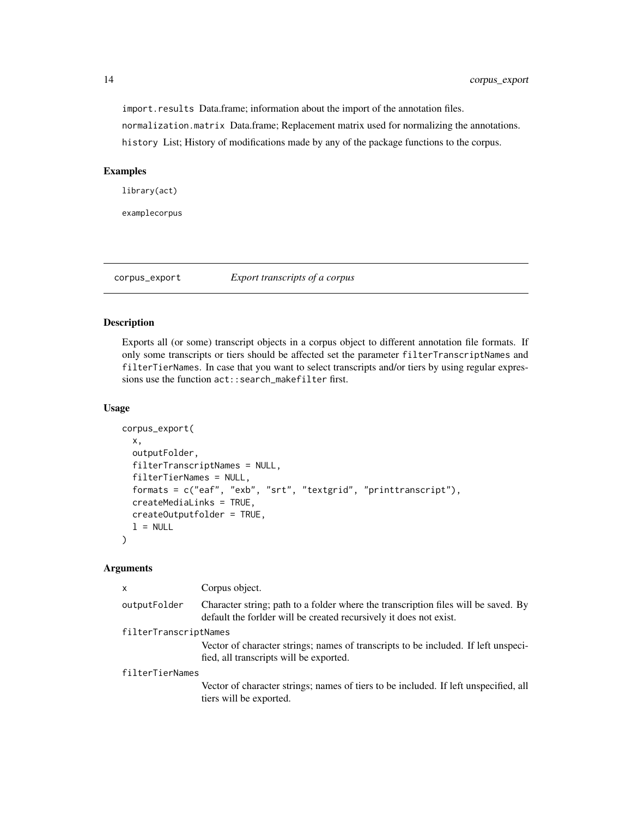import.results Data.frame; information about the import of the annotation files. normalization.matrix Data.frame; Replacement matrix used for normalizing the annotations. history List; History of modifications made by any of the package functions to the corpus.

# Examples

library(act)

examplecorpus

corpus\_export *Export transcripts of a corpus*

# Description

Exports all (or some) transcript objects in a corpus object to different annotation file formats. If only some transcripts or tiers should be affected set the parameter filterTranscriptNames and filterTierNames. In case that you want to select transcripts and/or tiers by using regular expressions use the function act::search\_makefilter first.

#### Usage

```
corpus_export(
  x,
  outputFolder,
  filterTranscriptNames = NULL,
  filterTierNames = NULL,
  formats = c("eaf", "exb", "srt", "textgrid", "printtranscript"),
  createMediaLinks = TRUE,
  createOutputfolder = TRUE,
  l = NULL)
```
#### Arguments

| x                     | Corpus object.                                                                                                                                           |  |
|-----------------------|----------------------------------------------------------------------------------------------------------------------------------------------------------|--|
| outputFolder          | Character string; path to a folder where the transcription files will be saved. By<br>default the forlder will be created recursively it does not exist. |  |
| filterTranscriptNames |                                                                                                                                                          |  |
|                       | Vector of character strings; names of transcripts to be included. If left unspeci-<br>fied, all transcripts will be exported.                            |  |
| filterTierNames       |                                                                                                                                                          |  |
|                       | Vector of character strings; names of tiers to be included. If left unspecified, all<br>tiers will be exported.                                          |  |

<span id="page-13-0"></span>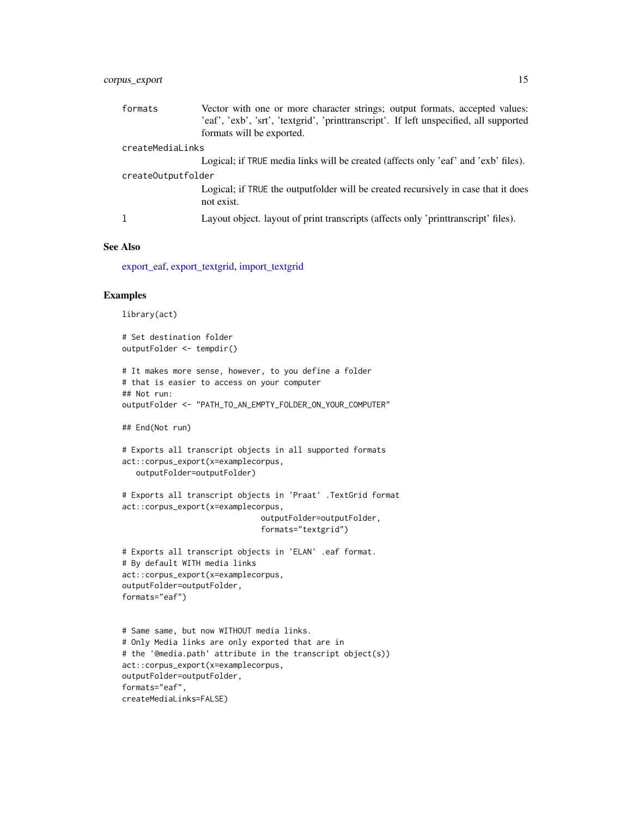# corpus\_export 15

| formats            | Vector with one or more character strings; output formats, accepted values:                      |
|--------------------|--------------------------------------------------------------------------------------------------|
|                    | 'eaf', 'exb', 'srt', 'textgrid', 'printtranscript'. If left unspecified, all supported           |
|                    | formats will be exported.                                                                        |
| createMediaLinks   |                                                                                                  |
|                    | Logical; if TRUE media links will be created (affects only 'eaf' and 'exb' files).               |
| createOutputfolder |                                                                                                  |
|                    | Logical; if TRUE the outputfolder will be created recursively in case that it does<br>not exist. |
| 1                  | Layout object. layout of print transcripts (affects only 'print transcript' files).              |
|                    |                                                                                                  |

# See Also

[export\\_eaf,](#page-20-1) [export\\_textgrid,](#page-27-1) [import\\_textgrid](#page-41-1)

# Examples

```
library(act)
```
# Set destination folder outputFolder <- tempdir()

```
# It makes more sense, however, to you define a folder
# that is easier to access on your computer
## Not run:
outputFolder <- "PATH_TO_AN_EMPTY_FOLDER_ON_YOUR_COMPUTER"
```
## End(Not run)

```
# Exports all transcript objects in all supported formats
act::corpus_export(x=examplecorpus,
  outputFolder=outputFolder)
```

```
# Exports all transcript objects in 'Praat' .TextGrid format
act::corpus_export(x=examplecorpus,
                             outputFolder=outputFolder,
                             formats="textgrid")
```

```
# Exports all transcript objects in 'ELAN' .eaf format.
# By default WITH media links
act::corpus_export(x=examplecorpus,
outputFolder=outputFolder,
formats="eaf")
```

```
# Same same, but now WITHOUT media links.
# Only Media links are only exported that are in
# the '@media.path' attribute in the transcript object(s))
act::corpus_export(x=examplecorpus,
outputFolder=outputFolder,
formats="eaf",
createMediaLinks=FALSE)
```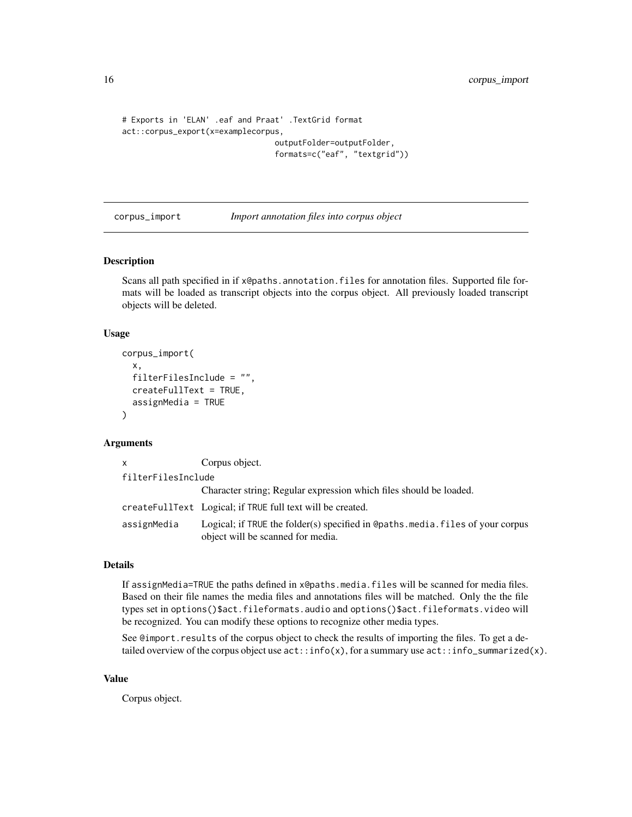```
# Exports in 'ELAN' .eaf and Praat' .TextGrid format
act::corpus_export(x=examplecorpus,
                                 outputFolder=outputFolder,
                                 formats=c("eaf", "textgrid"))
```
<span id="page-15-1"></span>corpus\_import *Import annotation files into corpus object*

#### Description

Scans all path specified in if x@paths.annotation.files for annotation files. Supported file formats will be loaded as transcript objects into the corpus object. All previously loaded transcript objects will be deleted.

#### Usage

```
corpus_import(
  x,
  filterFilesInclude = "",
  createFullText = TRUE,
  assignMedia = TRUE
)
```
# Arguments

| $\times$           | Corpus object.                                                                                                     |
|--------------------|--------------------------------------------------------------------------------------------------------------------|
| filterFilesInclude |                                                                                                                    |
|                    | Character string; Regular expression which files should be loaded.                                                 |
|                    | createFullText Logical; if TRUE full text will be created.                                                         |
| assignMedia        | Logical; if TRUE the folder(s) specified in @paths.media.files of your corpus<br>object will be scanned for media. |

# Details

If assignMedia=TRUE the paths defined in x@paths.media.files will be scanned for media files. Based on their file names the media files and annotations files will be matched. Only the the file types set in options()\$act.fileformats.audio and options()\$act.fileformats.video will be recognized. You can modify these options to recognize other media types.

See @import.results of the corpus object to check the results of importing the files. To get a detailed overview of the corpus object use  $act::info(x)$ , for a summary use  $act::info\_summarized(x)$ .

# Value

Corpus object.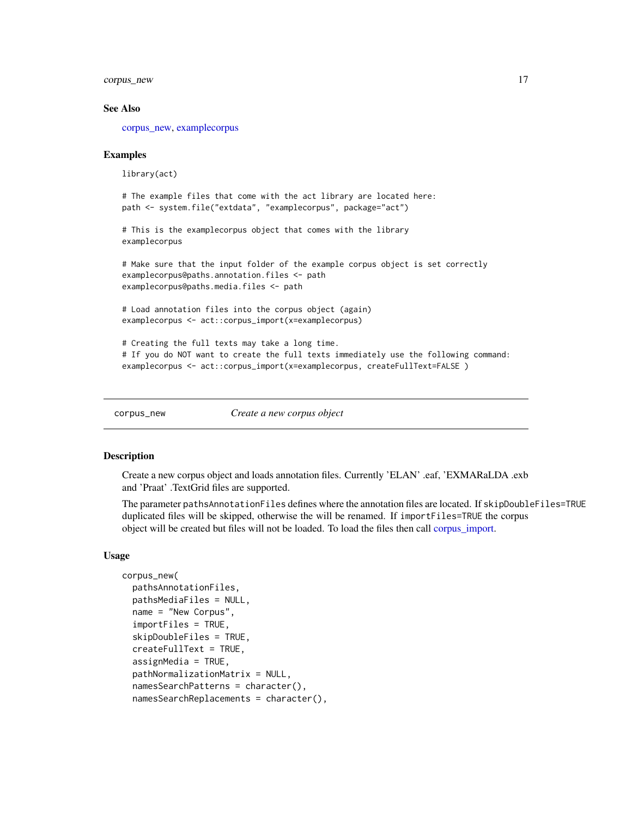<span id="page-16-0"></span>corpus\_new 17

#### See Also

[corpus\\_new,](#page-16-1) [examplecorpus](#page-18-1)

#### Examples

library(act)

# The example files that come with the act library are located here: path <- system.file("extdata", "examplecorpus", package="act")

# This is the examplecorpus object that comes with the library examplecorpus

# Make sure that the input folder of the example corpus object is set correctly examplecorpus@paths.annotation.files <- path examplecorpus@paths.media.files <- path

```
# Load annotation files into the corpus object (again)
examplecorpus <- act::corpus_import(x=examplecorpus)
```
# Creating the full texts may take a long time. # If you do NOT want to create the full texts immediately use the following command: examplecorpus <- act::corpus\_import(x=examplecorpus, createFullText=FALSE )

<span id="page-16-1"></span>

corpus\_new *Create a new corpus object*

#### Description

Create a new corpus object and loads annotation files. Currently 'ELAN' .eaf, 'EXMARaLDA .exb and 'Praat' .TextGrid files are supported.

The parameter pathsAnnotationFiles defines where the annotation files are located. If skipDoubleFiles=TRUE duplicated files will be skipped, otherwise the will be renamed. If importFiles=TRUE the corpus object will be created but files will not be loaded. To load the files then call [corpus\\_import.](#page-15-1)

#### Usage

```
corpus_new(
  pathsAnnotationFiles,
  pathsMediaFiles = NULL,
  name = "New Corpus",
  importFiles = TRUE,
  skipDoubleFiles = TRUE,
  createFullText = TRUE,
  assignMedia = TRUE,
  pathNormalizationMatrix = NULL,
  namesSearchPatterns = character(),
  namesSearchReplacements = character(),
```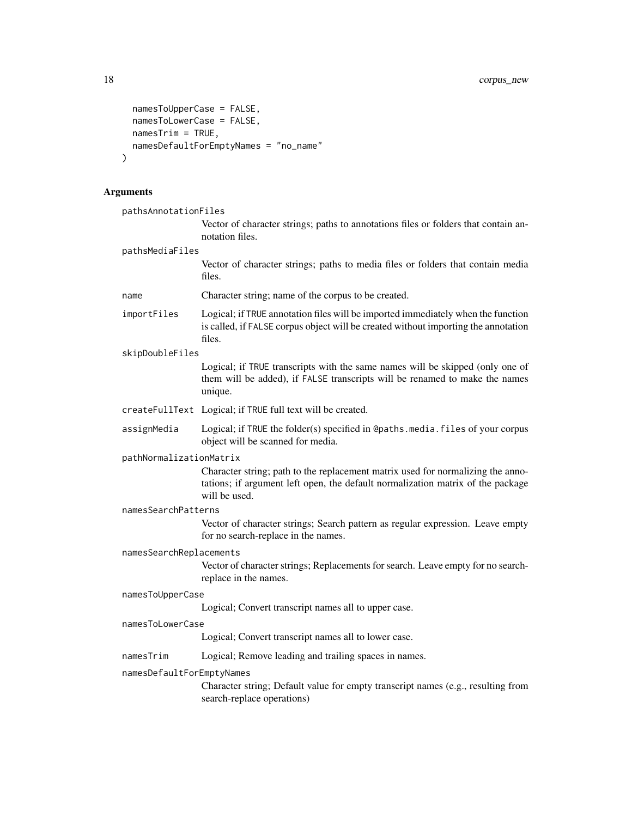```
namesToUpperCase = FALSE,
 namesToLowerCase = FALSE,
 namesTrim = TRUE,namesDefaultForEmptyNames = "no_name"
)
```

| pathsAnnotationFiles      |                                                                                                                                                                                     |  |
|---------------------------|-------------------------------------------------------------------------------------------------------------------------------------------------------------------------------------|--|
|                           | Vector of character strings; paths to annotations files or folders that contain an-<br>notation files.                                                                              |  |
| pathsMediaFiles           |                                                                                                                                                                                     |  |
|                           | Vector of character strings; paths to media files or folders that contain media<br>files.                                                                                           |  |
| name                      | Character string; name of the corpus to be created.                                                                                                                                 |  |
| importFiles               | Logical; if TRUE annotation files will be imported immediately when the function<br>is called, if FALSE corpus object will be created without importing the annotation<br>files.    |  |
| skipDoubleFiles           |                                                                                                                                                                                     |  |
|                           | Logical; if TRUE transcripts with the same names will be skipped (only one of<br>them will be added), if FALSE transcripts will be renamed to make the names<br>unique.             |  |
|                           | createFullText Logical; if TRUE full text will be created.                                                                                                                          |  |
| assignMedia               | Logical; if TRUE the folder(s) specified in @paths.media.files of your corpus<br>object will be scanned for media.                                                                  |  |
| pathNormalizationMatrix   |                                                                                                                                                                                     |  |
|                           | Character string; path to the replacement matrix used for normalizing the anno-<br>tations; if argument left open, the default normalization matrix of the package<br>will be used. |  |
| namesSearchPatterns       |                                                                                                                                                                                     |  |
|                           | Vector of character strings; Search pattern as regular expression. Leave empty<br>for no search-replace in the names.                                                               |  |
| namesSearchReplacements   |                                                                                                                                                                                     |  |
|                           | Vector of character strings; Replacements for search. Leave empty for no search-<br>replace in the names.                                                                           |  |
| namesToUpperCase          |                                                                                                                                                                                     |  |
|                           | Logical; Convert transcript names all to upper case.                                                                                                                                |  |
| namesToLowerCase          |                                                                                                                                                                                     |  |
|                           | Logical; Convert transcript names all to lower case.                                                                                                                                |  |
| namesTrim                 | Logical; Remove leading and trailing spaces in names.                                                                                                                               |  |
| namesDefaultForEmptyNames |                                                                                                                                                                                     |  |
|                           | Character string; Default value for empty transcript names (e.g., resulting from<br>search-replace operations)                                                                      |  |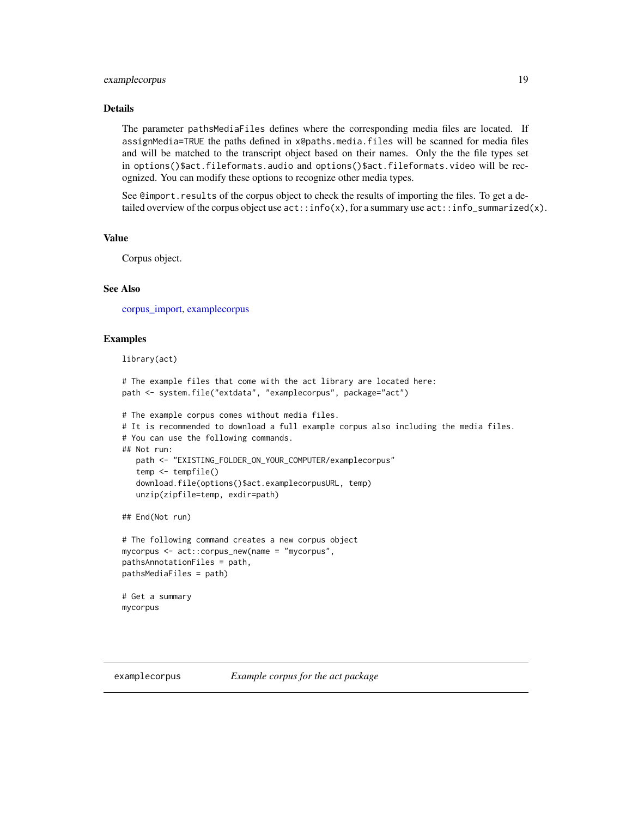# <span id="page-18-0"></span>examplecorpus 19

# Details

The parameter pathsMediaFiles defines where the corresponding media files are located. If assignMedia=TRUE the paths defined in x@paths.media.files will be scanned for media files and will be matched to the transcript object based on their names. Only the the file types set in options()\$act.fileformats.audio and options()\$act.fileformats.video will be recognized. You can modify these options to recognize other media types.

See @import.results of the corpus object to check the results of importing the files. To get a detailed overview of the corpus object use  $act::info(x)$ , for a summary use  $act::info\_summized(x)$ .

# Value

Corpus object.

# See Also

[corpus\\_import,](#page-15-1) [examplecorpus](#page-18-1)

#### Examples

library(act)

```
# The example files that come with the act library are located here:
path <- system.file("extdata", "examplecorpus", package="act")
# The example corpus comes without media files.
# It is recommended to download a full example corpus also including the media files.
# You can use the following commands.
## Not run:
  path <- "EXISTING_FOLDER_ON_YOUR_COMPUTER/examplecorpus"
  temp <- tempfile()
  download.file(options()$act.examplecorpusURL, temp)
  unzip(zipfile=temp, exdir=path)
## End(Not run)
# The following command creates a new corpus object
mycorpus <- act::corpus_new(name = "mycorpus",
pathsAnnotationFiles = path,
pathsMediaFiles = path)
# Get a summary
mycorpus
```
<span id="page-18-1"></span>examplecorpus *Example corpus for the act package*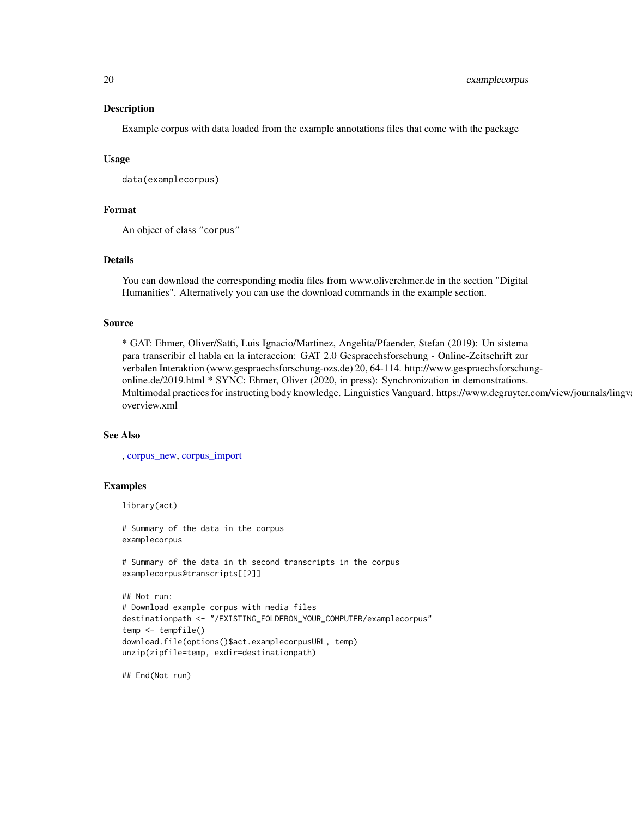20 examplecorpus

#### Description

Example corpus with data loaded from the example annotations files that come with the package

#### Usage

```
data(examplecorpus)
```
# Format

An object of class "corpus"

# Details

You can download the corresponding media files from www.oliverehmer.de in the section "Digital Humanities". Alternatively you can use the download commands in the example section.

#### Source

\* GAT: Ehmer, Oliver/Satti, Luis Ignacio/Martinez, Angelita/Pfaender, Stefan (2019): Un sistema para transcribir el habla en la interaccion: GAT 2.0 Gespraechsforschung - Online-Zeitschrift zur verbalen Interaktion (www.gespraechsforschung-ozs.de) 20, 64-114. http://www.gespraechsforschungonline.de/2019.html \* SYNC: Ehmer, Oliver (2020, in press): Synchronization in demonstrations. Multimodal practices for instructing body knowledge. Linguistics Vanguard. https://www.degruyter.com/view/journals/lingv overview.xml

#### See Also

, [corpus\\_new,](#page-16-1) [corpus\\_import](#page-15-1)

#### Examples

library(act)

```
# Summary of the data in the corpus
examplecorpus
# Summary of the data in th second transcripts in the corpus
examplecorpus@transcripts[[2]]
## Not run:
# Download example corpus with media files
destinationpath <- "/EXISTING_FOLDERON_YOUR_COMPUTER/examplecorpus"
temp <- tempfile()
download.file(options()$act.examplecorpusURL, temp)
unzip(zipfile=temp, exdir=destinationpath)
```
## End(Not run)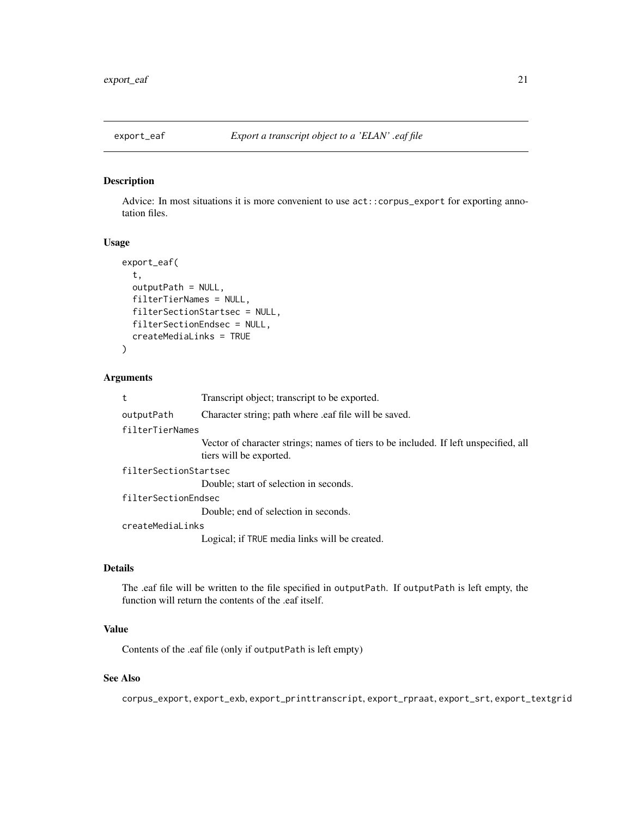<span id="page-20-1"></span><span id="page-20-0"></span>

# Description

Advice: In most situations it is more convenient to use act::corpus\_export for exporting annotation files.

# Usage

```
export_eaf(
  t,
  outputPath = NULL,
  filterTierNames = NULL,
  filterSectionStartsec = NULL,
  filterSectionEndsec = NULL,
  createMediaLinks = TRUE
\lambda
```
#### Arguments

| t                     | Transcript object; transcript to be exported.                                                                   |
|-----------------------|-----------------------------------------------------------------------------------------------------------------|
| outputPath            | Character string; path where eaf file will be saved.                                                            |
| filterTierNames       |                                                                                                                 |
|                       | Vector of character strings; names of tiers to be included. If left unspecified, all<br>tiers will be exported. |
| filterSectionStartsec |                                                                                                                 |
|                       | Double; start of selection in seconds.                                                                          |
| filterSectionEndsec   |                                                                                                                 |
|                       | Double; end of selection in seconds.                                                                            |

# createMediaLinks

Logical; if TRUE media links will be created.

# Details

The .eaf file will be written to the file specified in outputPath. If outputPath is left empty, the function will return the contents of the .eaf itself.

# Value

Contents of the .eaf file (only if outputPath is left empty)

# See Also

corpus\_export, export\_exb, export\_printtranscript, export\_rpraat, export\_srt, export\_textgrid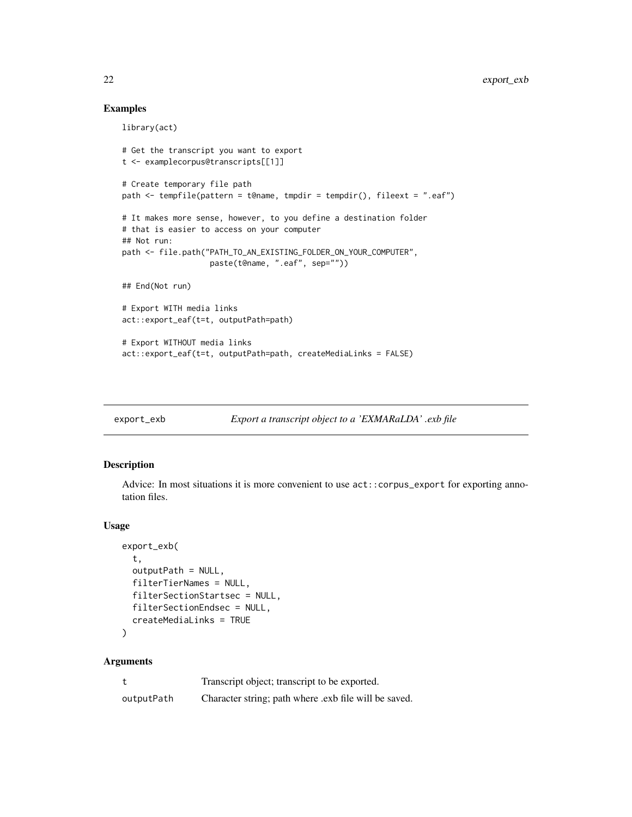# Examples

```
library(act)
# Get the transcript you want to export
t <- examplecorpus@transcripts[[1]]
# Create temporary file path
path \leq tempfile(pattern = t@name, tmpdir = tempdir(), fileext = ".eaf")
# It makes more sense, however, to you define a destination folder
# that is easier to access on your computer
## Not run:
path <- file.path("PATH_TO_AN_EXISTING_FOLDER_ON_YOUR_COMPUTER",
                   paste(t@name, ".eaf", sep=""))
## End(Not run)
# Export WITH media links
act::export_eaf(t=t, outputPath=path)
# Export WITHOUT media links
act::export_eaf(t=t, outputPath=path, createMediaLinks = FALSE)
```
export\_exb *Export a transcript object to a 'EXMARaLDA' .exb file*

# Description

Advice: In most situations it is more convenient to use act::corpus\_export for exporting annotation files.

#### Usage

```
export_exb(
  t,
 outputPath = NULL,
 filterTierNames = NULL,
 filterSectionStartsec = NULL,
 filterSectionEndsec = NULL,
  createMediaLinks = TRUE
)
```
#### Arguments

|            | Transcript object; transcript to be exported.         |
|------------|-------------------------------------------------------|
| outputPath | Character string; path where .exb file will be saved. |

<span id="page-21-0"></span>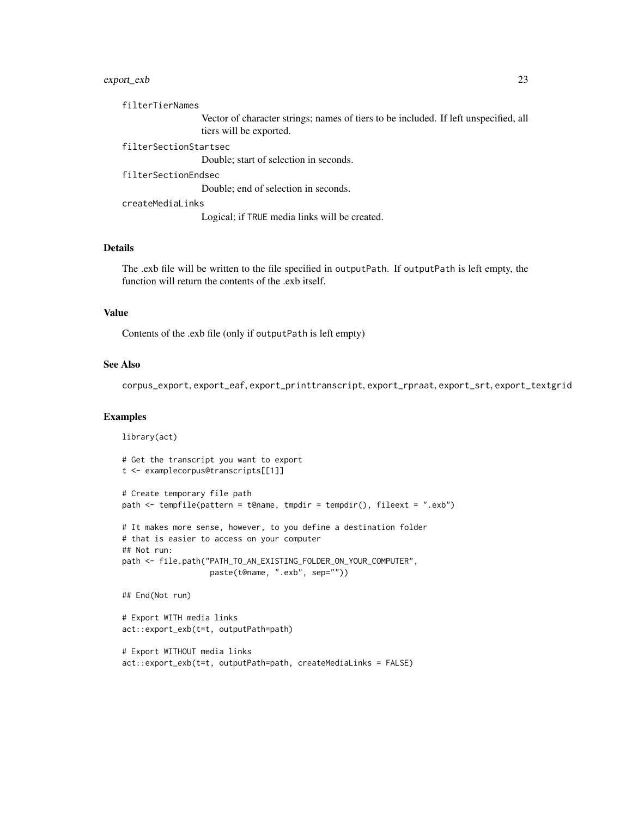# export\_exb 23

| filterTierNames       |                                                                                                                 |
|-----------------------|-----------------------------------------------------------------------------------------------------------------|
|                       | Vector of character strings; names of tiers to be included. If left unspecified, all<br>tiers will be exported. |
| filterSectionStartsec |                                                                                                                 |
|                       | Double; start of selection in seconds.                                                                          |
| filterSectionEndsec   |                                                                                                                 |
|                       | Double; end of selection in seconds.                                                                            |
| createMediaLinks      |                                                                                                                 |
|                       |                                                                                                                 |

# Logical; if TRUE media links will be created.

#### Details

The .exb file will be written to the file specified in outputPath. If outputPath is left empty, the function will return the contents of the .exb itself.

# Value

Contents of the .exb file (only if outputPath is left empty)

# See Also

corpus\_export, export\_eaf, export\_printtranscript, export\_rpraat, export\_srt, export\_textgrid

# Examples

```
library(act)
# Get the transcript you want to export
t <- examplecorpus@transcripts[[1]]
# Create temporary file path
path <- tempfile(pattern = t@name, tmpdir = tempdir(), fileext = ".exb")
# It makes more sense, however, to you define a destination folder
# that is easier to access on your computer
## Not run:
path <- file.path("PATH_TO_AN_EXISTING_FOLDER_ON_YOUR_COMPUTER",
                  paste(t@name, ".exb", sep=""))
## End(Not run)
# Export WITH media links
act::export_exb(t=t, outputPath=path)
# Export WITHOUT media links
act::export_exb(t=t, outputPath=path, createMediaLinks = FALSE)
```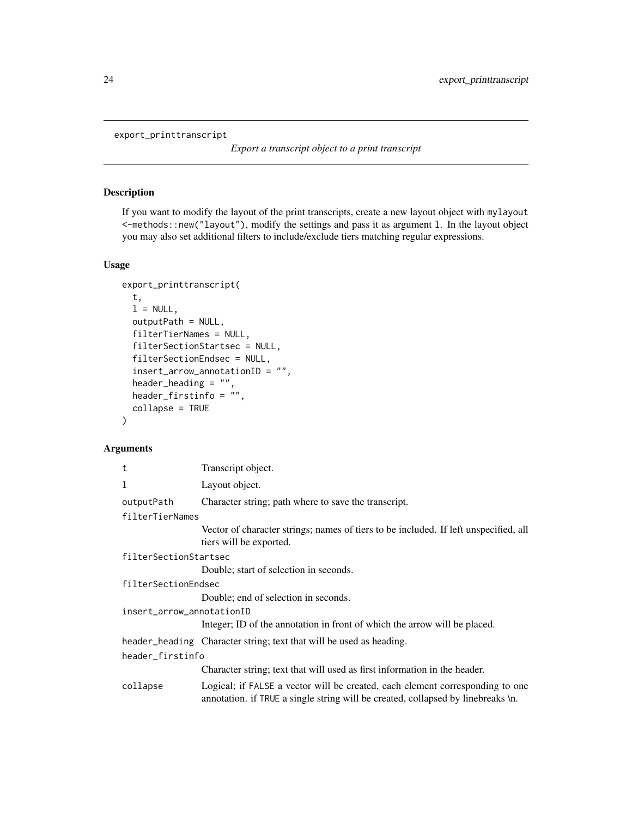<span id="page-23-0"></span>export\_printtranscript

*Export a transcript object to a print transcript*

# Description

If you want to modify the layout of the print transcripts, create a new layout object with mylayout <-methods::new("layout"), modify the settings and pass it as argument l. In the layout object you may also set additional filters to include/exclude tiers matching regular expressions.

# Usage

```
export_printtranscript(
  t,
 l = NULL,outputPath = NULL,
  filterTierNames = NULL,
  filterSectionStartsec = NULL,
  filterSectionEndsec = NULL,
  insert_arrow_annotationID = "",
  header_heading = "",
  header_firstinfo = "",
  collapse = TRUE
\mathcal{L}
```
# Arguments

| t                         | Transcript object.                                                                                                                                                |  |
|---------------------------|-------------------------------------------------------------------------------------------------------------------------------------------------------------------|--|
| 1                         | Layout object.                                                                                                                                                    |  |
| outputPath                | Character string; path where to save the transcript.                                                                                                              |  |
| filterTierNames           |                                                                                                                                                                   |  |
|                           | Vector of character strings; names of tiers to be included. If left unspecified, all<br>tiers will be exported.                                                   |  |
| filterSectionStartsec     |                                                                                                                                                                   |  |
|                           | Double; start of selection in seconds.                                                                                                                            |  |
| filterSectionEndsec       |                                                                                                                                                                   |  |
|                           | Double; end of selection in seconds.                                                                                                                              |  |
| insert_arrow_annotationID |                                                                                                                                                                   |  |
|                           | Integer; ID of the annotation in front of which the arrow will be placed.                                                                                         |  |
|                           | header_heading Character string; text that will be used as heading.                                                                                               |  |
| header_firstinfo          |                                                                                                                                                                   |  |
|                           | Character string; text that will used as first information in the header.                                                                                         |  |
| collapse                  | Logical; if FALSE a vector will be created, each element corresponding to one<br>annotation. if TRUE a single string will be created, collapsed by linebreaks \n. |  |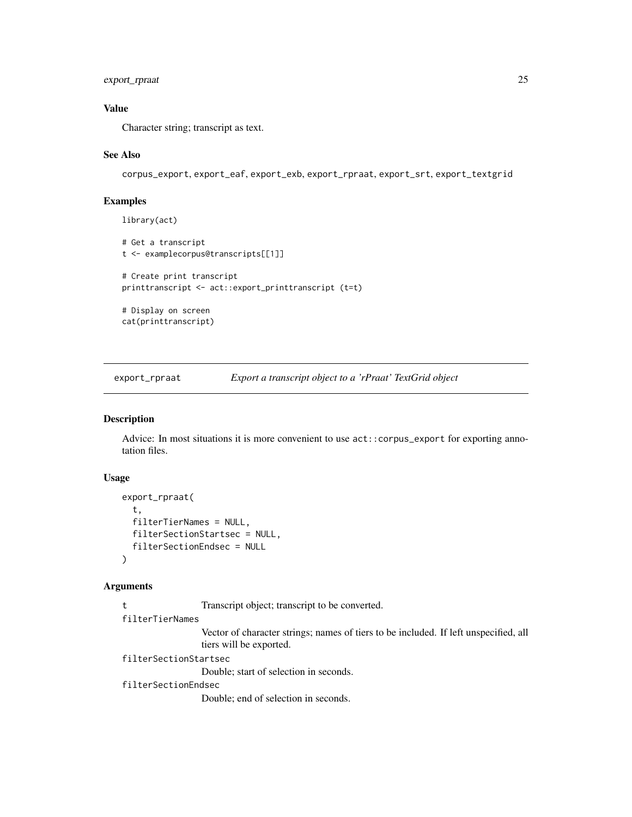# <span id="page-24-0"></span>export\_rpraat 25

# Value

Character string; transcript as text.

# See Also

```
corpus_export, export_eaf, export_exb, export_rpraat, export_srt, export_textgrid
```
# Examples

```
library(act)
```
cat(printtranscript)

```
# Get a transcript
t <- examplecorpus@transcripts[[1]]
# Create print transcript
printtranscript <- act::export_printtranscript (t=t)
# Display on screen
```
export\_rpraat *Export a transcript object to a 'rPraat' TextGrid object*

# Description

Advice: In most situations it is more convenient to use act::corpus\_export for exporting annotation files.

# Usage

```
export_rpraat(
  t,
 filterTierNames = NULL,
 filterSectionStartsec = NULL,
  filterSectionEndsec = NULL
)
```
# Arguments

```
t Transcript object; transcript to be converted.
```

```
filterTierNames
```
Vector of character strings; names of tiers to be included. If left unspecified, all tiers will be exported.

#### filterSectionStartsec

Double; start of selection in seconds.

#### filterSectionEndsec

Double; end of selection in seconds.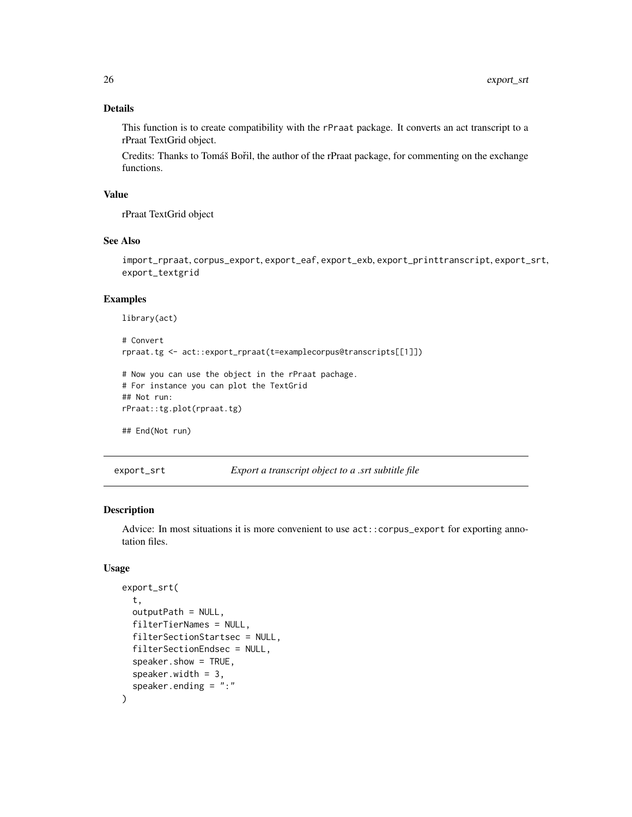# <span id="page-25-0"></span>Details

This function is to create compatibility with the rPraat package. It converts an act transcript to a rPraat TextGrid object.

Credits: Thanks to Tomáš Bořil, the author of the rPraat package, for commenting on the exchange functions.

# Value

rPraat TextGrid object

#### See Also

import\_rpraat, corpus\_export, export\_eaf, export\_exb, export\_printtranscript, export\_srt, export\_textgrid

# Examples

```
library(act)
```

```
# Convert
rpraat.tg <- act::export_rpraat(t=examplecorpus@transcripts[[1]])
# Now you can use the object in the rPraat pachage.
# For instance you can plot the TextGrid
## Not run:
rPraat::tg.plot(rpraat.tg)
## End(Not run)
```
export\_srt *Export a transcript object to a .srt subtitle file*

# Description

Advice: In most situations it is more convenient to use act::corpus\_export for exporting annotation files.

#### Usage

```
export_srt(
  t,
  outputPath = NULL,
  filterTierNames = NULL,
  filterSectionStartsec = NULL,
  filterSectionEndsec = NULL,
  speaker.show = TRUE,
  speaker.width = 3,
  speaker.ending = ":"
\mathcal{E}
```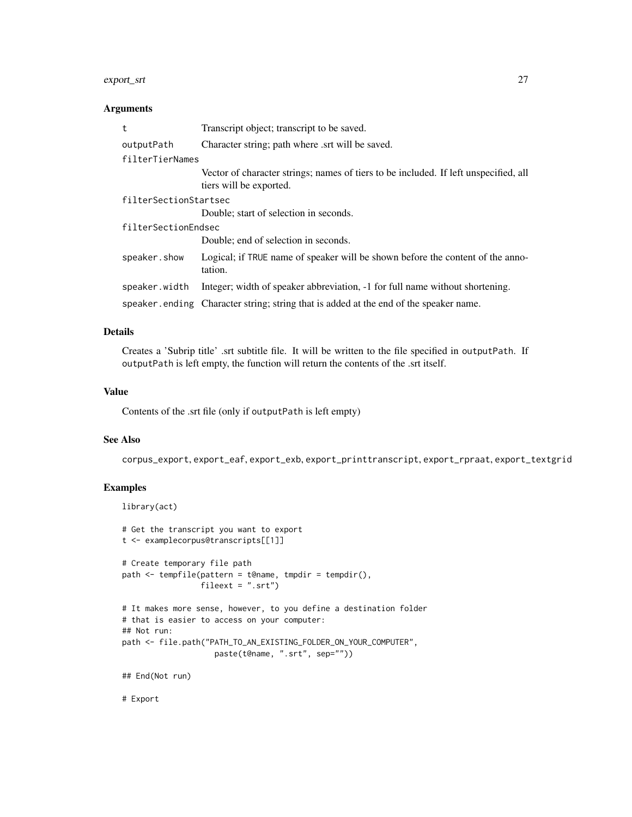#### export\_srt 27

# Arguments

| t                     | Transcript object; transcript to be saved.                                                                      |
|-----------------------|-----------------------------------------------------------------------------------------------------------------|
| outputPath            | Character string; path where .srt will be saved.                                                                |
| filterTierNames       |                                                                                                                 |
|                       | Vector of character strings; names of tiers to be included. If left unspecified, all<br>tiers will be exported. |
| filterSectionStartsec |                                                                                                                 |
|                       | Double; start of selection in seconds.                                                                          |
| filterSectionEndsec   |                                                                                                                 |
|                       | Double; end of selection in seconds.                                                                            |
| speaker.show          | Logical; if TRUE name of speaker will be shown before the content of the anno-<br>tation.                       |
| speaker.width         | Integer; width of speaker abbreviation, -1 for full name without shortening.                                    |
|                       | speaker, ending Character string; string that is added at the end of the speaker name.                          |

# Details

Creates a 'Subrip title' .srt subtitle file. It will be written to the file specified in outputPath. If outputPath is left empty, the function will return the contents of the .srt itself.

# Value

Contents of the .srt file (only if outputPath is left empty)

# See Also

corpus\_export, export\_eaf, export\_exb, export\_printtranscript, export\_rpraat, export\_textgrid

# Examples

```
library(act)
# Get the transcript you want to export
t <- examplecorpus@transcripts[[1]]
# Create temporary file path
path \leq tempfile(pattern = t@name, tmpdir = tempdir(),
                 fileext = ".str")# It makes more sense, however, to you define a destination folder
# that is easier to access on your computer:
## Not run:
path <- file.path("PATH_TO_AN_EXISTING_FOLDER_ON_YOUR_COMPUTER",
                    paste(t@name, ".srt", sep=""))
## End(Not run)
```
# Export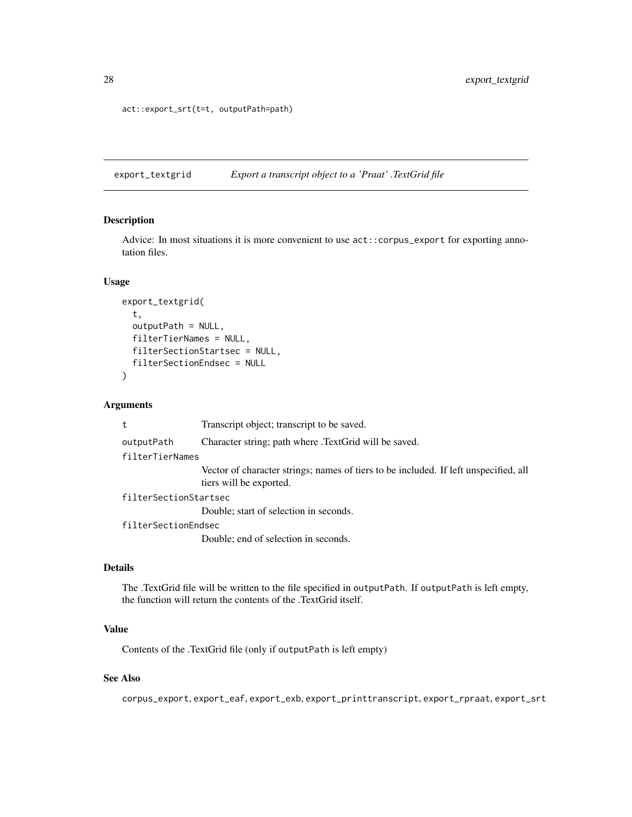```
act::export_srt(t=t, outputPath=path)
```
<span id="page-27-1"></span>export\_textgrid *Export a transcript object to a 'Praat' .TextGrid file*

# Description

Advice: In most situations it is more convenient to use act::corpus\_export for exporting annotation files.

# Usage

```
export_textgrid(
  t,
  outputPath = NULL,
  filterTierNames = NULL,
  filterSectionStartsec = NULL,
  filterSectionEndsec = NULL
)
```
# Arguments

| t                     | Transcript object; transcript to be saved.                                                                      |
|-----------------------|-----------------------------------------------------------------------------------------------------------------|
| outputPath            | Character string; path where .TextGrid will be saved.                                                           |
| filterTierNames       |                                                                                                                 |
|                       | Vector of character strings; names of tiers to be included. If left unspecified, all<br>tiers will be exported. |
| filterSectionStartsec |                                                                                                                 |
|                       | Double; start of selection in seconds.                                                                          |
| filterSectionEndsec   |                                                                                                                 |
|                       | Double; end of selection in seconds.                                                                            |
|                       |                                                                                                                 |

# Details

The .TextGrid file will be written to the file specified in outputPath. If outputPath is left empty, the function will return the contents of the .TextGrid itself.

# Value

Contents of the .TextGrid file (only if outputPath is left empty)

# See Also

corpus\_export, export\_eaf, export\_exb, export\_printtranscript, export\_rpraat, export\_srt

<span id="page-27-0"></span>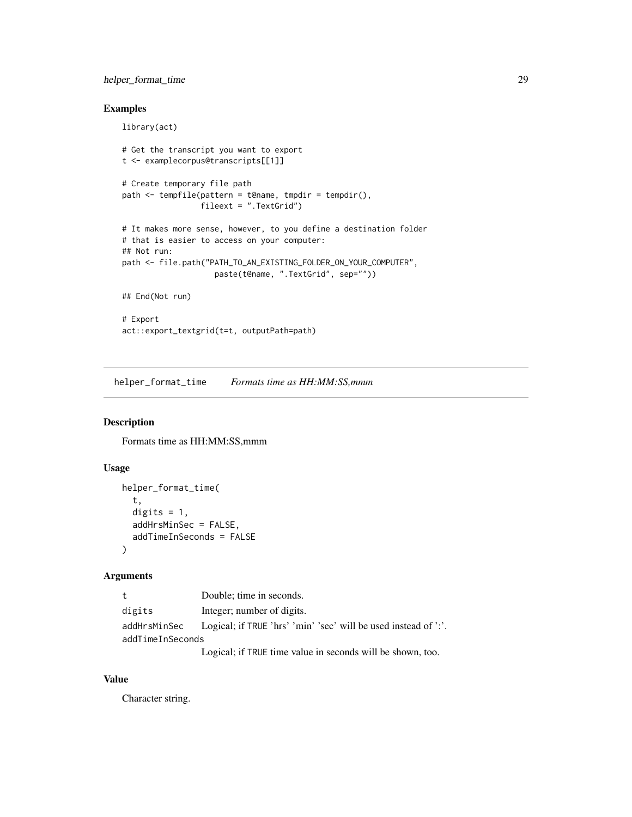# <span id="page-28-0"></span>helper\_format\_time 29

library(act)

# Examples

```
# Get the transcript you want to export
t <- examplecorpus@transcripts[[1]]
# Create temporary file path
path <- tempfile(pattern = t@name, tmpdir = tempdir(),
                fileext = ".TextGrid")
# It makes more sense, however, to you define a destination folder
# that is easier to access on your computer:
## Not run:
path <- file.path("PATH_TO_AN_EXISTING_FOLDER_ON_YOUR_COMPUTER",
                   paste(t@name, ".TextGrid", sep=""))
## End(Not run)
# Export
act::export_textgrid(t=t, outputPath=path)
```
helper\_format\_time *Formats time as HH:MM:SS,mmm*

# Description

Formats time as HH:MM:SS,mmm

#### Usage

```
helper_format_time(
  t,
  digits = 1,
  addHrsMinSec = FALSE,
  addTimeInSeconds = FALSE
)
```
# Arguments

| t                | Double; time in seconds.                                                     |
|------------------|------------------------------------------------------------------------------|
| digits           | Integer; number of digits.                                                   |
|                  | addHrsMinSec Logical; if TRUE 'hrs' 'min' 'sec' will be used instead of ':'. |
| addTimeInSeconds |                                                                              |
|                  |                                                                              |

Logical; if TRUE time value in seconds will be shown, too.

# Value

Character string.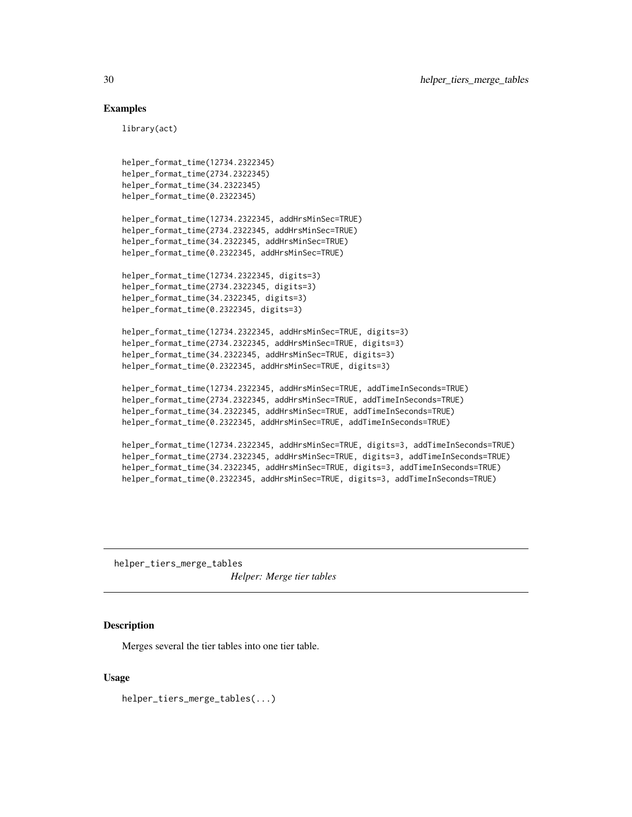# Examples

library(act)

```
helper_format_time(12734.2322345)
helper_format_time(2734.2322345)
helper_format_time(34.2322345)
helper_format_time(0.2322345)
```

```
helper_format_time(12734.2322345, addHrsMinSec=TRUE)
helper_format_time(2734.2322345, addHrsMinSec=TRUE)
helper_format_time(34.2322345, addHrsMinSec=TRUE)
helper_format_time(0.2322345, addHrsMinSec=TRUE)
```

```
helper_format_time(12734.2322345, digits=3)
helper_format_time(2734.2322345, digits=3)
helper_format_time(34.2322345, digits=3)
helper_format_time(0.2322345, digits=3)
```

```
helper_format_time(12734.2322345, addHrsMinSec=TRUE, digits=3)
helper_format_time(2734.2322345, addHrsMinSec=TRUE, digits=3)
helper_format_time(34.2322345, addHrsMinSec=TRUE, digits=3)
helper_format_time(0.2322345, addHrsMinSec=TRUE, digits=3)
```

```
helper_format_time(12734.2322345, addHrsMinSec=TRUE, addTimeInSeconds=TRUE)
helper_format_time(2734.2322345, addHrsMinSec=TRUE, addTimeInSeconds=TRUE)
helper_format_time(34.2322345, addHrsMinSec=TRUE, addTimeInSeconds=TRUE)
helper_format_time(0.2322345, addHrsMinSec=TRUE, addTimeInSeconds=TRUE)
```

```
helper_format_time(12734.2322345, addHrsMinSec=TRUE, digits=3, addTimeInSeconds=TRUE)
helper_format_time(2734.2322345, addHrsMinSec=TRUE, digits=3, addTimeInSeconds=TRUE)
helper_format_time(34.2322345, addHrsMinSec=TRUE, digits=3, addTimeInSeconds=TRUE)
helper_format_time(0.2322345, addHrsMinSec=TRUE, digits=3, addTimeInSeconds=TRUE)
```
<span id="page-29-1"></span>helper\_tiers\_merge\_tables *Helper: Merge tier tables*

#### Description

Merges several the tier tables into one tier table.

#### Usage

helper\_tiers\_merge\_tables(...)

<span id="page-29-0"></span>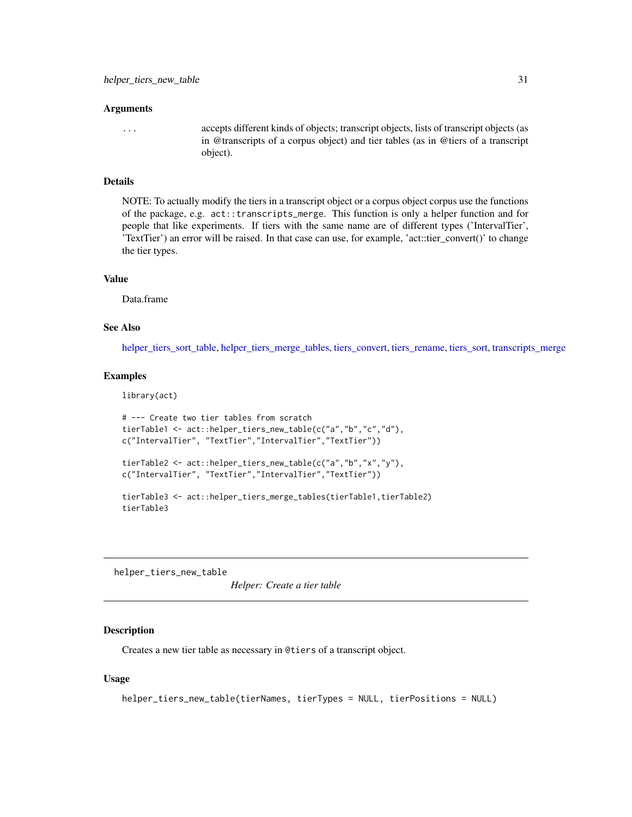<span id="page-30-0"></span>... accepts different kinds of objects; transcript objects, lists of transcript objects (as in @transcripts of a corpus object) and tier tables (as in @tiers of a transcript object).

# Details

NOTE: To actually modify the tiers in a transcript object or a corpus object corpus use the functions of the package, e.g. act::transcripts\_merge. This function is only a helper function and for people that like experiments. If tiers with the same name are of different types ('IntervalTier', 'TextTier') an error will be raised. In that case can use, for example, 'act::tier\_convert()' to change the tier types.

# Value

Data.frame

# See Also

[helper\\_tiers\\_sort\\_table,](#page-31-1) [helper\\_tiers\\_merge\\_tables,](#page-29-1) [tiers\\_convert,](#page-84-1) [tiers\\_rename,](#page-87-1) [tiers\\_sort,](#page-88-1) [transcripts\\_merge](#page-100-1)

#### Examples

library(act)

```
# --- Create two tier tables from scratch
tierTable1 <- act::helper_tiers_new_table(c("a","b","c","d"),
c("IntervalTier", "TextTier","IntervalTier","TextTier"))
tierTable2 <- act::helper_tiers_new_table(c("a","b","x","y"),
c("IntervalTier", "TextTier","IntervalTier","TextTier"))
tierTable3 <- act::helper_tiers_merge_tables(tierTable1,tierTable2)
tierTable3
```
<span id="page-30-1"></span>helper\_tiers\_new\_table

*Helper: Create a tier table*

#### Description

Creates a new tier table as necessary in @tiers of a transcript object.

#### Usage

```
helper_tiers_new_table(tierNames, tierTypes = NULL, tierPositions = NULL)
```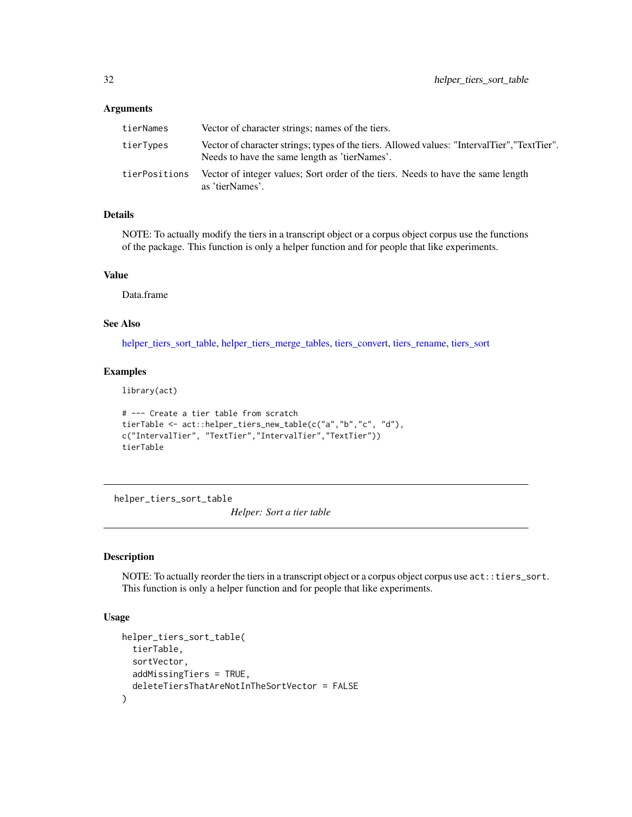<span id="page-31-0"></span>

| tierNames     | Vector of character strings; names of the tiers.                                                                                              |
|---------------|-----------------------------------------------------------------------------------------------------------------------------------------------|
| tierTypes     | Vector of character strings; types of the tiers. Allowed values: "IntervalTier", "TextTier".<br>Needs to have the same length as 'tierNames'. |
| tierPositions | Vector of integer values; Sort order of the tiers. Needs to have the same length<br>as 'tierNames'.                                           |

# Details

NOTE: To actually modify the tiers in a transcript object or a corpus object corpus use the functions of the package. This function is only a helper function and for people that like experiments.

#### Value

Data.frame

# See Also

[helper\\_tiers\\_sort\\_table,](#page-31-1) [helper\\_tiers\\_merge\\_tables,](#page-29-1) [tiers\\_convert,](#page-84-1) [tiers\\_rename,](#page-87-1) [tiers\\_sort](#page-88-1)

#### Examples

library(act)

```
# --- Create a tier table from scratch
tierTable <- act::helper_tiers_new_table(c("a","b","c", "d"),
c("IntervalTier", "TextTier","IntervalTier","TextTier"))
tierTable
```
<span id="page-31-1"></span>helper\_tiers\_sort\_table

*Helper: Sort a tier table*

# Description

NOTE: To actually reorder the tiers in a transcript object or a corpus object corpus use act::tiers\_sort. This function is only a helper function and for people that like experiments.

# Usage

```
helper_tiers_sort_table(
  tierTable,
  sortVector,
  addMissingTiers = TRUE,
  deleteTiersThatAreNotInTheSortVector = FALSE
)
```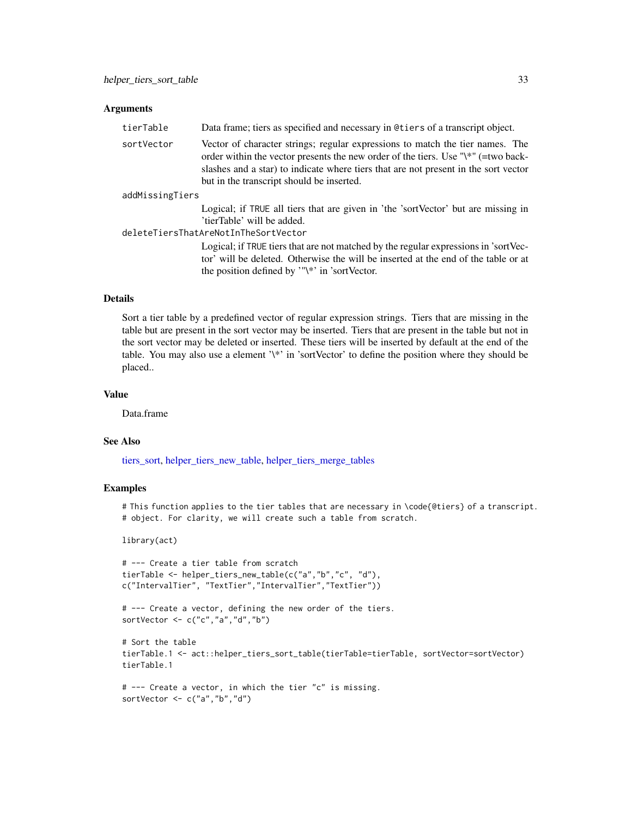| tierTable       | Data frame; tiers as specified and necessary in @tiers of a transcript object.                                                                                                                                                                                                                                 |
|-----------------|----------------------------------------------------------------------------------------------------------------------------------------------------------------------------------------------------------------------------------------------------------------------------------------------------------------|
| sortVector      | Vector of character strings; regular expressions to match the tier names. The<br>order within the vector presents the new order of the tiers. Use " $\aleph$ " (=two back-<br>slashes and a star) to indicate where tiers that are not present in the sort vector<br>but in the transcript should be inserted. |
| addMissingTiers |                                                                                                                                                                                                                                                                                                                |
|                 | Logical; if TRUE all tiers that are given in 'the 'sortVector' but are missing in<br>'tierTable' will be added.                                                                                                                                                                                                |
|                 | deleteTiersThatAreNotInTheSortVector                                                                                                                                                                                                                                                                           |
|                 | Logical; if TRUE tiers that are not matched by the regular expressions in 'sortVec-<br>tor' will be deleted. Otherwise the will be inserted at the end of the table or at<br>the position defined by ''\*' in 'sortVector.                                                                                     |

#### Details

Sort a tier table by a predefined vector of regular expression strings. Tiers that are missing in the table but are present in the sort vector may be inserted. Tiers that are present in the table but not in the sort vector may be deleted or inserted. These tiers will be inserted by default at the end of the table. You may also use a element '\\*' in 'sortVector' to define the position where they should be placed..

#### Value

Data.frame

# See Also

[tiers\\_sort,](#page-88-1) [helper\\_tiers\\_new\\_table,](#page-30-1) [helper\\_tiers\\_merge\\_tables](#page-29-1)

# Examples

# This function applies to the tier tables that are necessary in \code{@tiers} of a transcript. # object. For clarity, we will create such a table from scratch.

library(act)

```
# --- Create a tier table from scratch
tierTable <- helper_tiers_new_table(c("a","b","c", "d"),
c("IntervalTier", "TextTier","IntervalTier","TextTier"))
```

```
# --- Create a vector, defining the new order of the tiers.
sortVector <- c("c","a","d","b")
```

```
# Sort the table
tierTable.1 <- act::helper_tiers_sort_table(tierTable=tierTable, sortVector=sortVector)
tierTable.1
```

```
# --- Create a vector, in which the tier "c" is missing.
sortVector \leq c("a","b","d")
```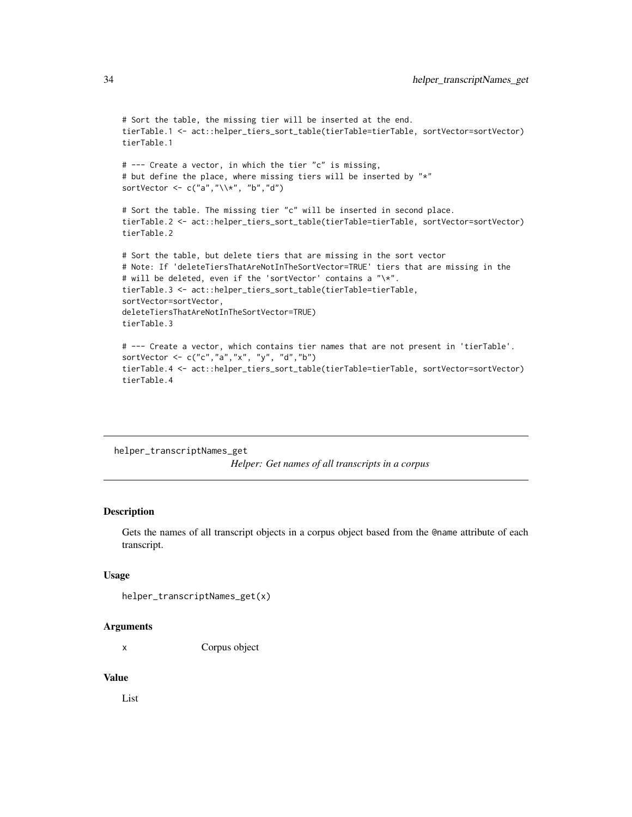```
# Sort the table, the missing tier will be inserted at the end.
tierTable.1 <- act::helper_tiers_sort_table(tierTable=tierTable, sortVector=sortVector)
tierTable.1
# --- Create a vector, in which the tier "c" is missing,
# but define the place, where missing tiers will be inserted by "*"
sortVector <- c("a","\\*", "b","d")
# Sort the table. The missing tier "c" will be inserted in second place.
tierTable.2 <- act::helper_tiers_sort_table(tierTable=tierTable, sortVector=sortVector)
tierTable.2
# Sort the table, but delete tiers that are missing in the sort vector
# Note: If 'deleteTiersThatAreNotInTheSortVector=TRUE' tiers that are missing in the
# will be deleted, even if the 'sortVector' contains a "\*".
tierTable.3 <- act::helper_tiers_sort_table(tierTable=tierTable,
sortVector=sortVector,
deleteTiersThatAreNotInTheSortVector=TRUE)
tierTable.3
# --- Create a vector, which contains tier names that are not present in 'tierTable'.
sortVector <- c("c","a","x", "y", "d","b")
tierTable.4 <- act::helper_tiers_sort_table(tierTable=tierTable, sortVector=sortVector)
tierTable.4
```
helper\_transcriptNames\_get *Helper: Get names of all transcripts in a corpus*

# **Description**

Gets the names of all transcript objects in a corpus object based from the @name attribute of each transcript.

#### Usage

```
helper_transcriptNames_get(x)
```
#### **Arguments**

x Corpus object

#### Value

List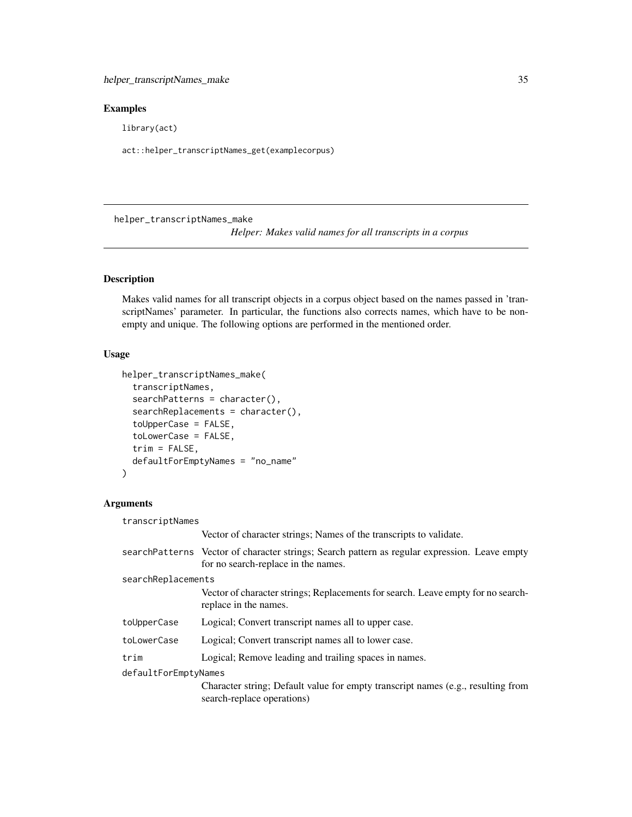# <span id="page-34-0"></span>Examples

library(act)

act::helper\_transcriptNames\_get(examplecorpus)

helper\_transcriptNames\_make

*Helper: Makes valid names for all transcripts in a corpus*

# Description

Makes valid names for all transcript objects in a corpus object based on the names passed in 'transcriptNames' parameter. In particular, the functions also corrects names, which have to be nonempty and unique. The following options are performed in the mentioned order.

#### Usage

```
helper_transcriptNames_make(
  transcriptNames,
  searchPatterns = character(),
  searchReplacements = character(),
  toUpperCase = FALSE,
  toLowerCase = FALSE,
  trim = FALSE,defaultForEmptyNames = "no_name"
)
```
# Arguments

| transcriptNames      |                                                                                                                                       |
|----------------------|---------------------------------------------------------------------------------------------------------------------------------------|
|                      | Vector of character strings; Names of the transcripts to validate.                                                                    |
|                      | search Patterns Vector of character strings; Search pattern as regular expression. Leave empty<br>for no search-replace in the names. |
| searchReplacements   |                                                                                                                                       |
|                      | Vector of character strings; Replacements for search. Leave empty for no search-<br>replace in the names.                             |
| toUpperCase          | Logical; Convert transcript names all to upper case.                                                                                  |
| toLowerCase          | Logical; Convert transcript names all to lower case.                                                                                  |
| trim                 | Logical; Remove leading and trailing spaces in names.                                                                                 |
| defaultForEmptyNames |                                                                                                                                       |
|                      | Character string; Default value for empty transcript names (e.g., resulting from<br>search-replace operations)                        |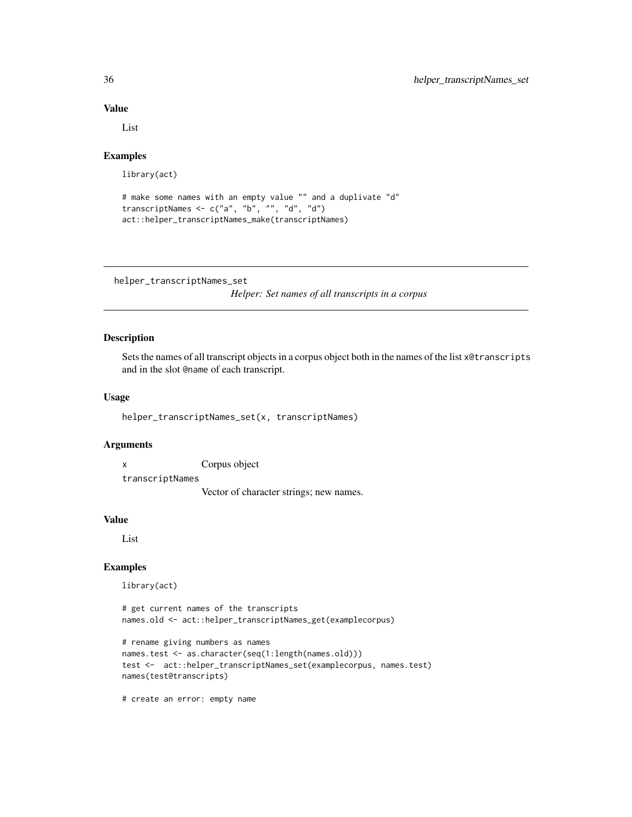#### Value

List

# Examples

library(act)

```
# make some names with an empty value "" and a duplivate "d"
transcriptNames <- c("a", "b", "", "d", "d")
act::helper_transcriptNames_make(transcriptNames)
```
helper\_transcriptNames\_set

*Helper: Set names of all transcripts in a corpus*

# Description

Sets the names of all transcript objects in a corpus object both in the names of the list x@transcripts and in the slot @name of each transcript.

#### Usage

helper\_transcriptNames\_set(x, transcriptNames)

# Arguments

x Corpus object

transcriptNames

Vector of character strings; new names.

#### Value

List

# Examples

library(act)

```
# get current names of the transcripts
names.old <- act::helper_transcriptNames_get(examplecorpus)
```

```
# rename giving numbers as names
names.test <- as.character(seq(1:length(names.old)))
test <- act::helper_transcriptNames_set(examplecorpus, names.test)
names(test@transcripts)
```
# create an error: empty name

<span id="page-35-0"></span>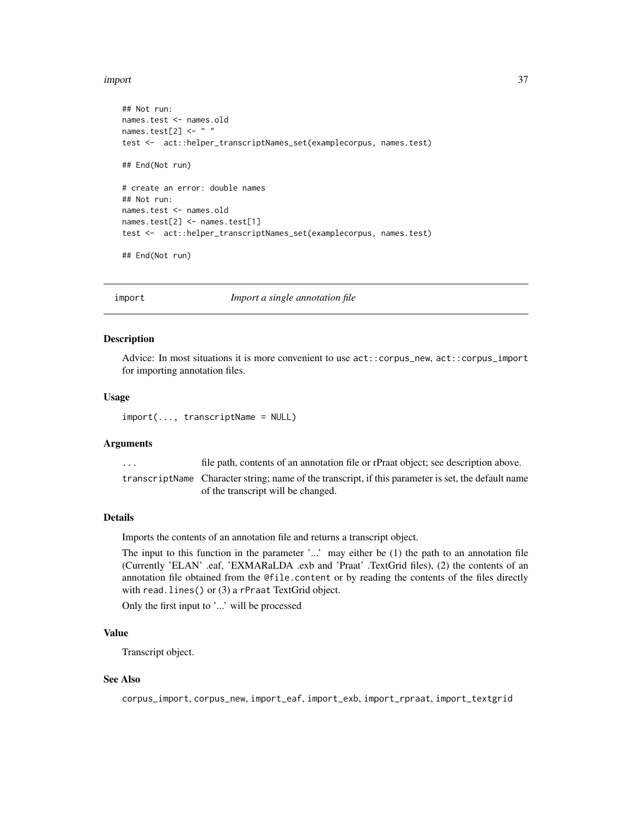#### import 37

```
## Not run:
names.test <- names.old
names.test[2] <- " "
test <- act::helper_transcriptNames_set(examplecorpus, names.test)
## End(Not run)
# create an error: double names
## Not run:
names.test <- names.old
names.test[2] <- names.test[1]
test <- act::helper_transcriptNames_set(examplecorpus, names.test)
```
## End(Not run)

<span id="page-36-0"></span>import *Import a single annotation file*

#### Description

Advice: In most situations it is more convenient to use act::corpus\_new, act::corpus\_import for importing annotation files.

#### Usage

import(..., transcriptName = NULL)

#### Arguments

| . | file path, contents of an annotation file or rPraat object; see description above.                   |
|---|------------------------------------------------------------------------------------------------------|
|   | transcript Name Character string; name of the transcript, if this parameter is set, the default name |
|   | of the transcript will be changed.                                                                   |

#### Details

Imports the contents of an annotation file and returns a transcript object.

The input to this function in the parameter '...' may either be (1) the path to an annotation file (Currently 'ELAN' .eaf, 'EXMARaLDA .exb and 'Praat' .TextGrid files), (2) the contents of an annotation file obtained from the @file.content or by reading the contents of the files directly with read.lines() or (3) a rPraat TextGrid object.

Only the first input to '...' will be processed

# Value

Transcript object.

### See Also

corpus\_import, corpus\_new, import\_eaf, import\_exb, import\_rpraat, import\_textgrid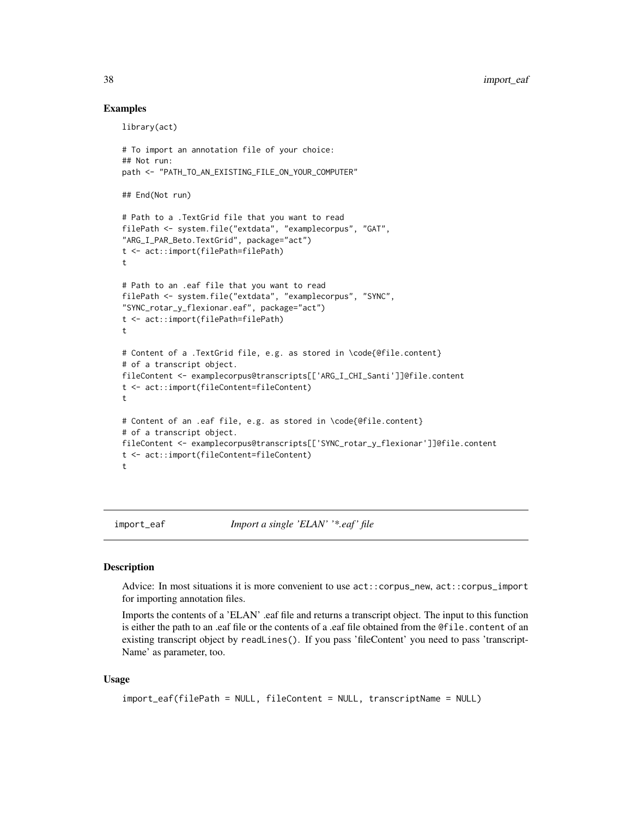# Examples

```
library(act)
# To import an annotation file of your choice:
## Not run:
path <- "PATH_TO_AN_EXISTING_FILE_ON_YOUR_COMPUTER"
## End(Not run)
# Path to a .TextGrid file that you want to read
filePath <- system.file("extdata", "examplecorpus", "GAT",
"ARG_I_PAR_Beto.TextGrid", package="act")
t <- act::import(filePath=filePath)
t
# Path to an .eaf file that you want to read
filePath <- system.file("extdata", "examplecorpus", "SYNC",
"SYNC_rotar_y_flexionar.eaf", package="act")
t <- act::import(filePath=filePath)
t
# Content of a .TextGrid file, e.g. as stored in \code{@file.content}
# of a transcript object.
fileContent <- examplecorpus@transcripts[['ARG_I_CHI_Santi']]@file.content
t <- act::import(fileContent=fileContent)
t
# Content of an .eaf file, e.g. as stored in \code{@file.content}
# of a transcript object.
fileContent <- examplecorpus@transcripts[['SYNC_rotar_y_flexionar']]@file.content
t <- act::import(fileContent=fileContent)
t
```
<span id="page-37-0"></span>import\_eaf *Import a single 'ELAN' '\*.eaf ' file*

# **Description**

Advice: In most situations it is more convenient to use act::corpus\_new, act::corpus\_import for importing annotation files.

Imports the contents of a 'ELAN' .eaf file and returns a transcript object. The input to this function is either the path to an .eaf file or the contents of a .eaf file obtained from the @file.content of an existing transcript object by readLines(). If you pass 'fileContent' you need to pass 'transcript-Name' as parameter, too.

### Usage

```
import_eaf(filePath = NULL, fileContent = NULL, transcriptName = NULL)
```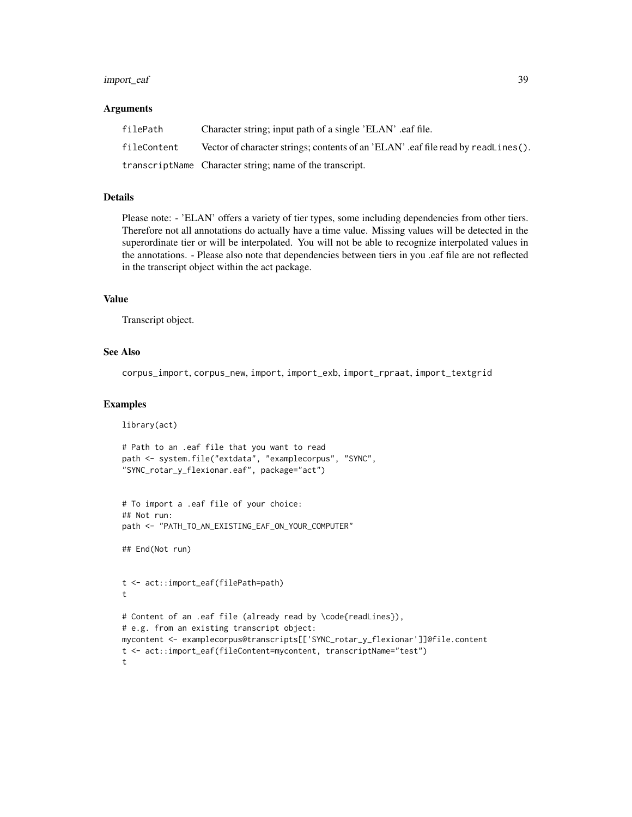# import\_eaf 39

#### Arguments

| filePath    | Character string; input path of a single 'ELAN' .eaf file.                       |
|-------------|----------------------------------------------------------------------------------|
| fileContent | Vector of character strings; contents of an 'ELAN' eaf file read by readLines(). |
|             | transcriptName Character string; name of the transcript.                         |

### Details

Please note: - 'ELAN' offers a variety of tier types, some including dependencies from other tiers. Therefore not all annotations do actually have a time value. Missing values will be detected in the superordinate tier or will be interpolated. You will not be able to recognize interpolated values in the annotations. - Please also note that dependencies between tiers in you .eaf file are not reflected in the transcript object within the act package.

#### Value

Transcript object.

# See Also

corpus\_import, corpus\_new, import, import\_exb, import\_rpraat, import\_textgrid

### Examples

library(act)

```
# Path to an .eaf file that you want to read
path <- system.file("extdata", "examplecorpus", "SYNC",
"SYNC_rotar_y_flexionar.eaf", package="act")
```

```
# To import a .eaf file of your choice:
## Not run:
path <- "PATH_TO_AN_EXISTING_EAF_ON_YOUR_COMPUTER"
```
## End(Not run)

```
t <- act::import_eaf(filePath=path)
t
```

```
# Content of an .eaf file (already read by \code{readLines}),
# e.g. from an existing transcript object:
mycontent <- examplecorpus@transcripts[['SYNC_rotar_y_flexionar']]@file.content
t <- act::import_eaf(fileContent=mycontent, transcriptName="test")
t
```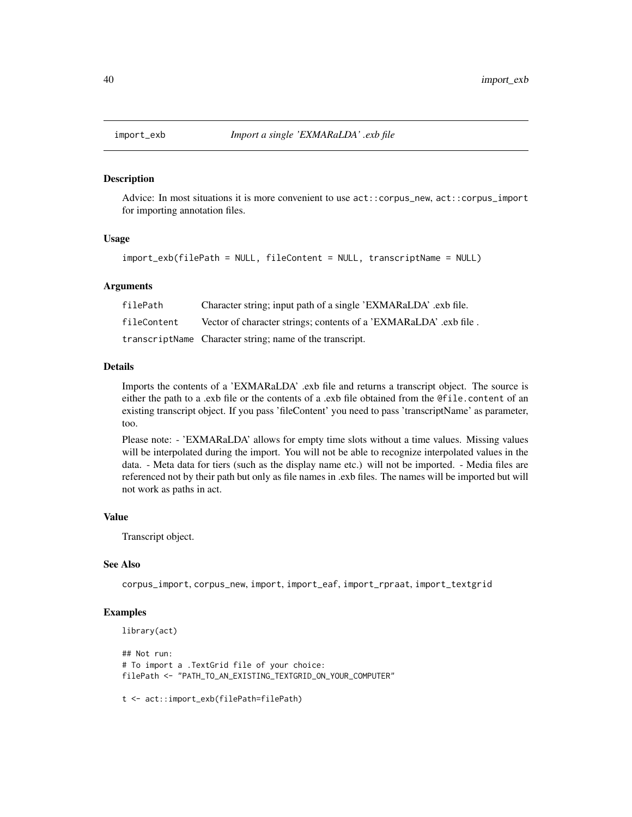Advice: In most situations it is more convenient to use act::corpus\_new, act::corpus\_import for importing annotation files.

### Usage

import\_exb(filePath = NULL, fileContent = NULL, transcriptName = NULL)

#### Arguments

| filePath    | Character string; input path of a single 'EXMARaLDA' .exb file.   |
|-------------|-------------------------------------------------------------------|
| fileContent | Vector of character strings; contents of a 'EXMARaLDA' .exb file. |
|             | transcriptName Character string; name of the transcript.          |

#### Details

Imports the contents of a 'EXMARaLDA' .exb file and returns a transcript object. The source is either the path to a .exb file or the contents of a .exb file obtained from the @file.content of an existing transcript object. If you pass 'fileContent' you need to pass 'transcriptName' as parameter, too.

Please note: - 'EXMARaLDA' allows for empty time slots without a time values. Missing values will be interpolated during the import. You will not be able to recognize interpolated values in the data. - Meta data for tiers (such as the display name etc.) will not be imported. - Media files are referenced not by their path but only as file names in .exb files. The names will be imported but will not work as paths in act.

#### Value

Transcript object.

#### See Also

corpus\_import, corpus\_new, import, import\_eaf, import\_rpraat, import\_textgrid

## Examples

```
library(act)
```

```
## Not run:
# To import a .TextGrid file of your choice:
filePath <- "PATH_TO_AN_EXISTING_TEXTGRID_ON_YOUR_COMPUTER"
```
t <- act::import\_exb(filePath=filePath)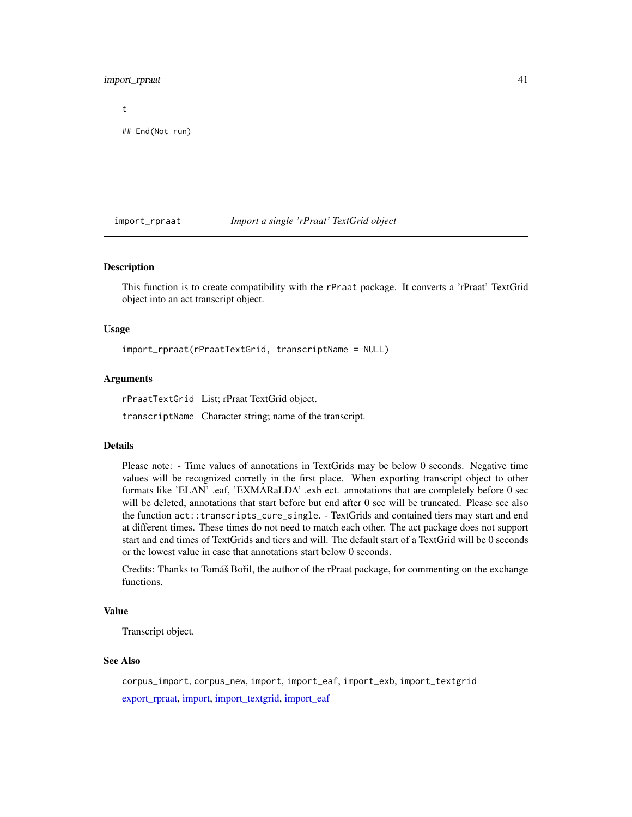# import\_rpraat 41

t

```
## End(Not run)
```
# import\_rpraat *Import a single 'rPraat' TextGrid object*

# Description

This function is to create compatibility with the rPraat package. It converts a 'rPraat' TextGrid object into an act transcript object.

#### Usage

import\_rpraat(rPraatTextGrid, transcriptName = NULL)

#### Arguments

rPraatTextGrid List; rPraat TextGrid object.

transcriptName Character string; name of the transcript.

#### Details

Please note: - Time values of annotations in TextGrids may be below 0 seconds. Negative time values will be recognized corretly in the first place. When exporting transcript object to other formats like 'ELAN' .eaf, 'EXMARaLDA' .exb ect. annotations that are completely before 0 sec will be deleted, annotations that start before but end after 0 sec will be truncated. Please see also the function act::transcripts\_cure\_single. - TextGrids and contained tiers may start and end at different times. These times do not need to match each other. The act package does not support start and end times of TextGrids and tiers and will. The default start of a TextGrid will be 0 seconds or the lowest value in case that annotations start below 0 seconds.

Credits: Thanks to Tomáš Bořil, the author of the rPraat package, for commenting on the exchange functions.

# Value

Transcript object.

# See Also

corpus\_import, corpus\_new, import, import\_eaf, import\_exb, import\_textgrid [export\\_rpraat,](#page-24-0) [import,](#page-36-0) [import\\_textgrid,](#page-41-0) [import\\_eaf](#page-37-0)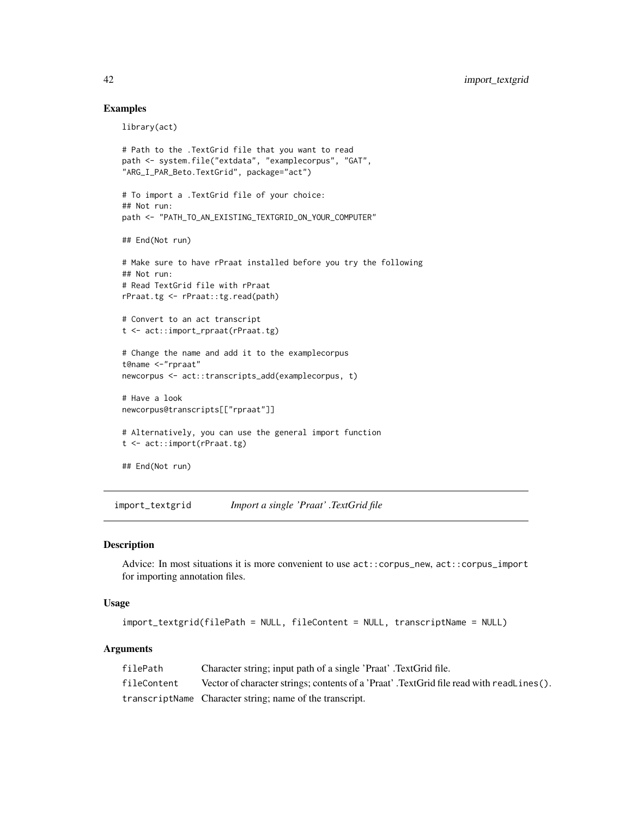# Examples

library(act)

```
# Path to the .TextGrid file that you want to read
path <- system.file("extdata", "examplecorpus", "GAT",
"ARG_I_PAR_Beto.TextGrid", package="act")
# To import a .TextGrid file of your choice:
## Not run:
path <- "PATH_TO_AN_EXISTING_TEXTGRID_ON_YOUR_COMPUTER"
## End(Not run)
# Make sure to have rPraat installed before you try the following
## Not run:
# Read TextGrid file with rPraat
rPraat.tg <- rPraat::tg.read(path)
# Convert to an act transcript
t <- act::import_rpraat(rPraat.tg)
# Change the name and add it to the examplecorpus
t@name <-"rpraat"
newcorpus <- act::transcripts_add(examplecorpus, t)
# Have a look
newcorpus@transcripts[["rpraat"]]
# Alternatively, you can use the general import function
t <- act::import(rPraat.tg)
```
## End(Not run)

<span id="page-41-0"></span>import\_textgrid *Import a single 'Praat' .TextGrid file*

#### Description

Advice: In most situations it is more convenient to use act::corpus\_new, act::corpus\_import for importing annotation files.

#### Usage

```
import_textgrid(filePath = NULL, fileContent = NULL, transcriptName = NULL)
```
#### Arguments

| filePath    | Character string; input path of a single 'Praat'. TextGrid file.                         |
|-------------|------------------------------------------------------------------------------------------|
| fileContent | Vector of character strings; contents of a 'Praat'. TextGrid file read with readLines(). |
|             | transcriptName Character string; name of the transcript.                                 |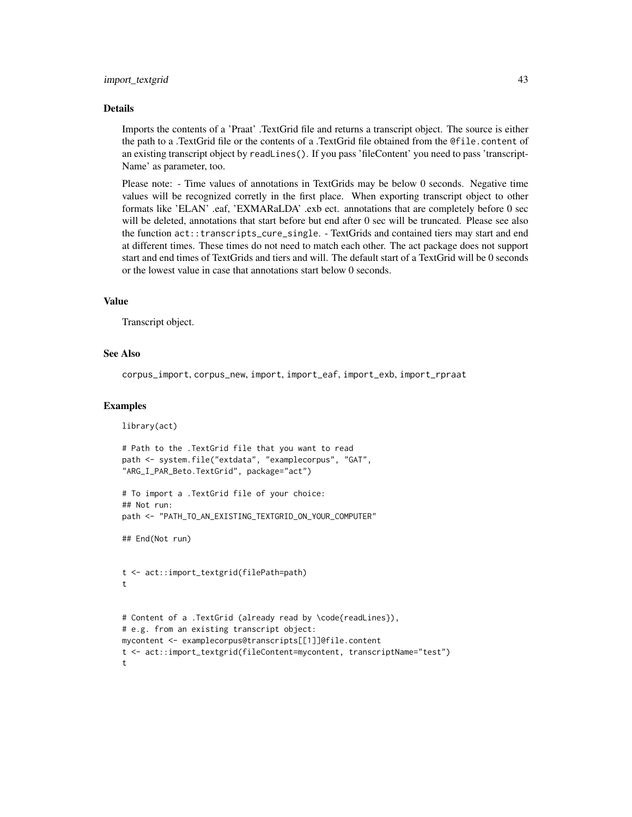### import\_textgrid 43

### Details

Imports the contents of a 'Praat' .TextGrid file and returns a transcript object. The source is either the path to a .TextGrid file or the contents of a .TextGrid file obtained from the @file.content of an existing transcript object by readLines(). If you pass 'fileContent' you need to pass 'transcript-Name' as parameter, too.

Please note: - Time values of annotations in TextGrids may be below 0 seconds. Negative time values will be recognized corretly in the first place. When exporting transcript object to other formats like 'ELAN' .eaf, 'EXMARaLDA' .exb ect. annotations that are completely before 0 sec will be deleted, annotations that start before but end after 0 sec will be truncated. Please see also the function act::transcripts\_cure\_single. - TextGrids and contained tiers may start and end at different times. These times do not need to match each other. The act package does not support start and end times of TextGrids and tiers and will. The default start of a TextGrid will be 0 seconds or the lowest value in case that annotations start below 0 seconds.

# Value

Transcript object.

# See Also

corpus\_import, corpus\_new, import, import\_eaf, import\_exb, import\_rpraat

#### Examples

```
library(act)
# Path to the .TextGrid file that you want to read
path <- system.file("extdata", "examplecorpus", "GAT",
"ARG_I_PAR_Beto.TextGrid", package="act")
# To import a .TextGrid file of your choice:
## Not run:
path <- "PATH_TO_AN_EXISTING_TEXTGRID_ON_YOUR_COMPUTER"
## End(Not run)
t <- act::import_textgrid(filePath=path)
t
# Content of a .TextGrid (already read by \code{readLines}),
# e.g. from an existing transcript object:
mycontent <- examplecorpus@transcripts[[1]]@file.content
t <- act::import_textgrid(fileContent=mycontent, transcriptName="test")
t
```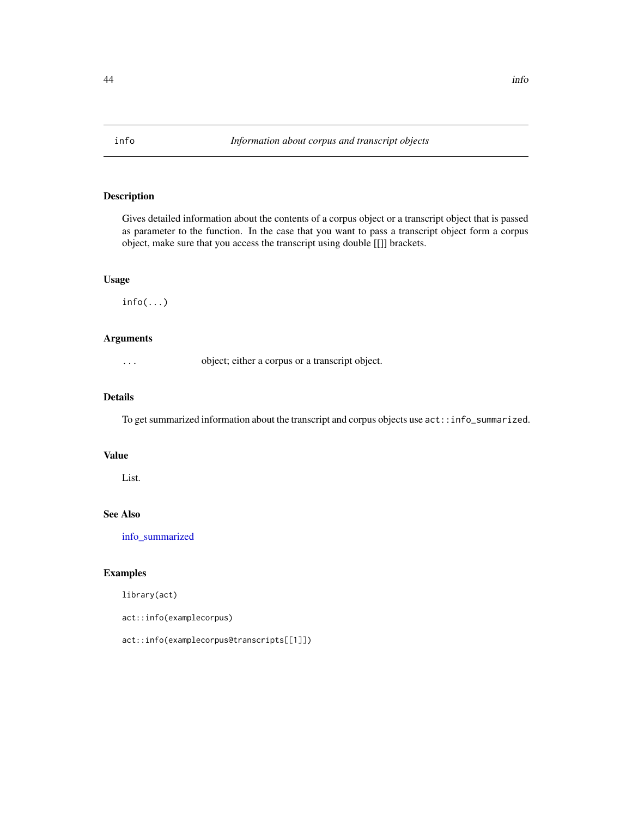<span id="page-43-0"></span>

Gives detailed information about the contents of a corpus object or a transcript object that is passed as parameter to the function. In the case that you want to pass a transcript object form a corpus object, make sure that you access the transcript using double [[]] brackets.

# Usage

 $info(...)$ 

### Arguments

... object; either a corpus or a transcript object.

# Details

To get summarized information about the transcript and corpus objects use act::info\_summarized.

### Value

List.

### See Also

[info\\_summarized](#page-44-0)

# Examples

library(act)

act::info(examplecorpus)

act::info(examplecorpus@transcripts[[1]])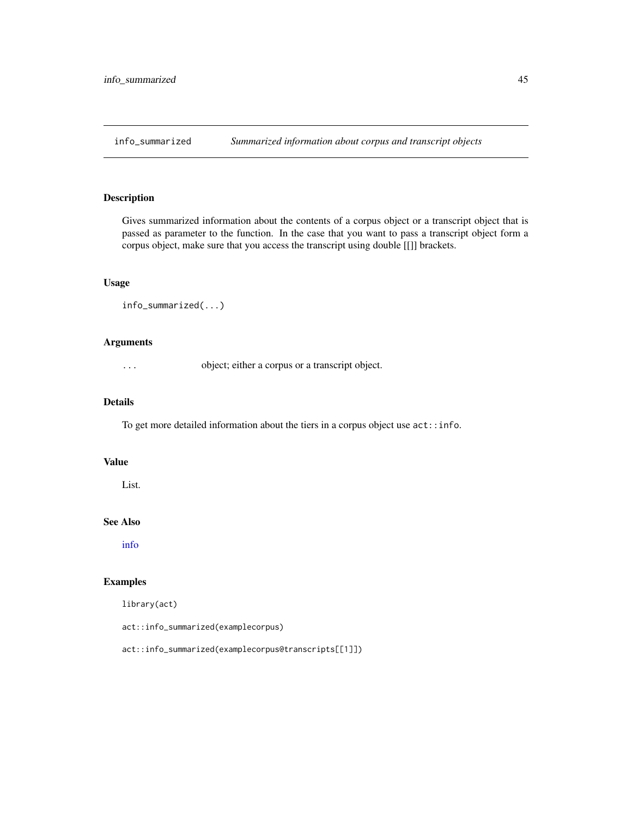<span id="page-44-0"></span>

Gives summarized information about the contents of a corpus object or a transcript object that is passed as parameter to the function. In the case that you want to pass a transcript object form a corpus object, make sure that you access the transcript using double [[]] brackets.

# Usage

```
info_summarized(...)
```
#### Arguments

... object; either a corpus or a transcript object.

### Details

To get more detailed information about the tiers in a corpus object use act::info.

# Value

List.

# See Also

[info](#page-43-0)

### Examples

library(act)

act::info\_summarized(examplecorpus)

act::info\_summarized(examplecorpus@transcripts[[1]])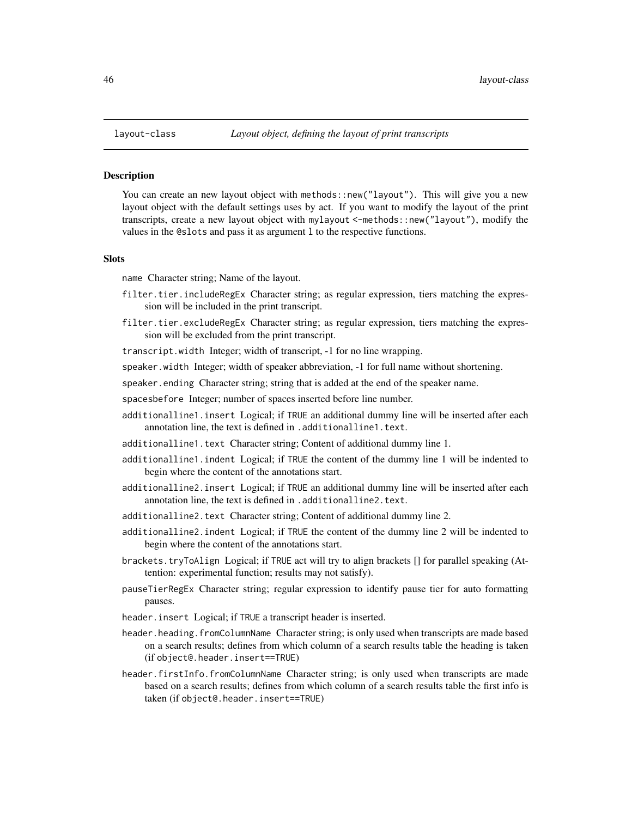You can create an new layout object with methods::new("layout"). This will give you a new layout object with the default settings uses by act. If you want to modify the layout of the print transcripts, create a new layout object with mylayout <-methods::new("layout"), modify the values in the @slots and pass it as argument l to the respective functions.

#### **Slots**

name Character string; Name of the layout.

- filter.tier.includeRegEx Character string; as regular expression, tiers matching the expression will be included in the print transcript.
- filter.tier.excludeRegEx Character string; as regular expression, tiers matching the expression will be excluded from the print transcript.

transcript.width Integer; width of transcript, -1 for no line wrapping.

speaker.width Integer; width of speaker abbreviation, -1 for full name without shortening.

speaker.ending Character string; string that is added at the end of the speaker name.

spacesbefore Integer; number of spaces inserted before line number.

- additionalline1.insert Logical; if TRUE an additional dummy line will be inserted after each annotation line, the text is defined in .additionalline1.text.
- additionalline1.text Character string; Content of additional dummy line 1.
- additionalline1.indent Logical; if TRUE the content of the dummy line 1 will be indented to begin where the content of the annotations start.
- additionalline2.insert Logical; if TRUE an additional dummy line will be inserted after each annotation line, the text is defined in .additionalline2.text.
- additionalline2.text Character string; Content of additional dummy line 2.
- additionalline2.indent Logical; if TRUE the content of the dummy line 2 will be indented to begin where the content of the annotations start.
- brackets.tryToAlign Logical; if TRUE act will try to align brackets [] for parallel speaking (Attention: experimental function; results may not satisfy).
- pauseTierRegEx Character string; regular expression to identify pause tier for auto formatting pauses.
- header.insert Logical; if TRUE a transcript header is inserted.
- header.heading.fromColumnName Character string; is only used when transcripts are made based on a search results; defines from which column of a search results table the heading is taken (if object@.header.insert==TRUE)
- header.firstInfo.fromColumnName Character string; is only used when transcripts are made based on a search results; defines from which column of a search results table the first info is taken (if object@.header.insert==TRUE)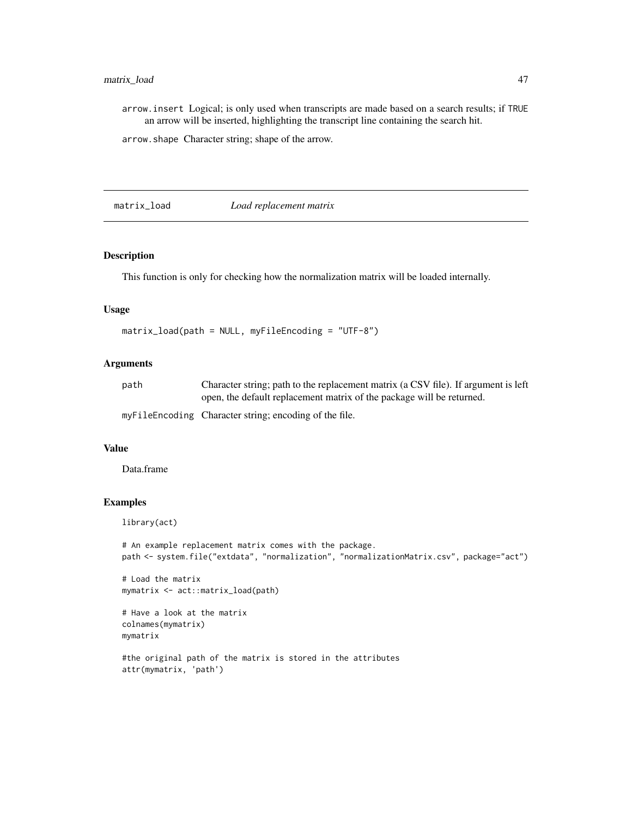arrow.insert Logical; is only used when transcripts are made based on a search results; if TRUE an arrow will be inserted, highlighting the transcript line containing the search hit.

arrow.shape Character string; shape of the arrow.

matrix\_load *Load replacement matrix*

# Description

This function is only for checking how the normalization matrix will be loaded internally.

#### Usage

```
matrix_load(path = NULL, myFileEncoding = "UTF-8")
```
# Arguments

| path | Character string; path to the replacement matrix (a CSV file). If argument is left |
|------|------------------------------------------------------------------------------------|
|      | open, the default replacement matrix of the package will be returned.              |
|      | myFileEncoding Character string; encoding of the file.                             |

### Value

Data.frame

# Examples

library(act)

```
# An example replacement matrix comes with the package.
path <- system.file("extdata", "normalization", "normalizationMatrix.csv", package="act")
```

```
# Load the matrix
mymatrix <- act::matrix_load(path)
```

```
# Have a look at the matrix
colnames(mymatrix)
mymatrix
```

```
#the original path of the matrix is stored in the attributes
attr(mymatrix, 'path')
```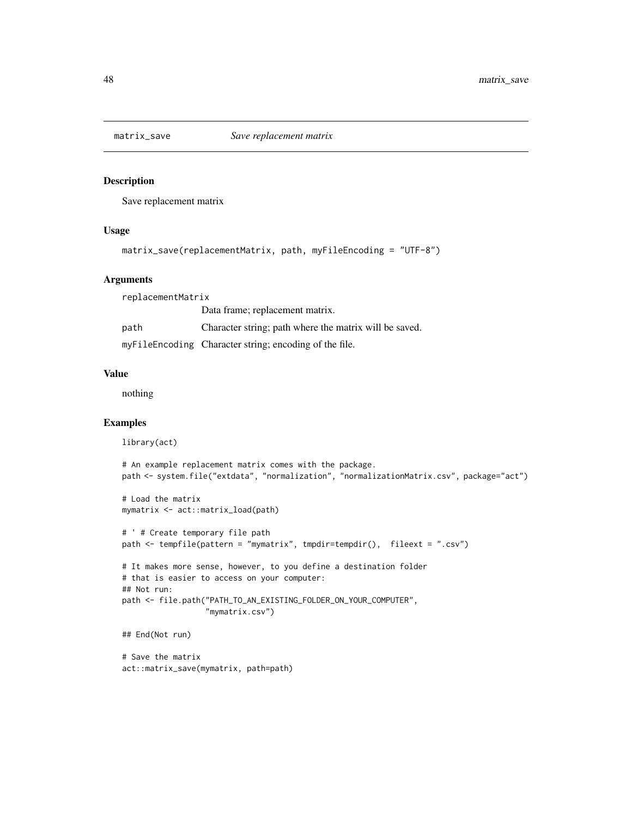Save replacement matrix

### Usage

```
matrix_save(replacementMatrix, path, myFileEncoding = "UTF-8")
```
#### Arguments

replacementMatrix Data frame; replacement matrix. path Character string; path where the matrix will be saved. myFileEncoding Character string; encoding of the file.

# Value

nothing

### Examples

library(act)

```
# An example replacement matrix comes with the package.
path <- system.file("extdata", "normalization", "normalizationMatrix.csv", package="act")
# Load the matrix
mymatrix <- act::matrix_load(path)
# ' # Create temporary file path
path <- tempfile(pattern = "mymatrix", tmpdir=tempdir(), fileext = ".csv")
# It makes more sense, however, to you define a destination folder
# that is easier to access on your computer:
## Not run:
path <- file.path("PATH_TO_AN_EXISTING_FOLDER_ON_YOUR_COMPUTER",
                  "mymatrix.csv")
## End(Not run)
# Save the matrix
act::matrix_save(mymatrix, path=path)
```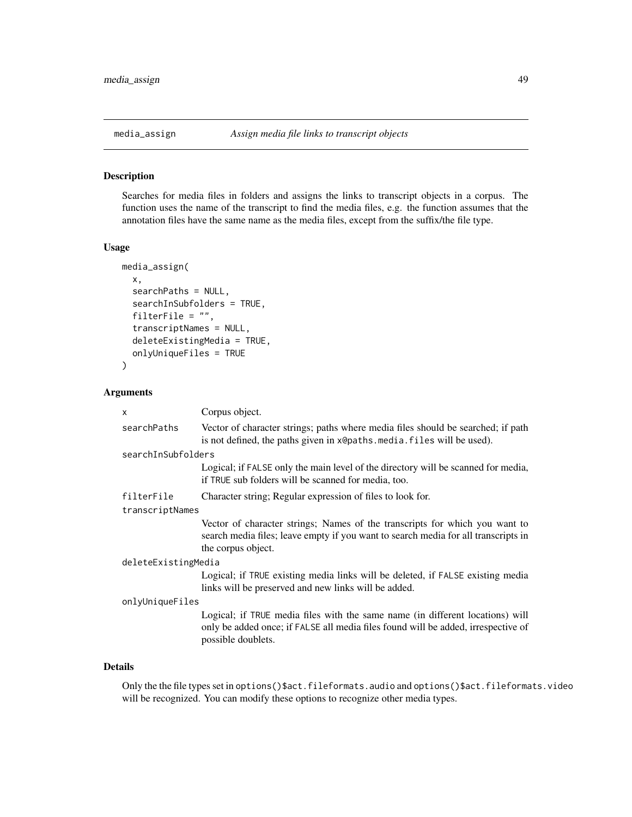<span id="page-48-0"></span>

Searches for media files in folders and assigns the links to transcript objects in a corpus. The function uses the name of the transcript to find the media files, e.g. the function assumes that the annotation files have the same name as the media files, except from the suffix/the file type.

#### Usage

```
media_assign(
  x,
  searchPaths = NULL,
  searchInSubfolders = TRUE,
  filterFile = "",
  transcriptNames = NULL,
  deleteExistingMedia = TRUE,
  onlyUniqueFiles = TRUE
)
```
# Arguments

| X                   | Corpus object.                                                                                                                                                                           |  |
|---------------------|------------------------------------------------------------------------------------------------------------------------------------------------------------------------------------------|--|
| searchPaths         | Vector of character strings; paths where media files should be searched; if path<br>is not defined, the paths given in x@paths.media.files will be used).                                |  |
| searchInSubfolders  |                                                                                                                                                                                          |  |
|                     | Logical; if FALSE only the main level of the directory will be scanned for media,<br>if TRUE sub folders will be scanned for media, too.                                                 |  |
| filterFile          | Character string; Regular expression of files to look for.                                                                                                                               |  |
| transcriptNames     |                                                                                                                                                                                          |  |
|                     | Vector of character strings; Names of the transcripts for which you want to<br>search media files; leave empty if you want to search media for all transcripts in<br>the corpus object.  |  |
| deleteExistingMedia |                                                                                                                                                                                          |  |
|                     | Logical; if TRUE existing media links will be deleted, if FALSE existing media<br>links will be preserved and new links will be added.                                                   |  |
| onlyUniqueFiles     |                                                                                                                                                                                          |  |
|                     | Logical; if TRUE media files with the same name (in different locations) will<br>only be added once; if FALSE all media files found will be added, irrespective of<br>possible doublets. |  |

# Details

Only the the file types set in options()\$act.fileformats.audio and options()\$act.fileformats.video will be recognized. You can modify these options to recognize other media types.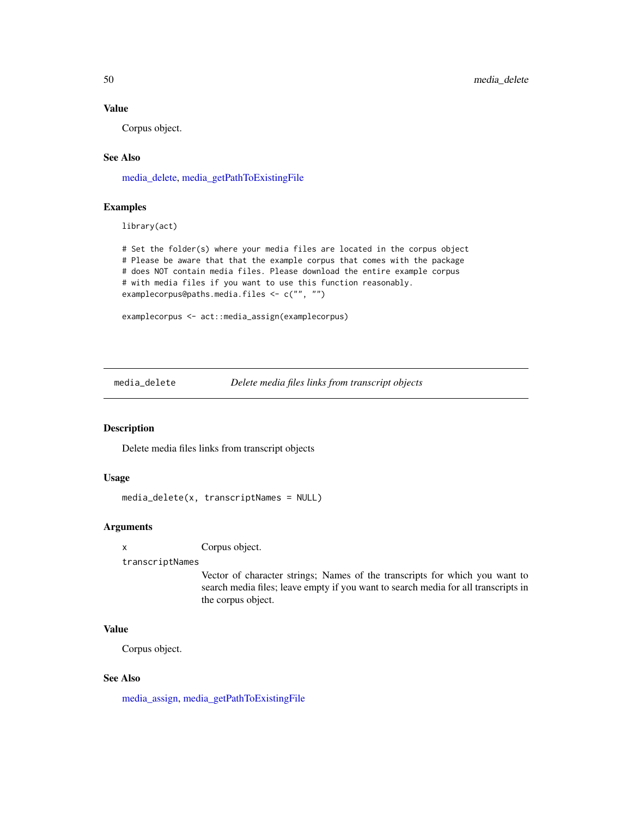# Value

Corpus object.

# See Also

[media\\_delete,](#page-49-0) [media\\_getPathToExistingFile](#page-50-0)

### Examples

library(act)

# Set the folder(s) where your media files are located in the corpus object # Please be aware that that the example corpus that comes with the package # does NOT contain media files. Please download the entire example corpus # with media files if you want to use this function reasonably. examplecorpus@paths.media.files <- c("", "")

examplecorpus <- act::media\_assign(examplecorpus)

<span id="page-49-0"></span>media\_delete *Delete media files links from transcript objects*

#### Description

Delete media files links from transcript objects

#### Usage

```
media_delete(x, transcriptNames = NULL)
```
# Arguments

x Corpus object.

transcriptNames

Vector of character strings; Names of the transcripts for which you want to search media files; leave empty if you want to search media for all transcripts in the corpus object.

# Value

Corpus object.

### See Also

[media\\_assign,](#page-48-0) [media\\_getPathToExistingFile](#page-50-0)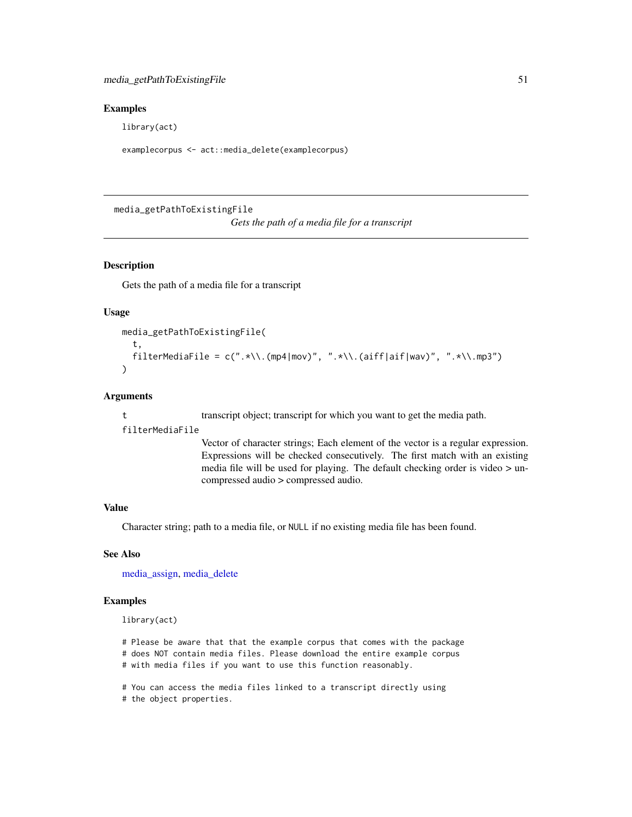### Examples

library(act)

```
examplecorpus <- act::media_delete(examplecorpus)
```
<span id="page-50-0"></span>media\_getPathToExistingFile

*Gets the path of a media file for a transcript*

# **Description**

Gets the path of a media file for a transcript

#### Usage

```
media_getPathToExistingFile(
  t,
 filterMediaFile = c(".*\\\. (mp4|mov)", ".*\\.(aiff|aif|wav)", ".*\\.mp3")
)
```
# Arguments

t transcript object; transcript for which you want to get the media path.

#### filterMediaFile

Vector of character strings; Each element of the vector is a regular expression. Expressions will be checked consecutively. The first match with an existing media file will be used for playing. The default checking order is video > uncompressed audio > compressed audio.

# Value

Character string; path to a media file, or NULL if no existing media file has been found.

#### See Also

[media\\_assign,](#page-48-0) [media\\_delete](#page-49-0)

# Examples

library(act)

```
# Please be aware that that the example corpus that comes with the package
# does NOT contain media files. Please download the entire example corpus
# with media files if you want to use this function reasonably.
```

```
# You can access the media files linked to a transcript directly using
```

```
# the object properties.
```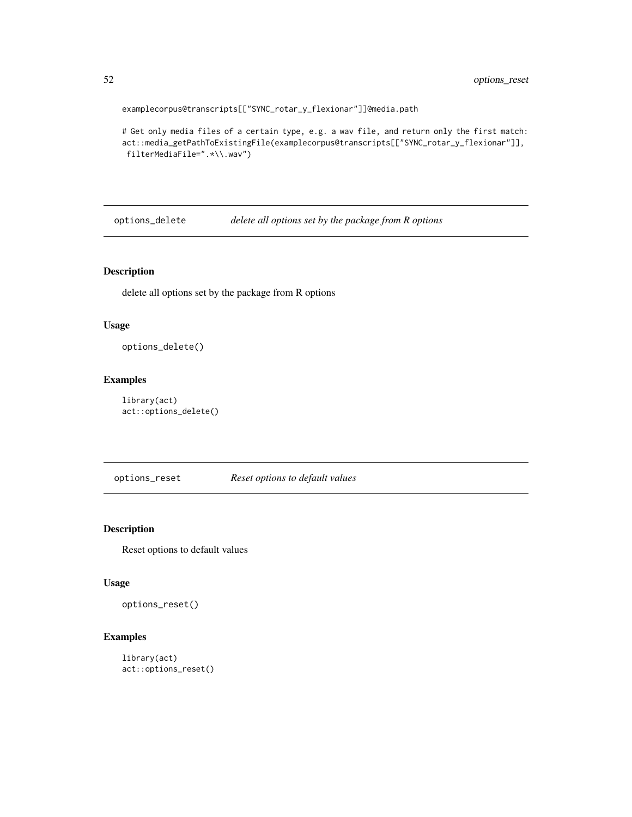examplecorpus@transcripts[["SYNC\_rotar\_y\_flexionar"]]@media.path

```
# Get only media files of a certain type, e.g. a wav file, and return only the first match:
act::media_getPathToExistingFile(examplecorpus@transcripts[["SYNC_rotar_y_flexionar"]],
filterMediaFile=".*\\.wav")
```
options\_delete *delete all options set by the package from R options*

# Description

delete all options set by the package from R options

# Usage

options\_delete()

# Examples

library(act) act::options\_delete()

options\_reset *Reset options to default values*

# Description

Reset options to default values

#### Usage

options\_reset()

### Examples

```
library(act)
act::options_reset()
```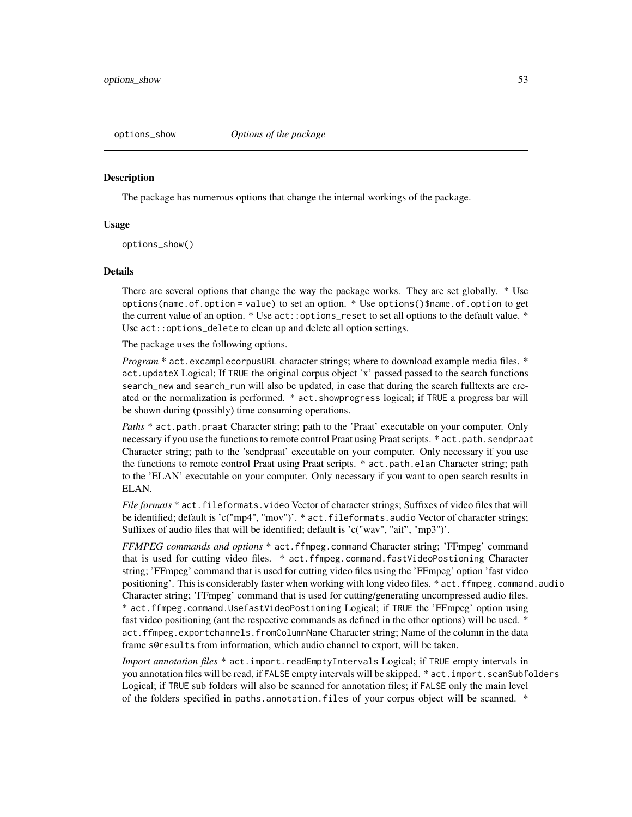The package has numerous options that change the internal workings of the package.

#### Usage

options\_show()

### Details

There are several options that change the way the package works. They are set globally. \* Use options(name.of.option = value) to set an option. \* Use options()\$name.of.option to get the current value of an option.  $*$  Use  $act: :$ options\_reset to set all options to the default value.  $*$ Use  $act: :options\_delete$  to clean up and delete all option settings.

The package uses the following options.

*Program* \* act.excamplecorpusURL character strings; where to download example media files. \* act.updateX Logical; If TRUE the original corpus object 'x' passed passed to the search functions search\_new and search\_run will also be updated, in case that during the search fulltexts are created or the normalization is performed. \* act.showprogress logical; if TRUE a progress bar will be shown during (possibly) time consuming operations.

*Paths* \* act.path.praat Character string; path to the 'Praat' executable on your computer. Only necessary if you use the functions to remote control Praat using Praat scripts. \* act.path.sendpraat Character string; path to the 'sendpraat' executable on your computer. Only necessary if you use the functions to remote control Praat using Praat scripts. \* act.path.elan Character string; path to the 'ELAN' executable on your computer. Only necessary if you want to open search results in ELAN.

*File formats* \* act.fileformats.video Vector of character strings; Suffixes of video files that will be identified; default is 'c("mp4", "mov")'. \* act.fileformats.audio Vector of character strings; Suffixes of audio files that will be identified; default is 'c("wav", "aif", "mp3")'.

*FFMPEG commands and options* \* act.ffmpeg.command Character string; 'FFmpeg' command that is used for cutting video files. \* act.ffmpeg.command.fastVideoPostioning Character string; 'FFmpeg' command that is used for cutting video files using the 'FFmpeg' option 'fast video positioning'. This is considerably faster when working with long video files. \* act.ffmpeg.command.audio Character string; 'FFmpeg' command that is used for cutting/generating uncompressed audio files. \* act.ffmpeg.command.UsefastVideoPostioning Logical; if TRUE the 'FFmpeg' option using fast video positioning (ant the respective commands as defined in the other options) will be used. \* act.ffmpeg.exportchannels.fromColumnName Character string; Name of the column in the data frame s@results from information, which audio channel to export, will be taken.

*Import annotation files* \* act.import.readEmptyIntervals Logical; if TRUE empty intervals in you annotation files will be read, if FALSE empty intervals will be skipped. \* act.import.scanSubfolders Logical; if TRUE sub folders will also be scanned for annotation files; if FALSE only the main level of the folders specified in paths.annotation.files of your corpus object will be scanned. \*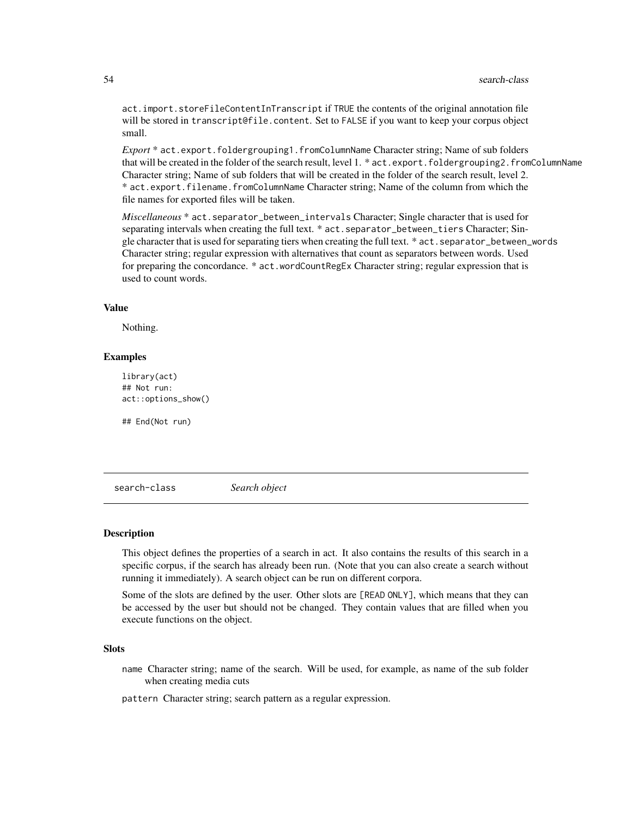act.import.storeFileContentInTranscript if TRUE the contents of the original annotation file will be stored in transcript@file.content. Set to FALSE if you want to keep your corpus object small.

*Export* \* act.export.foldergrouping1.fromColumnName Character string; Name of sub folders that will be created in the folder of the search result, level 1. \* act. export. foldergrouping2. fromColumnName Character string; Name of sub folders that will be created in the folder of the search result, level 2. \* act.export.filename.fromColumnName Character string; Name of the column from which the file names for exported files will be taken.

*Miscellaneous* \* act.separator\_between\_intervals Character; Single character that is used for separating intervals when creating the full text. \* act.separator\_between\_tiers Character; Single character that is used for separating tiers when creating the full text. \* act.separator\_between\_words Character string; regular expression with alternatives that count as separators between words. Used for preparing the concordance. \* act.wordCountRegEx Character string; regular expression that is used to count words.

#### Value

Nothing.

# Examples

library(act) ## Not run: act::options\_show()

## End(Not run)

search-class *Search object*

### Description

This object defines the properties of a search in act. It also contains the results of this search in a specific corpus, if the search has already been run. (Note that you can also create a search without running it immediately). A search object can be run on different corpora.

Some of the slots are defined by the user. Other slots are [READ ONLY], which means that they can be accessed by the user but should not be changed. They contain values that are filled when you execute functions on the object.

#### **Slots**

- name Character string; name of the search. Will be used, for example, as name of the sub folder when creating media cuts
- pattern Character string; search pattern as a regular expression.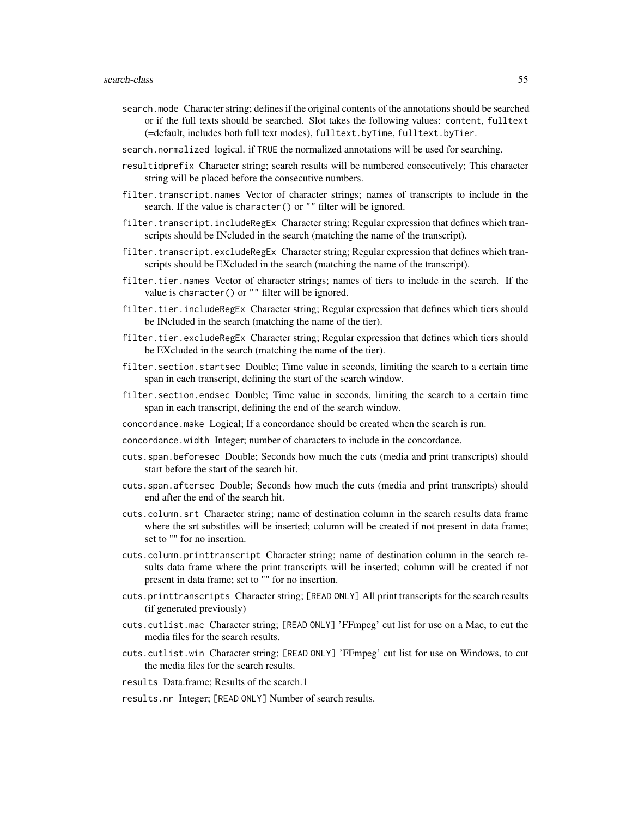- search.mode Character string; defines if the original contents of the annotations should be searched or if the full texts should be searched. Slot takes the following values: content, fulltext (=default, includes both full text modes), fulltext.byTime, fulltext.byTier.
- search.normalized logical. if TRUE the normalized annotations will be used for searching.
- resultidprefix Character string; search results will be numbered consecutively; This character string will be placed before the consecutive numbers.
- filter.transcript.names Vector of character strings; names of transcripts to include in the search. If the value is character() or "" filter will be ignored.
- filter.transcript.includeRegEx Character string; Regular expression that defines which transcripts should be INcluded in the search (matching the name of the transcript).
- filter.transcript.excludeRegEx Character string; Regular expression that defines which transcripts should be EXcluded in the search (matching the name of the transcript).
- filter.tier.names Vector of character strings; names of tiers to include in the search. If the value is character() or "" filter will be ignored.
- filter.tier.includeRegEx Character string; Regular expression that defines which tiers should be INcluded in the search (matching the name of the tier).
- filter.tier.excludeRegEx Character string; Regular expression that defines which tiers should be EXcluded in the search (matching the name of the tier).
- filter.section.startsec Double; Time value in seconds, limiting the search to a certain time span in each transcript, defining the start of the search window.
- filter.section.endsec Double; Time value in seconds, limiting the search to a certain time span in each transcript, defining the end of the search window.
- concordance.make Logical; If a concordance should be created when the search is run.
- concordance.width Integer; number of characters to include in the concordance.
- cuts.span.beforesec Double; Seconds how much the cuts (media and print transcripts) should start before the start of the search hit.
- cuts.span.aftersec Double; Seconds how much the cuts (media and print transcripts) should end after the end of the search hit.
- cuts.column.srt Character string; name of destination column in the search results data frame where the srt substitles will be inserted; column will be created if not present in data frame; set to "" for no insertion.
- cuts.column.printtranscript Character string; name of destination column in the search results data frame where the print transcripts will be inserted; column will be created if not present in data frame; set to "" for no insertion.
- cuts.printtranscripts Character string; [READ ONLY] All print transcripts for the search results (if generated previously)
- cuts.cutlist.mac Character string; [READ ONLY] 'FFmpeg' cut list for use on a Mac, to cut the media files for the search results.
- cuts.cutlist.win Character string; [READ ONLY] 'FFmpeg' cut list for use on Windows, to cut the media files for the search results.
- results Data.frame; Results of the search.1
- results.nr Integer; [READ ONLY] Number of search results.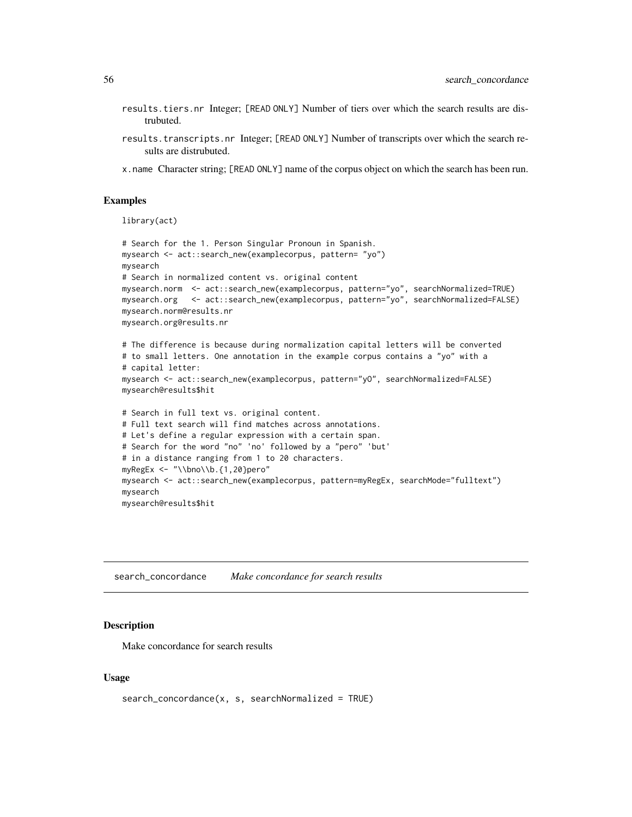- results.tiers.nr Integer; [READ ONLY] Number of tiers over which the search results are distrubuted.
- results.transcripts.nr Integer; [READ ONLY] Number of transcripts over which the search results are distrubuted.
- x.name Character string; [READ ONLY] name of the corpus object on which the search has been run.

# Examples

library(act)

```
# Search for the 1. Person Singular Pronoun in Spanish.
mysearch <- act::search_new(examplecorpus, pattern= "yo")
mysearch
# Search in normalized content vs. original content
mysearch.norm <- act::search_new(examplecorpus, pattern="yo", searchNormalized=TRUE)
mysearch.org <- act::search_new(examplecorpus, pattern="yo", searchNormalized=FALSE)
mysearch.norm@results.nr
mysearch.org@results.nr
# The difference is because during normalization capital letters will be converted
# to small letters. One annotation in the example corpus contains a "yo" with a
# capital letter:
mysearch <- act::search_new(examplecorpus, pattern="yO", searchNormalized=FALSE)
mysearch@results$hit
# Search in full text vs. original content.
# Full text search will find matches across annotations.
# Let's define a regular expression with a certain span.
# Search for the word "no" 'no' followed by a "pero" 'but'
# in a distance ranging from 1 to 20 characters.
myRegEx <- "\\bno\\b.{1,20}pero"
mysearch <- act::search_new(examplecorpus, pattern=myRegEx, searchMode="fulltext")
mysearch
mysearch@results$hit
```
search\_concordance *Make concordance for search results*

#### Description

Make concordance for search results

#### Usage

```
search_concordance(x, s, searchNormalized = TRUE)
```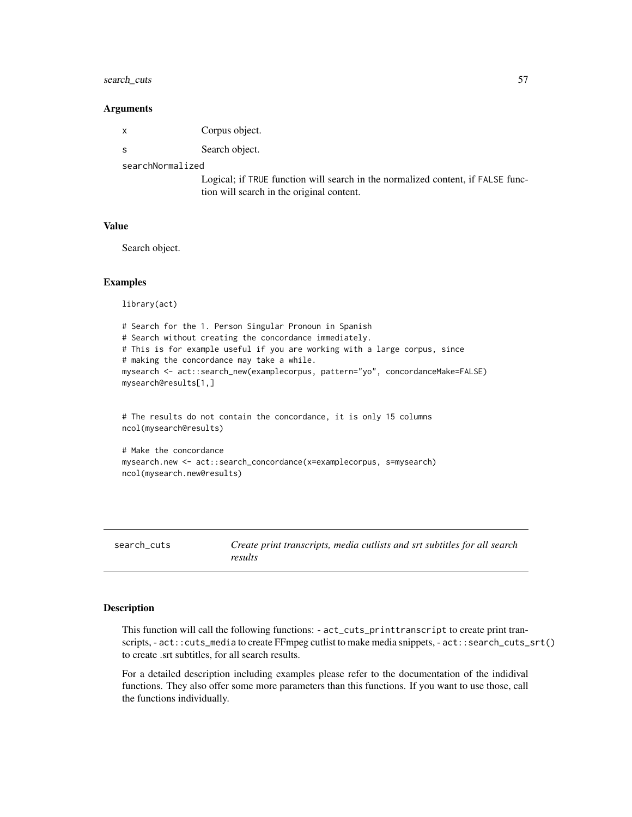# search\_cuts 57

#### **Arguments**

| x | Corpus object. |
|---|----------------|
| s | Search object. |

searchNormalized

Logical; if TRUE function will search in the normalized content, if FALSE function will search in the original content.

### Value

Search object.

#### Examples

library(act)

```
# Search for the 1. Person Singular Pronoun in Spanish
# Search without creating the concordance immediately.
# This is for example useful if you are working with a large corpus, since
# making the concordance may take a while.
mysearch <- act::search_new(examplecorpus, pattern="yo", concordanceMake=FALSE)
mysearch@results[1,]
```
# The results do not contain the concordance, it is only 15 columns ncol(mysearch@results)

```
# Make the concordance
mysearch.new <- act::search_concordance(x=examplecorpus, s=mysearch)
ncol(mysearch.new@results)
```
search\_cuts *Create print transcripts, media cutlists and srt subtitles for all search results*

#### Description

This function will call the following functions: - act\_cuts\_printtranscript to create print transcripts, - act::cuts\_media to create FFmpeg cutlist to make media snippets, - act::search\_cuts\_srt() to create .srt subtitles, for all search results.

For a detailed description including examples please refer to the documentation of the indidival functions. They also offer some more parameters than this functions. If you want to use those, call the functions individually.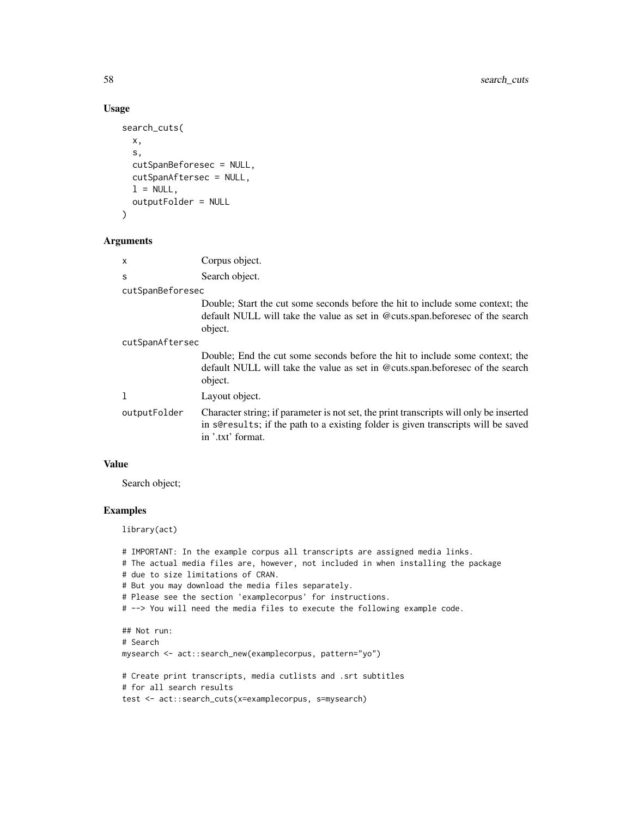# Usage

```
search_cuts(
 x,
  s,
 cutSpanBeforesec = NULL,
 cutSpanAftersec = NULL,
 l = NULL,outputFolder = NULL
)
```
#### Arguments

| X                | Corpus object.                                                                                                                                                                                    |  |
|------------------|---------------------------------------------------------------------------------------------------------------------------------------------------------------------------------------------------|--|
| S                | Search object.                                                                                                                                                                                    |  |
| cutSpanBeforesec |                                                                                                                                                                                                   |  |
|                  | Double; Start the cut some seconds before the hit to include some context; the<br>default NULL will take the value as set in @cuts.span.beforesec of the search<br>object.                        |  |
| cutSpanAftersec  |                                                                                                                                                                                                   |  |
|                  | Double; End the cut some seconds before the hit to include some context; the<br>default NULL will take the value as set in @cuts.span.beforesec of the search<br>object.                          |  |
|                  | Layout object.                                                                                                                                                                                    |  |
| outputFolder     | Character string; if parameter is not set, the print transcripts will only be inserted<br>in sere sults; if the path to a existing folder is given transcripts will be saved<br>in '.txt' format. |  |

# Value

Search object;

# Examples

library(act)

```
# IMPORTANT: In the example corpus all transcripts are assigned media links.
# The actual media files are, however, not included in when installing the package
# due to size limitations of CRAN.
# But you may download the media files separately.
# Please see the section 'examplecorpus' for instructions.
# --> You will need the media files to execute the following example code.
## Not run:
# Search
mysearch <- act::search_new(examplecorpus, pattern="yo")
# Create print transcripts, media cutlists and .srt subtitles
# for all search results
test <- act::search_cuts(x=examplecorpus, s=mysearch)
```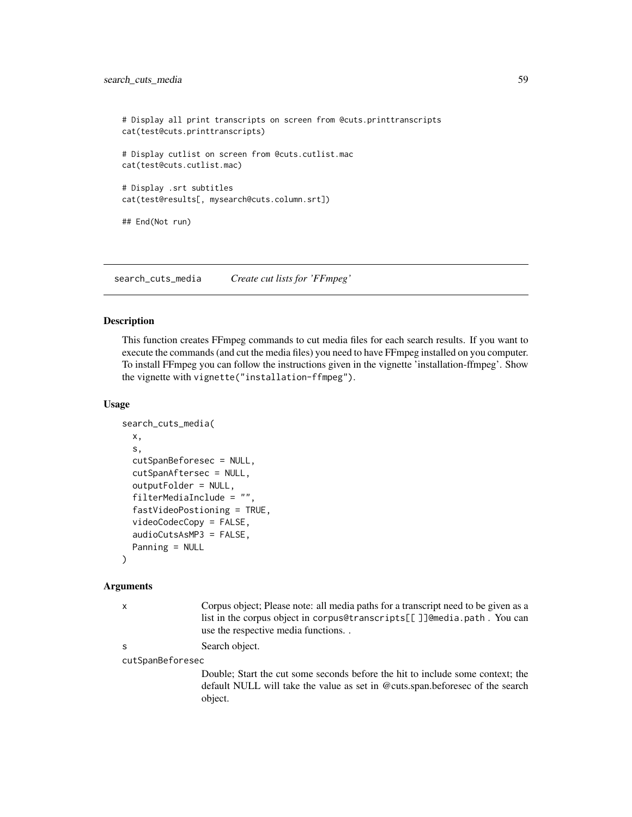```
# Display all print transcripts on screen from @cuts.printtranscripts
cat(test@cuts.printtranscripts)
# Display cutlist on screen from @cuts.cutlist.mac
cat(test@cuts.cutlist.mac)
# Display .srt subtitles
cat(test@results[, mysearch@cuts.column.srt])
## End(Not run)
```
search\_cuts\_media *Create cut lists for 'FFmpeg'*

### Description

This function creates FFmpeg commands to cut media files for each search results. If you want to execute the commands (and cut the media files) you need to have FFmpeg installed on you computer. To install FFmpeg you can follow the instructions given in the vignette 'installation-ffmpeg'. Show the vignette with vignette("installation-ffmpeg").

#### Usage

```
search_cuts_media(
 x,
  s,
  cutSpanBeforesec = NULL,
  cutSpanAftersec = NULL,
  outputFolder = NULL,
  filterMediaInclude = "",
  fastVideoPostioning = TRUE,
  videoCodecCopy = FALSE,
  audioCutsAsMP3 = FALSE,
  Panning = NULL
\lambda
```
#### Arguments

x Corpus object; Please note: all media paths for a transcript need to be given as a list in the corpus object in corpus@transcripts[[ ]]@media.path . You can use the respective media functions. .

s Search object.

cutSpanBeforesec

Double; Start the cut some seconds before the hit to include some context; the default NULL will take the value as set in @cuts.span.beforesec of the search object.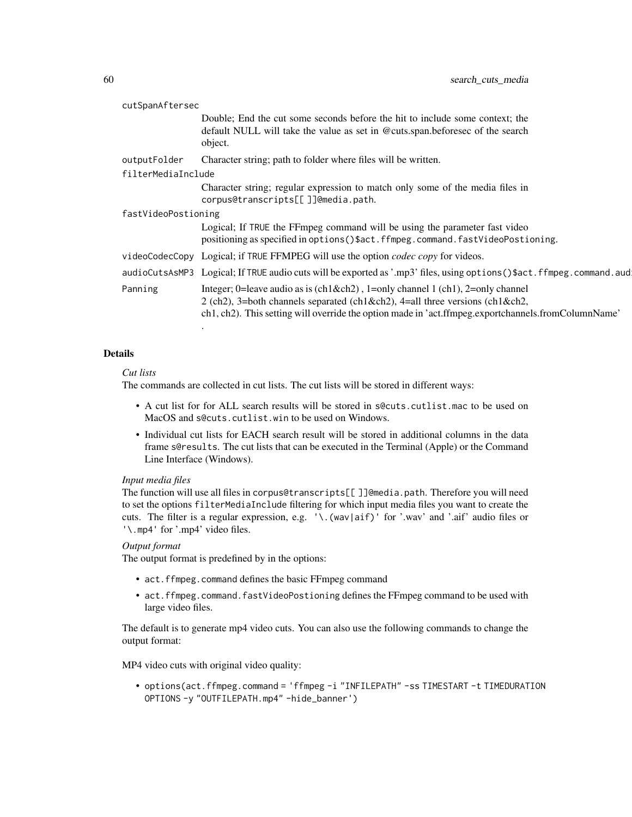| cutSpanAftersec     |                                                                                                                                                                                                                                                                              |  |
|---------------------|------------------------------------------------------------------------------------------------------------------------------------------------------------------------------------------------------------------------------------------------------------------------------|--|
|                     | Double; End the cut some seconds before the hit to include some context; the<br>default NULL will take the value as set in @cuts.span.beforesec of the search<br>object.                                                                                                     |  |
| outputFolder        | Character string; path to folder where files will be written.                                                                                                                                                                                                                |  |
| filterMediaInclude  |                                                                                                                                                                                                                                                                              |  |
|                     | Character string; regular expression to match only some of the media files in<br>corpus@transcripts[[]]@media.path.                                                                                                                                                          |  |
| fastVideoPostioning |                                                                                                                                                                                                                                                                              |  |
|                     | Logical; If TRUE the FFmpeg command will be using the parameter fast video<br>positioning as specified in options ()\$act.ffmpeg.command.fastVideoPostioning.                                                                                                                |  |
|                     | videoCodecCopy Logical; if TRUE FFMPEG will use the option <i>codec copy</i> for videos.                                                                                                                                                                                     |  |
|                     | audioCutsAsMP3 Logical; If TRUE audio cuts will be exported as '.mp3' files, using options()\$act.ffmpeg.command.aud                                                                                                                                                         |  |
| Panning             | Integer; 0=leave audio as is $(ch1\&ch2)$ , 1=only channel 1 $(ch1)$ , 2=only channel<br>2 (ch2), 3=both channels separated (ch1&ch2), 4=all three versions (ch1&ch2,<br>ch1, ch2). This setting will override the option made in 'act.ffmpeg.exportchannels.fromColumnName' |  |
|                     |                                                                                                                                                                                                                                                                              |  |

# Details

#### *Cut lists*

The commands are collected in cut lists. The cut lists will be stored in different ways:

- A cut list for for ALL search results will be stored in s@cuts.cutlist.mac to be used on MacOS and s@cuts.cutlist.win to be used on Windows.
- Individual cut lists for EACH search result will be stored in additional columns in the data frame s@results. The cut lists that can be executed in the Terminal (Apple) or the Command Line Interface (Windows).

### *Input media files*

The function will use all files in corpus@transcripts[[ ]]@media.path. Therefore you will need to set the options filterMediaInclude filtering for which input media files you want to create the cuts. The filter is a regular expression, e.g. '\.(wav|aif)' for '.wav' and '.aif' audio files or '\.mp4' for '.mp4' video files.

# *Output format*

The output format is predefined by in the options:

- act.ffmpeg.command defines the basic FFmpeg command
- act.ffmpeg.command.fastVideoPostioning defines the FFmpeg command to be used with large video files.

The default is to generate mp4 video cuts. You can also use the following commands to change the output format:

MP4 video cuts with original video quality:

• options(act.ffmpeg.command = 'ffmpeg -i "INFILEPATH" -ss TIMESTART -t TIMEDURATION OPTIONS -y "OUTFILEPATH.mp4" -hide\_banner')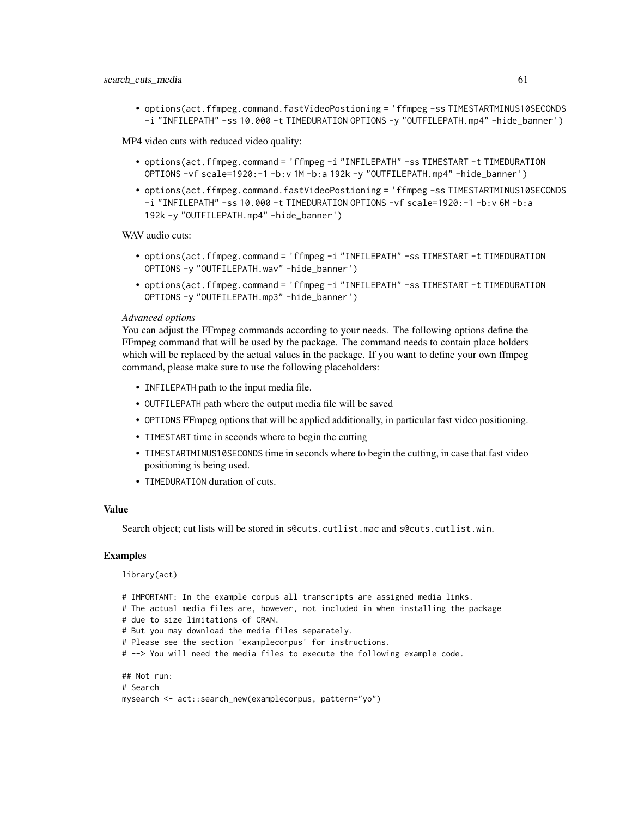• options(act.ffmpeg.command.fastVideoPostioning = 'ffmpeg -ss TIMESTARTMINUS10SECONDS -i "INFILEPATH" -ss 10.000 -t TIMEDURATION OPTIONS -y "OUTFILEPATH.mp4" -hide\_banner')

MP4 video cuts with reduced video quality:

- options(act.ffmpeg.command = 'ffmpeg -i "INFILEPATH" -ss TIMESTART -t TIMEDURATION OPTIONS -vf scale=1920:-1 -b:v 1M -b:a 192k -y "OUTFILEPATH.mp4" -hide\_banner')
- options(act.ffmpeg.command.fastVideoPostioning = 'ffmpeg -ss TIMESTARTMINUS10SECONDS -i "INFILEPATH" -ss 10.000 -t TIMEDURATION OPTIONS -vf scale=1920:-1 -b:v 6M -b:a 192k -y "OUTFILEPATH.mp4" -hide\_banner')

WAV audio cuts:

- options(act.ffmpeg.command = 'ffmpeg -i "INFILEPATH" -ss TIMESTART -t TIMEDURATION OPTIONS -y "OUTFILEPATH.wav" -hide\_banner')
- options(act.ffmpeg.command = 'ffmpeg -i "INFILEPATH" -ss TIMESTART -t TIMEDURATION OPTIONS -y "OUTFILEPATH.mp3" -hide\_banner')

#### *Advanced options*

You can adjust the FFmpeg commands according to your needs. The following options define the FFmpeg command that will be used by the package. The command needs to contain place holders which will be replaced by the actual values in the package. If you want to define your own ffmpeg command, please make sure to use the following placeholders:

- INFILEPATH path to the input media file.
- OUTFILEPATH path where the output media file will be saved
- OPTIONS FFmpeg options that will be applied additionally, in particular fast video positioning.
- TIMESTART time in seconds where to begin the cutting
- TIMESTARTMINUS10SECONDS time in seconds where to begin the cutting, in case that fast video positioning is being used.
- TIMEDURATION duration of cuts.

### Value

Search object; cut lists will be stored in s@cuts.cutlist.mac and s@cuts.cutlist.win.

#### Examples

```
library(act)
```

```
# IMPORTANT: In the example corpus all transcripts are assigned media links.
```
- # The actual media files are, however, not included in when installing the package
- # due to size limitations of CRAN.
- # But you may download the media files separately.
- # Please see the section 'examplecorpus' for instructions.
- # --> You will need the media files to execute the following example code.

```
## Not run:
# Search
mysearch <- act::search_new(examplecorpus, pattern="yo")
```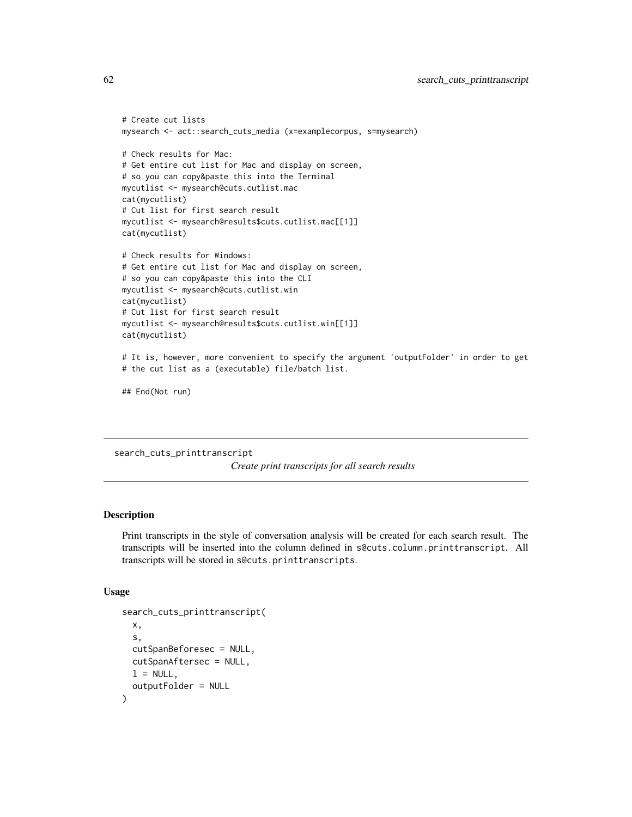# Create cut lists mysearch <- act::search\_cuts\_media (x=examplecorpus, s=mysearch) # Check results for Mac: # Get entire cut list for Mac and display on screen, # so you can copy&paste this into the Terminal mycutlist <- mysearch@cuts.cutlist.mac cat(mycutlist) # Cut list for first search result mycutlist <- mysearch@results\$cuts.cutlist.mac[[1]] cat(mycutlist) # Check results for Windows: # Get entire cut list for Mac and display on screen, # so you can copy&paste this into the CLI mycutlist <- mysearch@cuts.cutlist.win cat(mycutlist) # Cut list for first search result mycutlist <- mysearch@results\$cuts.cutlist.win[[1]] cat(mycutlist)

# It is, however, more convenient to specify the argument 'outputFolder' in order to get # the cut list as a (executable) file/batch list.

## End(Not run)

search\_cuts\_printtranscript

*Create print transcripts for all search results*

# Description

Print transcripts in the style of conversation analysis will be created for each search result. The transcripts will be inserted into the column defined in s@cuts.column.printtranscript. All transcripts will be stored in s@cuts.printtranscripts.

### Usage

```
search_cuts_printtranscript(
 x,
  s,
 cutSpanBeforesec = NULL,
  cutSpanAftersec = NULL,
  l = NULL,outputFolder = NULL
)
```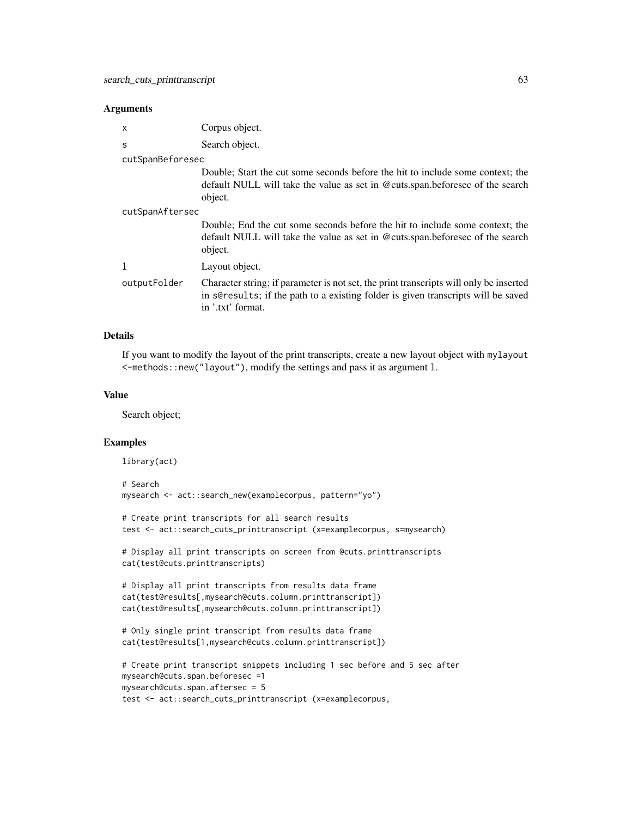#### **Arguments**

| X                | Corpus object.                                                                                                                                                                                             |  |
|------------------|------------------------------------------------------------------------------------------------------------------------------------------------------------------------------------------------------------|--|
| S                | Search object.                                                                                                                                                                                             |  |
| cutSpanBeforesec |                                                                                                                                                                                                            |  |
|                  | Double; Start the cut some seconds before the hit to include some context; the<br>default NULL will take the value as set in @cuts.span.beforesec of the search<br>object.                                 |  |
| cutSpanAftersec  |                                                                                                                                                                                                            |  |
|                  | Double; End the cut some seconds before the hit to include some context; the<br>default NULL will take the value as set in @cuts.span.beforesec of the search<br>object.                                   |  |
|                  | Layout object.                                                                                                                                                                                             |  |
| outputFolder     | Character string; if parameter is not set, the print transcripts will only be inserted<br>in series in serial set if the path to a existing folder is given transcripts will be saved<br>in '.txt' format. |  |

# Details

If you want to modify the layout of the print transcripts, create a new layout object with mylayout <-methods::new("layout"), modify the settings and pass it as argument l.

#### Value

Search object;

library(act)

# Examples

```
# Search
mysearch <- act::search_new(examplecorpus, pattern="yo")
```

```
# Create print transcripts for all search results
test <- act::search_cuts_printtranscript (x=examplecorpus, s=mysearch)
```
# Display all print transcripts on screen from @cuts.printtranscripts cat(test@cuts.printtranscripts)

```
# Display all print transcripts from results data frame
cat(test@results[,mysearch@cuts.column.printtranscript])
cat(test@results[,mysearch@cuts.column.printtranscript])
```

```
# Only single print transcript from results data frame
cat(test@results[1,mysearch@cuts.column.printtranscript])
```

```
# Create print transcript snippets including 1 sec before and 5 sec after
mysearch@cuts.span.beforesec =1
mysearch@cuts.span.aftersec = 5
test <- act::search_cuts_printtranscript (x=examplecorpus,
```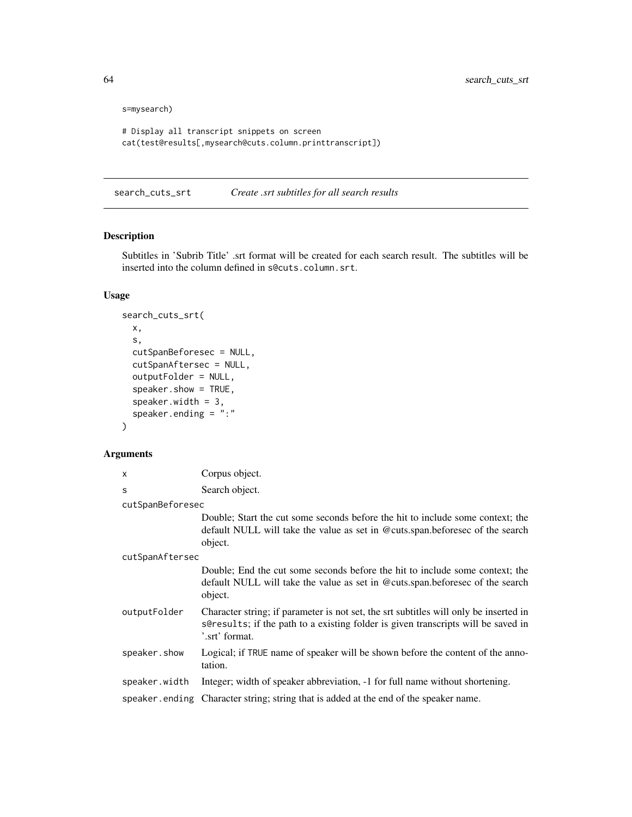```
s=mysearch)
```

```
# Display all transcript snippets on screen
cat(test@results[,mysearch@cuts.column.printtranscript])
```
search\_cuts\_srt *Create .srt subtitles for all search results*

# Description

Subtitles in 'Subrib Title' .srt format will be created for each search result. The subtitles will be inserted into the column defined in s@cuts.column.srt.

# Usage

```
search_cuts_srt(
 x,
 s,
 cutSpanBeforesec = NULL,
  cutSpanAftersec = NULL,
 outputFolder = NULL,
  speaker.show = TRUE,
  speaker.width = 3,
  speaker.ending = ":"
\mathcal{L}
```
# Arguments

| X                | Corpus object.                                                                                                                                                                               |
|------------------|----------------------------------------------------------------------------------------------------------------------------------------------------------------------------------------------|
| S                | Search object.                                                                                                                                                                               |
| cutSpanBeforesec |                                                                                                                                                                                              |
|                  | Double; Start the cut some seconds before the hit to include some context; the<br>default NULL will take the value as set in @cuts.span.beforesec of the search<br>object.                   |
| cutSpanAftersec  |                                                                                                                                                                                              |
|                  | Double; End the cut some seconds before the hit to include some context; the<br>default NULL will take the value as set in @cuts.span.beforesec of the search<br>object.                     |
| outputFolder     | Character string; if parameter is not set, the srt subtitles will only be inserted in<br>s@results; if the path to a existing folder is given transcripts will be saved in<br>'.srt' format. |
| speaker.show     | Logical; if TRUE name of speaker will be shown before the content of the anno-<br>tation.                                                                                                    |
| speaker.width    | Integer; width of speaker abbreviation, -1 for full name without shortening.                                                                                                                 |
| speaker.ending   | Character string; string that is added at the end of the speaker name.                                                                                                                       |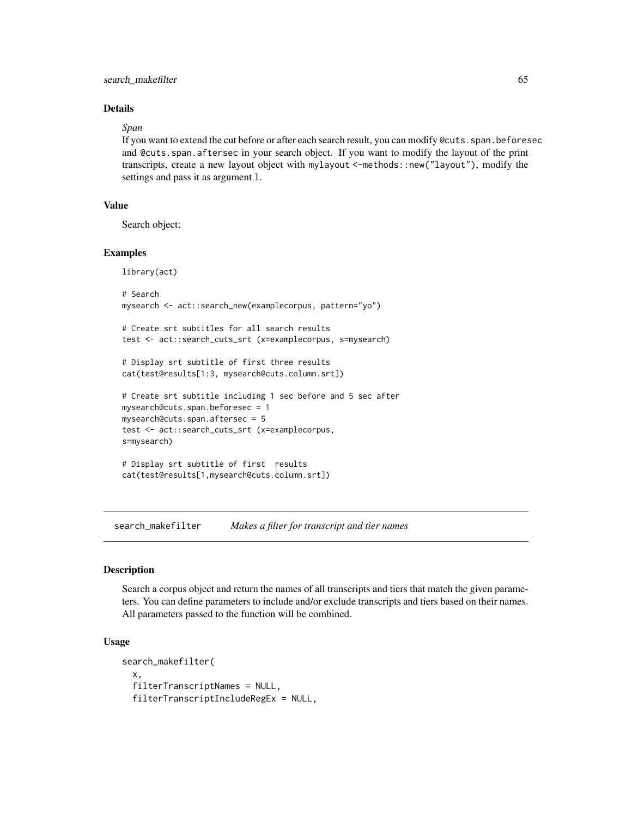# **Details**

#### *Span*

If you want to extend the cut before or after each search result, you can modify @cuts.span.beforesec and @cuts.span.aftersec in your search object. If you want to modify the layout of the print transcripts, create a new layout object with mylayout <-methods::new("layout"), modify the settings and pass it as argument l.

# Value

Search object;

### Examples

```
library(act)
```

```
# Search
mysearch <- act::search_new(examplecorpus, pattern="yo")
# Create srt subtitles for all search results
test <- act::search_cuts_srt (x=examplecorpus, s=mysearch)
# Display srt subtitle of first three results
cat(test@results[1:3, mysearch@cuts.column.srt])
# Create srt subtitle including 1 sec before and 5 sec after
mysearch@cuts.span.beforesec = 1
mysearch@cuts.span.aftersec = 5
test <- act::search_cuts_srt (x=examplecorpus,
s=mysearch)
# Display srt subtitle of first results
cat(test@results[1,mysearch@cuts.column.srt])
```
<span id="page-64-0"></span>search\_makefilter *Makes a filter for transcript and tier names*

### Description

Search a corpus object and return the names of all transcripts and tiers that match the given parameters. You can define parameters to include and/or exclude transcripts and tiers based on their names. All parameters passed to the function will be combined.

### Usage

```
search_makefilter(
  x,
  filterTranscriptNames = NULL,
  filterTranscriptIncludeRegEx = NULL,
```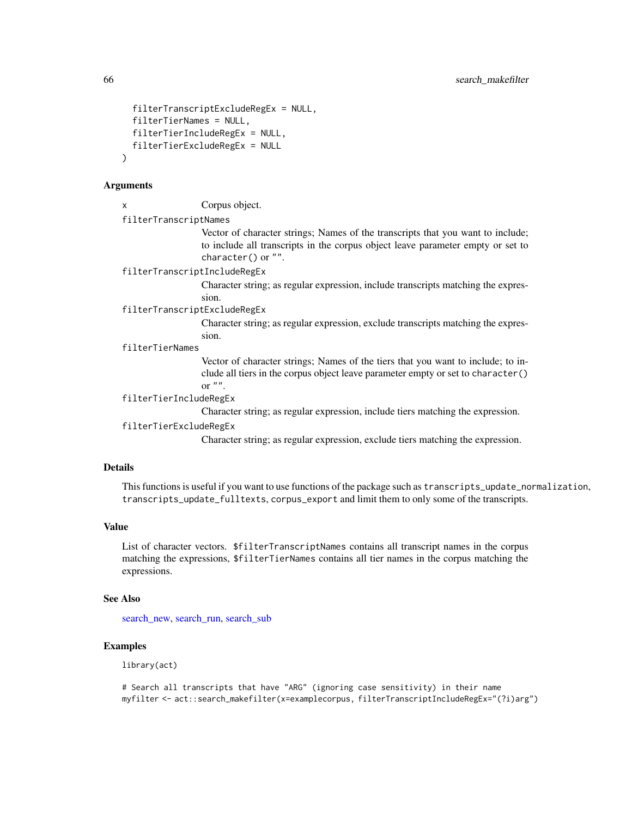```
filterTranscriptExcludeRegEx = NULL,
filterTierNames = NULL,
filterTierIncludeRegEx = NULL,
filterTierExcludeRegEx = NULL
```
#### Arguments

)

| Corpus object. |  |
|----------------|--|
|                |  |

filterTranscriptNames

Vector of character strings; Names of the transcripts that you want to include; to include all transcripts in the corpus object leave parameter empty or set to character() or "".

filterTranscriptIncludeRegEx

Character string; as regular expression, include transcripts matching the expression.

filterTranscriptExcludeRegEx

Character string; as regular expression, exclude transcripts matching the expression.

#### filterTierNames

Vector of character strings; Names of the tiers that you want to include; to include all tiers in the corpus object leave parameter empty or set to character() or  $"$ .

### filterTierIncludeRegEx

Character string; as regular expression, include tiers matching the expression.

### filterTierExcludeRegEx

Character string; as regular expression, exclude tiers matching the expression.

# Details

This functions is useful if you want to use functions of the package such as transcripts\_update\_normalization, transcripts\_update\_fulltexts, corpus\_export and limit them to only some of the transcripts.

# Value

List of character vectors. \$filterTranscriptNames contains all transcript names in the corpus matching the expressions, \$filterTierNames contains all tier names in the corpus matching the expressions.

### See Also

[search\\_new,](#page-66-0) [search\\_run,](#page-76-0) [search\\_sub](#page-78-0)

### Examples

library(act)

# Search all transcripts that have "ARG" (ignoring case sensitivity) in their name myfilter <- act::search\_makefilter(x=examplecorpus, filterTranscriptIncludeRegEx="(?i)arg")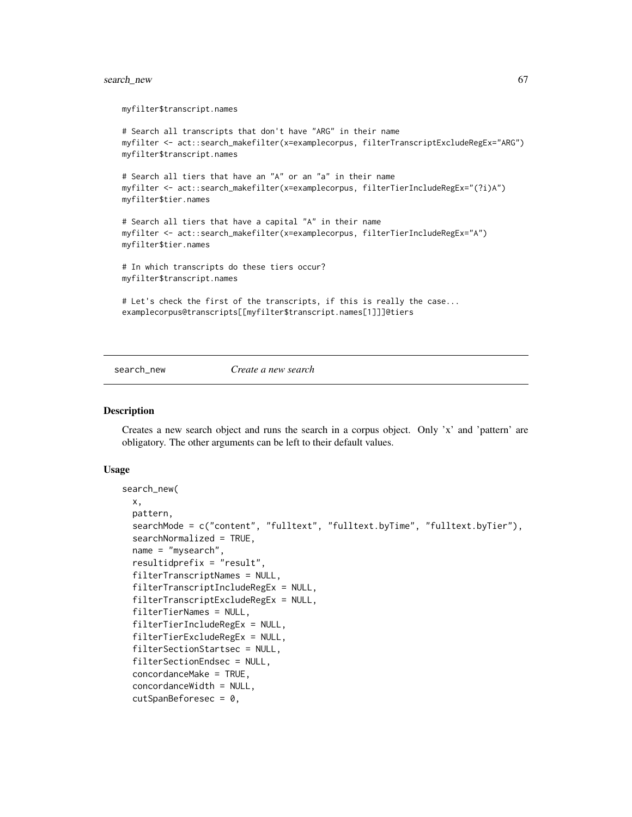# search\_new 67

myfilter\$transcript.names

```
# Search all transcripts that don't have "ARG" in their name
myfilter <- act::search_makefilter(x=examplecorpus, filterTranscriptExcludeRegEx="ARG")
myfilter$transcript.names
```

```
# Search all tiers that have an "A" or an "a" in their name
myfilter <- act::search_makefilter(x=examplecorpus, filterTierIncludeRegEx="(?i)A")
myfilter$tier.names
```

```
# Search all tiers that have a capital "A" in their name
myfilter <- act::search_makefilter(x=examplecorpus, filterTierIncludeRegEx="A")
myfilter$tier.names
```

```
# In which transcripts do these tiers occur?
myfilter$transcript.names
```

```
# Let's check the first of the transcripts, if this is really the case...
examplecorpus@transcripts[[myfilter$transcript.names[1]]]@tiers
```
<span id="page-66-0"></span>

#### search\_new *Create a new search*

#### **Description**

Creates a new search object and runs the search in a corpus object. Only 'x' and 'pattern' are obligatory. The other arguments can be left to their default values.

#### Usage

```
search_new(
  x,
  pattern,
  searchMode = c("content", "fulltext", "fulltext.byTime", "fulltext.byTier"),
  searchNormalized = TRUE,
  name = "mysearch",
  resultidprefix = "result",
  filterTranscriptNames = NULL,
  filterTranscriptIncludeRegEx = NULL,
  filterTranscriptExcludeRegEx = NULL,
  filterTierNames = NULL,
  filterTierIncludeRegEx = NULL,
  filterTierExcludeRegEx = NULL,
  filterSectionStartsec = NULL,
  filterSectionEndsec = NULL,
  concordanceMake = TRUE,
  concordanceWidth = NULL,
  cutSpanBeforesec = 0,
```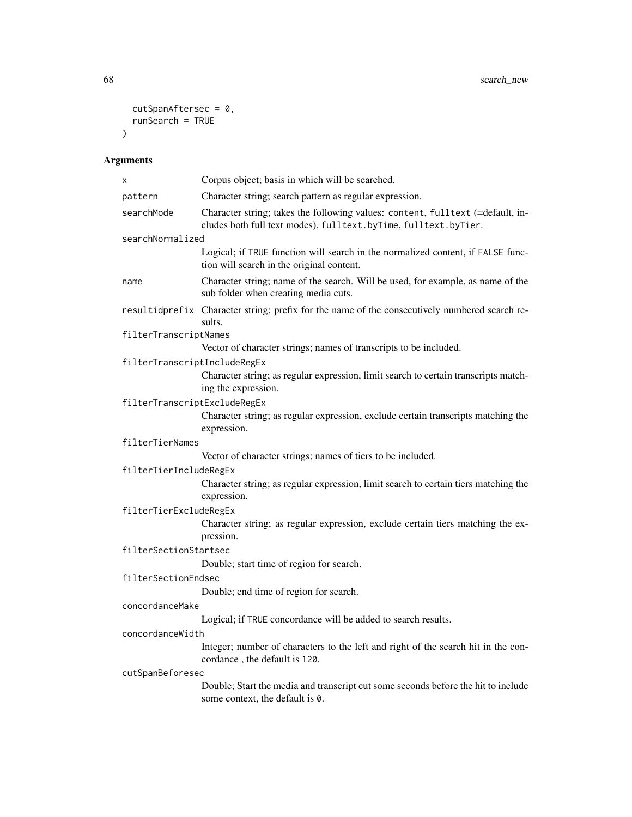```
cutSpanAftersec = <math>0</math>,runSearch = TRUE
\mathcal{L}
```
# Arguments

| х                            | Corpus object; basis in which will be searched.                                                                                                   |  |
|------------------------------|---------------------------------------------------------------------------------------------------------------------------------------------------|--|
| pattern                      | Character string; search pattern as regular expression.                                                                                           |  |
| searchMode                   | Character string; takes the following values: content, fulltext (=default, in-<br>cludes both full text modes), fulltext.byTime, fulltext.byTier. |  |
| searchNormalized             |                                                                                                                                                   |  |
|                              | Logical; if TRUE function will search in the normalized content, if FALSE func-<br>tion will search in the original content.                      |  |
| name                         | Character string; name of the search. Will be used, for example, as name of the<br>sub folder when creating media cuts.                           |  |
|                              | resultidprefix Character string; prefix for the name of the consecutively numbered search re-<br>sults.                                           |  |
| filterTranscriptNames        |                                                                                                                                                   |  |
|                              | Vector of character strings; names of transcripts to be included.                                                                                 |  |
| filterTranscriptIncludeRegEx |                                                                                                                                                   |  |
|                              | Character string; as regular expression, limit search to certain transcripts match-<br>ing the expression.                                        |  |
| filterTranscriptExcludeRegEx |                                                                                                                                                   |  |
|                              | Character string; as regular expression, exclude certain transcripts matching the<br>expression.                                                  |  |
| filterTierNames              |                                                                                                                                                   |  |
|                              | Vector of character strings; names of tiers to be included.                                                                                       |  |
| filterTierIncludeRegEx       |                                                                                                                                                   |  |
|                              | Character string; as regular expression, limit search to certain tiers matching the<br>expression.                                                |  |
| filterTierExcludeRegEx       |                                                                                                                                                   |  |
|                              | Character string; as regular expression, exclude certain tiers matching the ex-<br>pression.                                                      |  |
| filterSectionStartsec        |                                                                                                                                                   |  |
|                              | Double; start time of region for search.                                                                                                          |  |
| filterSectionEndsec          |                                                                                                                                                   |  |
|                              | Double; end time of region for search.                                                                                                            |  |
| concordanceMake              |                                                                                                                                                   |  |
|                              | Logical; if TRUE concordance will be added to search results.                                                                                     |  |
| concordanceWidth             |                                                                                                                                                   |  |
|                              | Integer; number of characters to the left and right of the search hit in the con-<br>cordance, the default is 120.                                |  |
| cutSpanBeforesec             |                                                                                                                                                   |  |
|                              | Double; Start the media and transcript cut some seconds before the hit to include<br>some context, the default is 0.                              |  |
|                              |                                                                                                                                                   |  |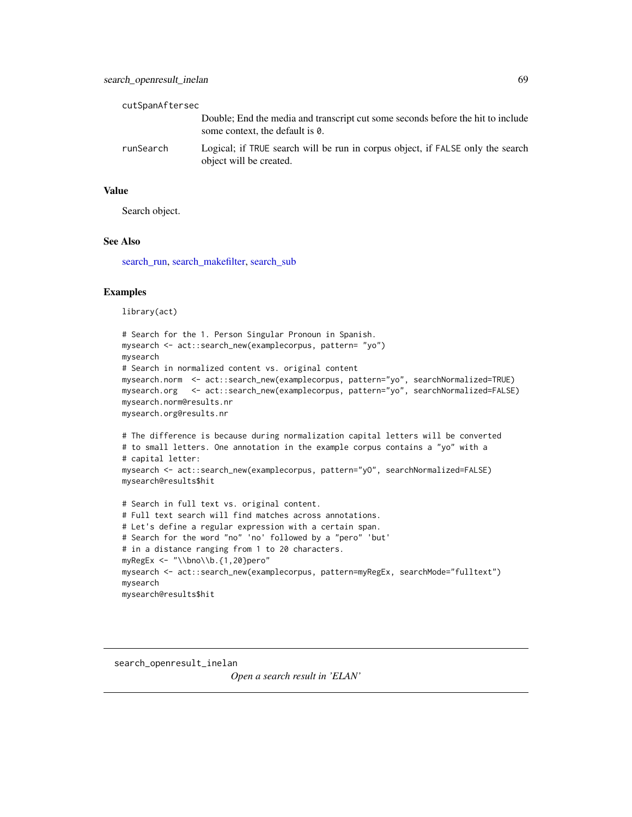| cutSpanAftersec |                                                                                                                    |
|-----------------|--------------------------------------------------------------------------------------------------------------------|
|                 | Double; End the media and transcript cut some seconds before the hit to include<br>some context, the default is 0. |
| runSearch       | Logical; if TRUE search will be run in corpus object, if FALSE only the search<br>object will be created.          |

#### Value

Search object.

#### See Also

[search\\_run,](#page-76-0) [search\\_makefilter,](#page-64-0) [search\\_sub](#page-78-0)

### Examples

library(act)

```
# Search for the 1. Person Singular Pronoun in Spanish.
mysearch <- act::search_new(examplecorpus, pattern= "yo")
mysearch
# Search in normalized content vs. original content
mysearch.norm <- act::search_new(examplecorpus, pattern="yo", searchNormalized=TRUE)
mysearch.org <- act::search_new(examplecorpus, pattern="yo", searchNormalized=FALSE)
mysearch.norm@results.nr
mysearch.org@results.nr
```

```
# The difference is because during normalization capital letters will be converted
# to small letters. One annotation in the example corpus contains a "yo" with a
# capital letter:
mysearch <- act::search_new(examplecorpus, pattern="yO", searchNormalized=FALSE)
mysearch@results$hit
```

```
# Search in full text vs. original content.
# Full text search will find matches across annotations.
# Let's define a regular expression with a certain span.
# Search for the word "no" 'no' followed by a "pero" 'but'
# in a distance ranging from 1 to 20 characters.
myRegEx <- "\\bno\\b.{1,20}pero"
mysearch <- act::search_new(examplecorpus, pattern=myRegEx, searchMode="fulltext")
mysearch
mysearch@results$hit
```
search\_openresult\_inelan

*Open a search result in 'ELAN'*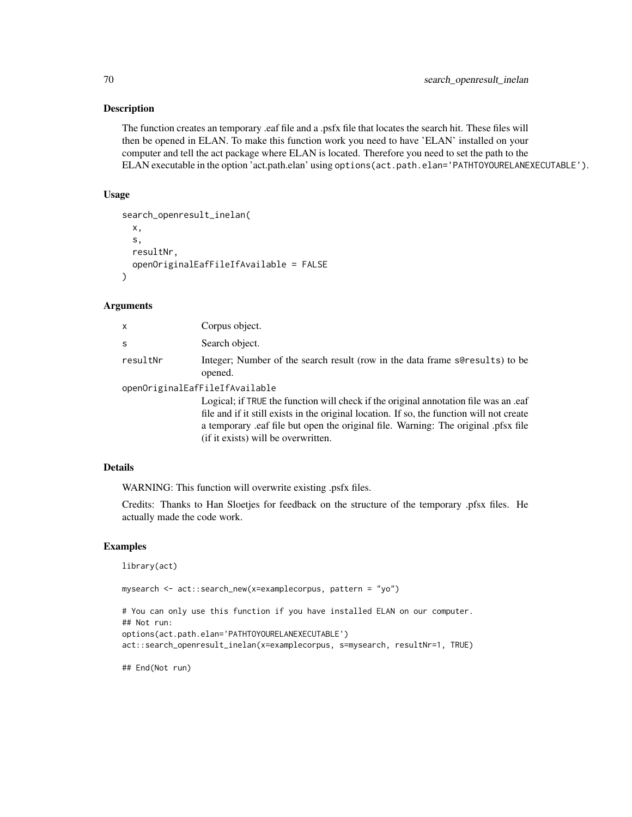The function creates an temporary .eaf file and a .psfx file that locates the search hit. These files will then be opened in ELAN. To make this function work you need to have 'ELAN' installed on your computer and tell the act package where ELAN is located. Therefore you need to set the path to the ELAN executable in the option 'act.path.elan' using options(act.path.elan='PATHTOYOURELANEXECUTABLE').

#### Usage

```
search_openresult_inelan(
  x,
  s,
  resultNr,
  openOriginalEafFileIfAvailable = FALSE
\mathcal{L}
```
## Arguments

| X        | Corpus object.                                                                          |
|----------|-----------------------------------------------------------------------------------------|
| S        | Search object.                                                                          |
| resultNr | Integer; Number of the search result (row in the data frame seresults) to be<br>opened. |
|          | openOriginalEafFileIfAvailable                                                          |
|          |                                                                                         |

Logical; if TRUE the function will check if the original annotation file was an .eaf file and if it still exists in the original location. If so, the function will not create a temporary .eaf file but open the original file. Warning: The original .pfsx file (if it exists) will be overwritten.

# Details

WARNING: This function will overwrite existing .psfx files.

Credits: Thanks to Han Sloetjes for feedback on the structure of the temporary .pfsx files. He actually made the code work.

#### Examples

```
library(act)
```
mysearch <- act::search\_new(x=examplecorpus, pattern = "yo")

```
# You can only use this function if you have installed ELAN on our computer.
## Not run:
options(act.path.elan='PATHTOYOURELANEXECUTABLE')
act::search_openresult_inelan(x=examplecorpus, s=mysearch, resultNr=1, TRUE)
```
## End(Not run)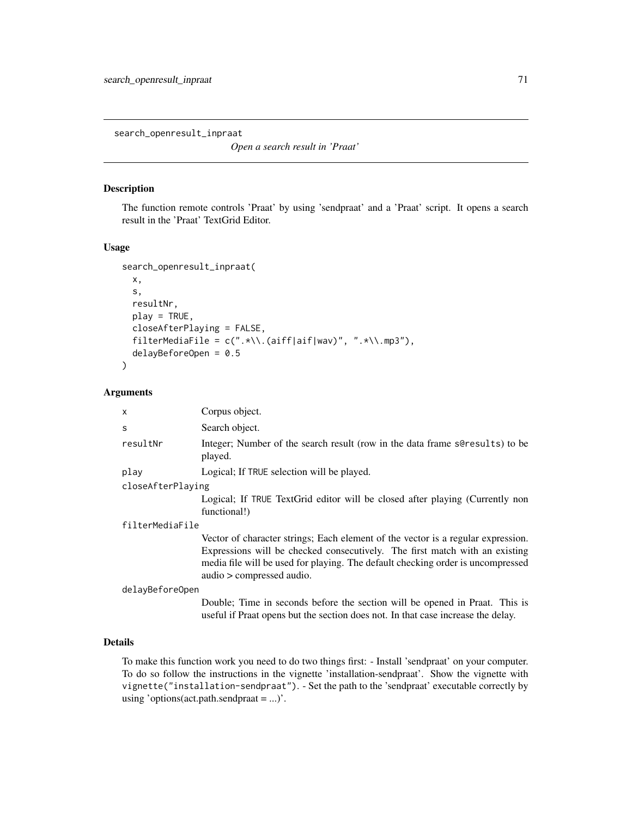search\_openresult\_inpraat

*Open a search result in 'Praat'*

# Description

The function remote controls 'Praat' by using 'sendpraat' and a 'Praat' script. It opens a search result in the 'Praat' TextGrid Editor.

#### Usage

```
search_openresult_inpraat(
 x,
  s,
  resultNr,
 play = TRUE,
  closeAfterPlaying = FALSE,
  filterMediaFile = c(".*\\.(aiff|aif|wav)", ".*\\.mp3"),
  delayBeforeOpen = 0.5
\lambda
```
# Arguments

| x                 | Corpus object.                                                                                                                                                                                                                                                                  |  |
|-------------------|---------------------------------------------------------------------------------------------------------------------------------------------------------------------------------------------------------------------------------------------------------------------------------|--|
| S                 | Search object.                                                                                                                                                                                                                                                                  |  |
| resultNr          | Integer; Number of the search result (row in the data frame sere sults) to be<br>played.                                                                                                                                                                                        |  |
| play              | Logical; If TRUE selection will be played.                                                                                                                                                                                                                                      |  |
| closeAfterPlaying |                                                                                                                                                                                                                                                                                 |  |
|                   | Logical; If TRUE TextGrid editor will be closed after playing (Currently non<br>functional!)                                                                                                                                                                                    |  |
| filterMediaFile   |                                                                                                                                                                                                                                                                                 |  |
|                   | Vector of character strings; Each element of the vector is a regular expression.<br>Expressions will be checked consecutively. The first match with an existing<br>media file will be used for playing. The default checking order is uncompressed<br>audio > compressed audio. |  |
| delayBeforeOpen   |                                                                                                                                                                                                                                                                                 |  |
|                   | Double; Time in seconds before the section will be opened in Praat. This is<br>useful if Praat opens but the section does not. In that case increase the delay.                                                                                                                 |  |

# Details

To make this function work you need to do two things first: - Install 'sendpraat' on your computer. To do so follow the instructions in the vignette 'installation-sendpraat'. Show the vignette with vignette("installation-sendpraat"). - Set the path to the 'sendpraat' executable correctly by using 'options(act.path.sendpraat = ...)'.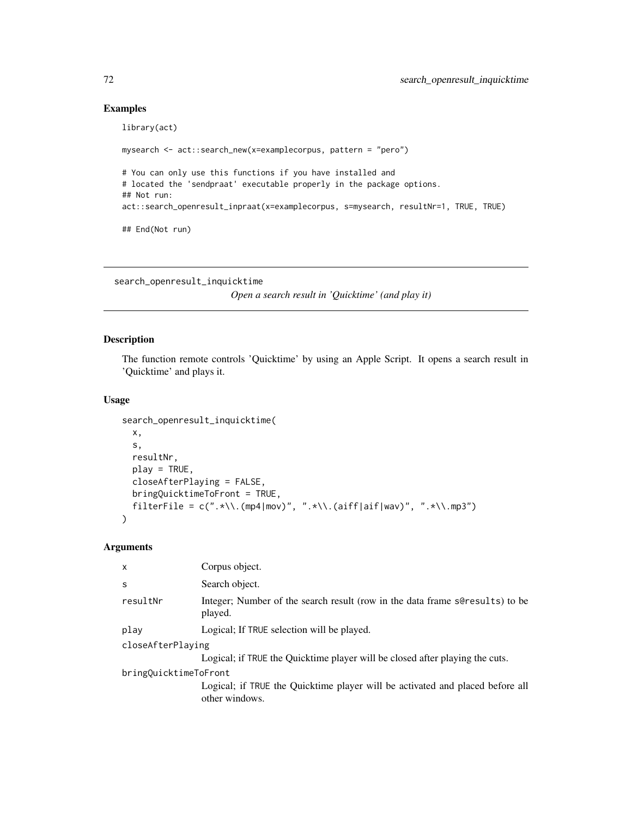# Examples

```
library(act)
mysearch <- act::search_new(x=examplecorpus, pattern = "pero")
# You can only use this functions if you have installed and
# located the 'sendpraat' executable properly in the package options.
## Not run:
act::search_openresult_inpraat(x=examplecorpus, s=mysearch, resultNr=1, TRUE, TRUE)
## End(Not run)
```
search\_openresult\_inquicktime

*Open a search result in 'Quicktime' (and play it)*

# Description

The function remote controls 'Quicktime' by using an Apple Script. It opens a search result in 'Quicktime' and plays it.

### Usage

```
search_openresult_inquicktime(
  x,
  s,
  resultNr,
 play = TRUE,
  closeAfterPlaying = FALSE,
 bringQuicktimeToFront = TRUE,
  filterFile = c(".*\\\. (mp4|mov)", ".*\\.(aiff|aif|wav)", ".*\\.mp3")
)
```
#### Arguments

| $\mathsf{x}$          | Corpus object.                                                                                  |  |
|-----------------------|-------------------------------------------------------------------------------------------------|--|
| S                     | Search object.                                                                                  |  |
| resultNr              | Integer; Number of the search result (row in the data frame sere sults) to be<br>played.        |  |
| play                  | Logical; If TRUE selection will be played.                                                      |  |
| closeAfterPlaying     |                                                                                                 |  |
|                       | Logical; if TRUE the Quicktime player will be closed after playing the cuts.                    |  |
| bringQuicktimeToFront |                                                                                                 |  |
|                       | Logical; if TRUE the Quicktime player will be activated and placed before all<br>other windows. |  |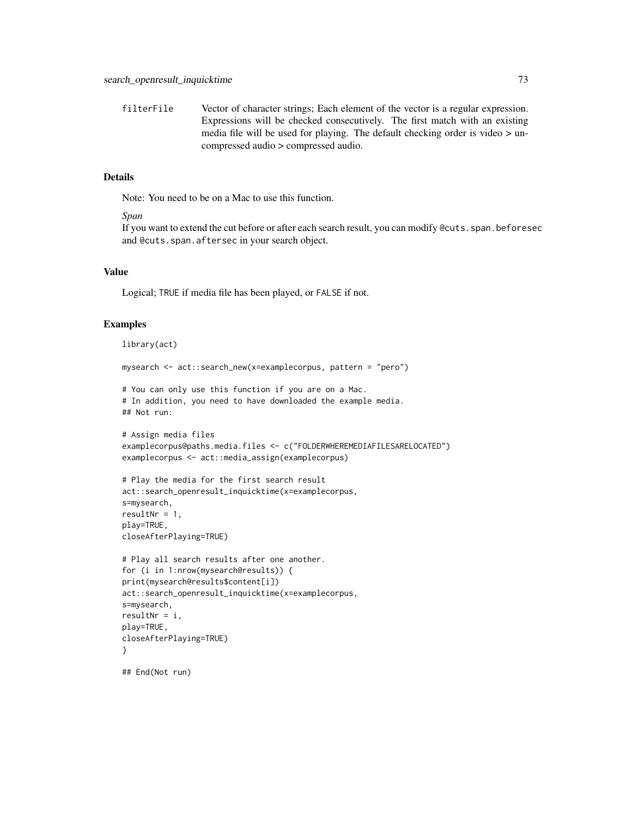filterFile Vector of character strings; Each element of the vector is a regular expression. Expressions will be checked consecutively. The first match with an existing media file will be used for playing. The default checking order is video > uncompressed audio > compressed audio.

#### Details

Note: You need to be on a Mac to use this function.

#### *Span*

If you want to extend the cut before or after each search result, you can modify @cuts.span.beforesec and @cuts.span.aftersec in your search object.

# Value

Logical; TRUE if media file has been played, or FALSE if not.

#### Examples

```
library(act)
mysearch <- act::search_new(x=examplecorpus, pattern = "pero")
# You can only use this function if you are on a Mac.
# In addition, you need to have downloaded the example media.
## Not run:
# Assign media files
examplecorpus@paths.media.files <- c("FOLDERWHEREMEDIAFILESARELOCATED")
examplecorpus <- act::media_assign(examplecorpus)
# Play the media for the first search result
act::search_openresult_inquicktime(x=examplecorpus,
s=mysearch,
resultNr = 1,
play=TRUE,
closeAfterPlaying=TRUE)
# Play all search results after one another.
for (i in 1:nrow(mysearch@results)) {
print(mysearch@results$content[i])
act::search_openresult_inquicktime(x=examplecorpus,
s=mysearch,
resultNr = i,
play=TRUE,
closeAfterPlaying=TRUE)
}
```
## End(Not run)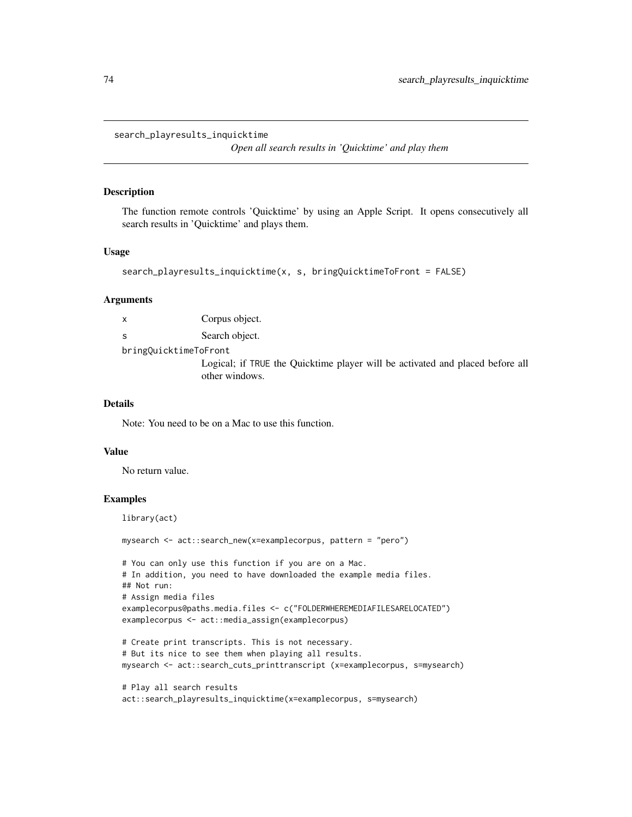search\_playresults\_inquicktime

*Open all search results in 'Quicktime' and play them*

## Description

The function remote controls 'Quicktime' by using an Apple Script. It opens consecutively all search results in 'Quicktime' and plays them.

## Usage

```
search_playresults_inquicktime(x, s, bringQuicktimeToFront = FALSE)
```
## **Arguments**

| X                     | Corpus object.                                                                                  |
|-----------------------|-------------------------------------------------------------------------------------------------|
| -S                    | Search object.                                                                                  |
| bringQuicktimeToFront |                                                                                                 |
|                       | Logical; if TRUE the Quicktime player will be activated and placed before all<br>other windows. |

# Details

Note: You need to be on a Mac to use this function.

#### Value

No return value.

# Examples

library(act)

```
mysearch <- act::search_new(x=examplecorpus, pattern = "pero")
```

```
# You can only use this function if you are on a Mac.
# In addition, you need to have downloaded the example media files.
## Not run:
# Assign media files
examplecorpus@paths.media.files <- c("FOLDERWHEREMEDIAFILESARELOCATED")
examplecorpus <- act::media_assign(examplecorpus)
```

```
# Create print transcripts. This is not necessary.
# But its nice to see them when playing all results.
mysearch <- act::search_cuts_printtranscript (x=examplecorpus, s=mysearch)
```

```
# Play all search results
act::search_playresults_inquicktime(x=examplecorpus, s=mysearch)
```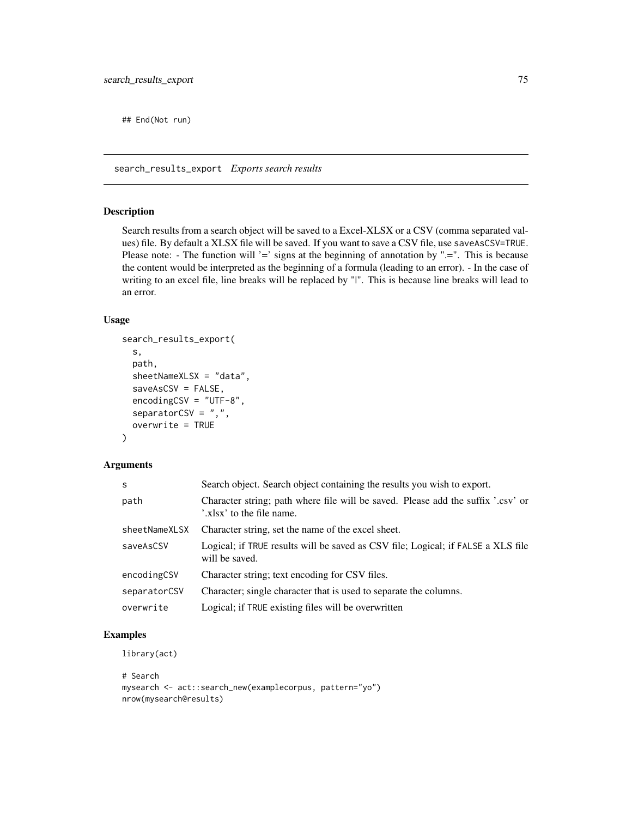## End(Not run)

search\_results\_export *Exports search results*

# Description

Search results from a search object will be saved to a Excel-XLSX or a CSV (comma separated values) file. By default a XLSX file will be saved. If you want to save a CSV file, use saveAsCSV=TRUE. Please note:  $\overline{\phantom{a}}$  - The function will '=' signs at the beginning of annotation by ".=". This is because the content would be interpreted as the beginning of a formula (leading to an error). - In the case of writing to an excel file, line breaks will be replaced by "|". This is because line breaks will lead to an error.

## Usage

```
search_results_export(
  s,
 path,
  sheetNameXLSX = "data",
  saveAsCSV = FALSE,
  encodingCSV = "UTF-8",
  separatorCSV = ",",
  overwrite = TRUE
)
```
# Arguments

| S.            | Search object. Search object containing the results you wish to export.                                       |
|---------------|---------------------------------------------------------------------------------------------------------------|
| path          | Character string; path where file will be saved. Please add the suffix '.csv' or<br>'.xlsx' to the file name. |
| sheetNameXLSX | Character string, set the name of the excel sheet.                                                            |
| saveAsCSV     | Logical; if TRUE results will be saved as CSV file; Logical; if FALSE a XLS file<br>will be saved.            |
| encodingCSV   | Character string; text encoding for CSV files.                                                                |
| separatorCSV  | Character; single character that is used to separate the columns.                                             |
| overwrite     | Logical; if TRUE existing files will be overwritten                                                           |

# Examples

library(act)

```
# Search
mysearch <- act::search_new(examplecorpus, pattern="yo")
nrow(mysearch@results)
```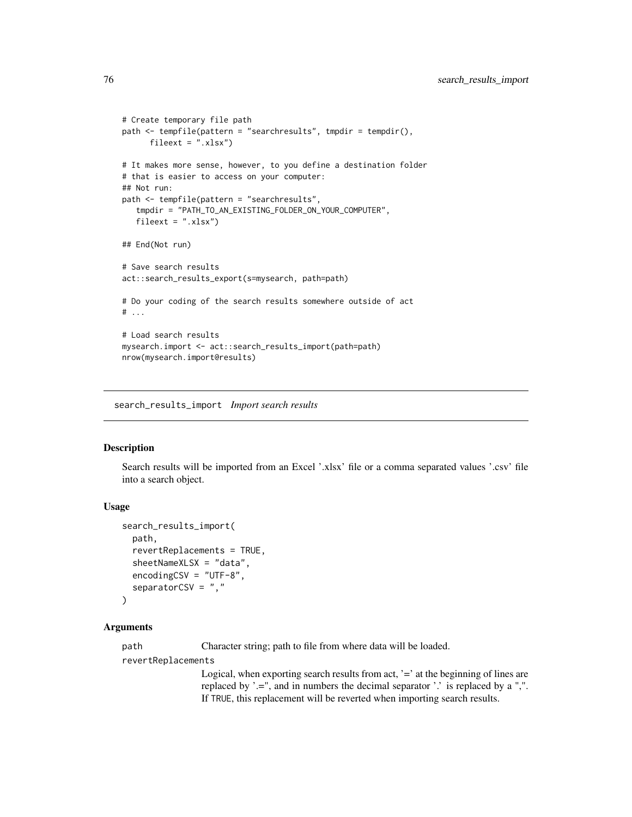```
# Create temporary file path
path <- tempfile(pattern = "searchresults", tmpdir = tempdir(),
      fileext = " . x l s x")
# It makes more sense, however, to you define a destination folder
# that is easier to access on your computer:
## Not run:
path <- tempfile(pattern = "searchresults",
   tmpdir = "PATH_TO_AN_EXISTING_FOLDER_ON_YOUR_COMPUTER",
  fileext = ".xlsx")
## End(Not run)
# Save search results
act::search_results_export(s=mysearch, path=path)
# Do your coding of the search results somewhere outside of act
# ...
# Load search results
mysearch.import <- act::search_results_import(path=path)
nrow(mysearch.import@results)
```
search\_results\_import *Import search results*

# Description

Search results will be imported from an Excel '.xlsx' file or a comma separated values '.csv' file into a search object.

#### Usage

```
search_results_import(
  path,
  revertReplacements = TRUE,
  sheetNameXLSX = "data",
  encodingCSV = "UTF-8",
  separatorCSV = ","
)
```
## Arguments

path Character string; path to file from where data will be loaded.

revertReplacements

Logical, when exporting search results from act, '=' at the beginning of lines are replaced by '.=", and in numbers the decimal separator '.' is replaced by a ",". If TRUE, this replacement will be reverted when importing search results.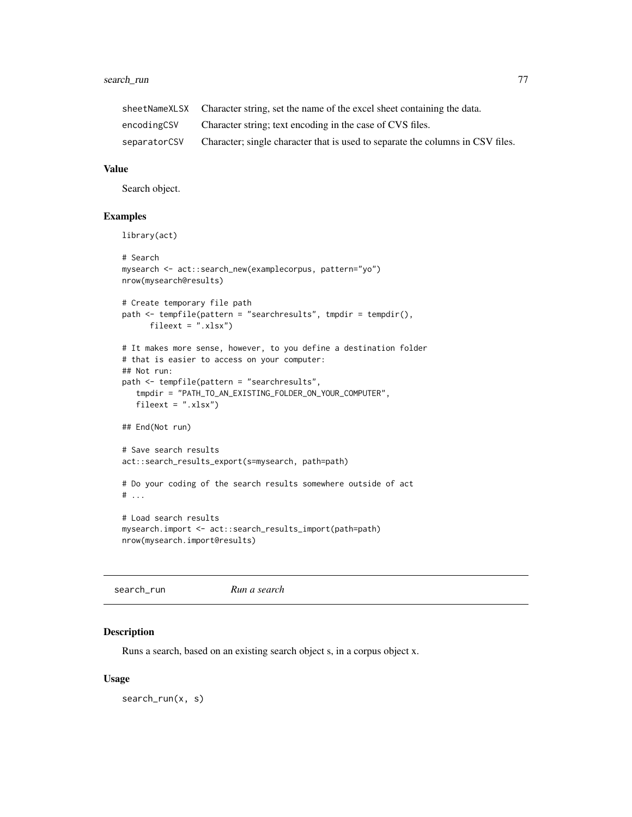#### search\_run 77

| sheetNameXLSX | Character string, set the name of the excel sheet containing the data.         |
|---------------|--------------------------------------------------------------------------------|
| encodingCSV   | Character string; text encoding in the case of CVS files.                      |
| separatorCSV  | Character; single character that is used to separate the columns in CSV files. |

# Value

Search object.

# Examples

```
library(act)
# Search
mysearch <- act::search_new(examplecorpus, pattern="yo")
nrow(mysearch@results)
# Create temporary file path
path <- tempfile(pattern = "searchresults", tmpdir = tempdir(),
      fileext = ".xlsx")# It makes more sense, however, to you define a destination folder
# that is easier to access on your computer:
## Not run:
path <- tempfile(pattern = "searchresults",
  tmpdir = "PATH_TO_AN_EXISTING_FOLDER_ON_YOUR_COMPUTER",
   fileext = " . x l s x")
## End(Not run)
# Save search results
act::search_results_export(s=mysearch, path=path)
# Do your coding of the search results somewhere outside of act
# ...
# Load search results
mysearch.import <- act::search_results_import(path=path)
nrow(mysearch.import@results)
```
<span id="page-76-0"></span>search\_run *Run a search*

#### Description

Runs a search, based on an existing search object s, in a corpus object x.

## Usage

search\_run(x, s)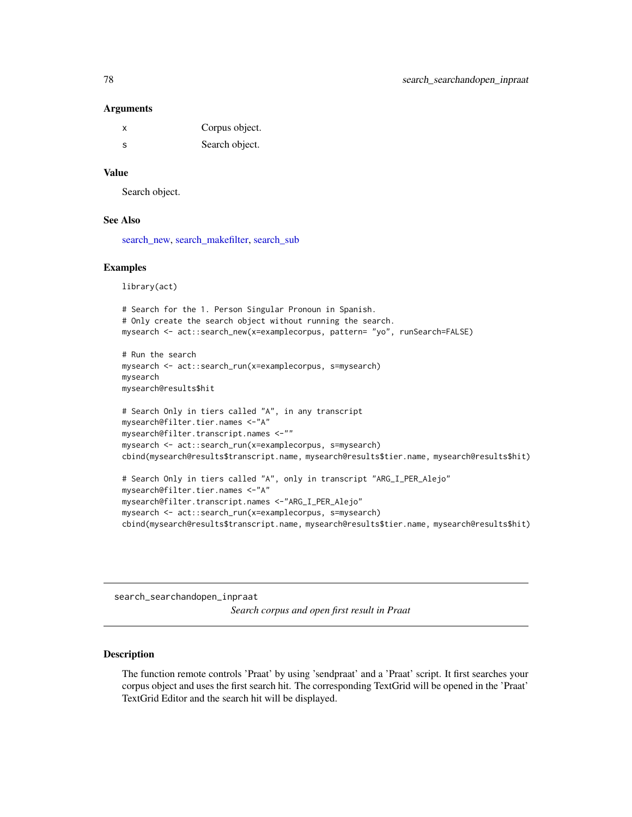#### **Arguments**

| x  | Corpus object. |
|----|----------------|
| -S | Search object. |

# Value

Search object.

### See Also

[search\\_new,](#page-66-0) [search\\_makefilter,](#page-64-0) [search\\_sub](#page-78-0)

## Examples

library(act)

```
# Search for the 1. Person Singular Pronoun in Spanish.
# Only create the search object without running the search.
mysearch <- act::search_new(x=examplecorpus, pattern= "yo", runSearch=FALSE)
```

```
# Run the search
mysearch <- act::search_run(x=examplecorpus, s=mysearch)
mysearch
mysearch@results$hit
```

```
# Search Only in tiers called "A", in any transcript
mysearch@filter.tier.names <-"A"
mysearch@filter.transcript.names <-""
mysearch <- act::search_run(x=examplecorpus, s=mysearch)
cbind(mysearch@results$transcript.name, mysearch@results$tier.name, mysearch@results$hit)
```

```
# Search Only in tiers called "A", only in transcript "ARG_I_PER_Alejo"
mysearch@filter.tier.names <-"A"
mysearch@filter.transcript.names <-"ARG_I_PER_Alejo"
mysearch <- act::search_run(x=examplecorpus, s=mysearch)
cbind(mysearch@results$transcript.name, mysearch@results$tier.name, mysearch@results$hit)
```
search\_searchandopen\_inpraat *Search corpus and open first result in Praat*

# Description

The function remote controls 'Praat' by using 'sendpraat' and a 'Praat' script. It first searches your corpus object and uses the first search hit. The corresponding TextGrid will be opened in the 'Praat' TextGrid Editor and the search hit will be displayed.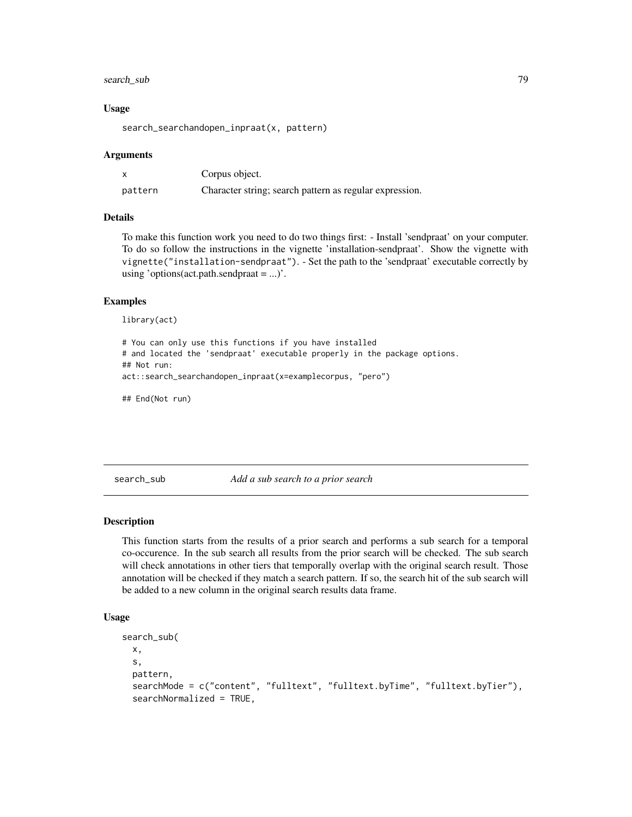#### search\_sub 79

## Usage

search\_searchandopen\_inpraat(x, pattern)

#### Arguments

|         | Corpus object.                                          |
|---------|---------------------------------------------------------|
| pattern | Character string; search pattern as regular expression. |

#### Details

To make this function work you need to do two things first: - Install 'sendpraat' on your computer. To do so follow the instructions in the vignette 'installation-sendpraat'. Show the vignette with vignette("installation-sendpraat"). - Set the path to the 'sendpraat' executable correctly by using 'options(act.path.sendpraat = ...)'.

## Examples

```
library(act)
```

```
# You can only use this functions if you have installed
# and located the 'sendpraat' executable properly in the package options.
## Not run:
act::search_searchandopen_inpraat(x=examplecorpus, "pero")
```
## End(Not run)

<span id="page-78-0"></span>search\_sub *Add a sub search to a prior search*

## Description

This function starts from the results of a prior search and performs a sub search for a temporal co-occurence. In the sub search all results from the prior search will be checked. The sub search will check annotations in other tiers that temporally overlap with the original search result. Those annotation will be checked if they match a search pattern. If so, the search hit of the sub search will be added to a new column in the original search results data frame.

# Usage

```
search_sub(
 x,
 s,
 pattern,
 searchMode = c("content", "fulltext", "fulltext.byTime", "fulltext.byTier"),
  searchNormalized = TRUE,
```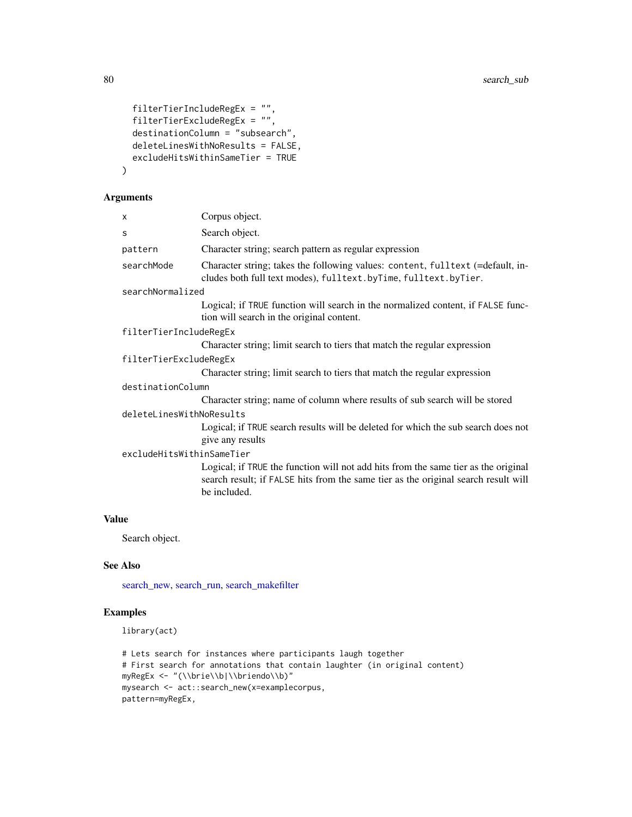```
filterTierIncludeRegEx = "",
filterTierExcludeRegEx = "",
destinationColumn = "subsearch",
deleteLinesWithNoResults = FALSE,
excludeHitsWithinSameTier = TRUE
```
# Arguments

)

|       | X                         | Corpus object.                                                                                                                                                                           |
|-------|---------------------------|------------------------------------------------------------------------------------------------------------------------------------------------------------------------------------------|
|       | S                         | Search object.                                                                                                                                                                           |
|       | pattern                   | Character string; search pattern as regular expression                                                                                                                                   |
|       | searchMode                | Character string; takes the following values: content, fulltext (=default, in-<br>cludes both full text modes), fulltext.byTime, fulltext.byTier.                                        |
|       | searchNormalized          |                                                                                                                                                                                          |
|       |                           | Logical; if TRUE function will search in the normalized content, if FALSE func-<br>tion will search in the original content.                                                             |
|       | filterTierIncludeRegEx    |                                                                                                                                                                                          |
|       |                           | Character string; limit search to tiers that match the regular expression                                                                                                                |
|       | filterTierExcludeRegEx    |                                                                                                                                                                                          |
|       |                           | Character string; limit search to tiers that match the regular expression                                                                                                                |
|       | destinationColumn         |                                                                                                                                                                                          |
|       |                           | Character string; name of column where results of sub search will be stored                                                                                                              |
|       | deletelinesWithNoResults  |                                                                                                                                                                                          |
|       |                           | Logical; if TRUE search results will be deleted for which the sub search does not<br>give any results                                                                                    |
|       | excludeHitsWithinSameTier |                                                                                                                                                                                          |
|       |                           | Logical; if TRUE the function will not add hits from the same tier as the original<br>search result; if FALSE hits from the same tier as the original search result will<br>be included. |
| Value |                           |                                                                                                                                                                                          |

Search object.

# See Also

[search\\_new,](#page-66-0) [search\\_run,](#page-76-0) [search\\_makefilter](#page-64-0)

# Examples

library(act)

```
# Lets search for instances where participants laugh together
# First search for annotations that contain laughter (in original content)
myRegEx <- "(\\brie\\b|\\briendo\\b)"
mysearch <- act::search_new(x=examplecorpus,
pattern=myRegEx,
```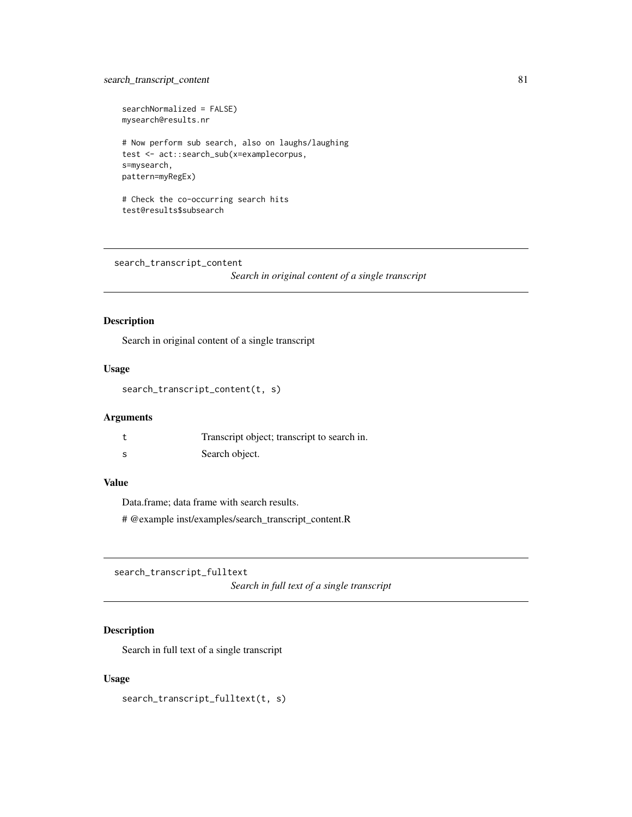# search\_transcript\_content 81

searchNormalized = FALSE) mysearch@results.nr # Now perform sub search, also on laughs/laughing test <- act::search\_sub(x=examplecorpus, s=mysearch, pattern=myRegEx) # Check the co-occurring search hits

```
test@results$subsearch
```
search\_transcript\_content

*Search in original content of a single transcript*

## Description

Search in original content of a single transcript

## Usage

```
search_transcript_content(t, s)
```
# Arguments

|    | Transcript object; transcript to search in. |
|----|---------------------------------------------|
| -S | Search object.                              |

# Value

Data.frame; data frame with search results.

# @example inst/examples/search\_transcript\_content.R

search\_transcript\_fulltext

*Search in full text of a single transcript*

# Description

Search in full text of a single transcript

## Usage

search\_transcript\_fulltext(t, s)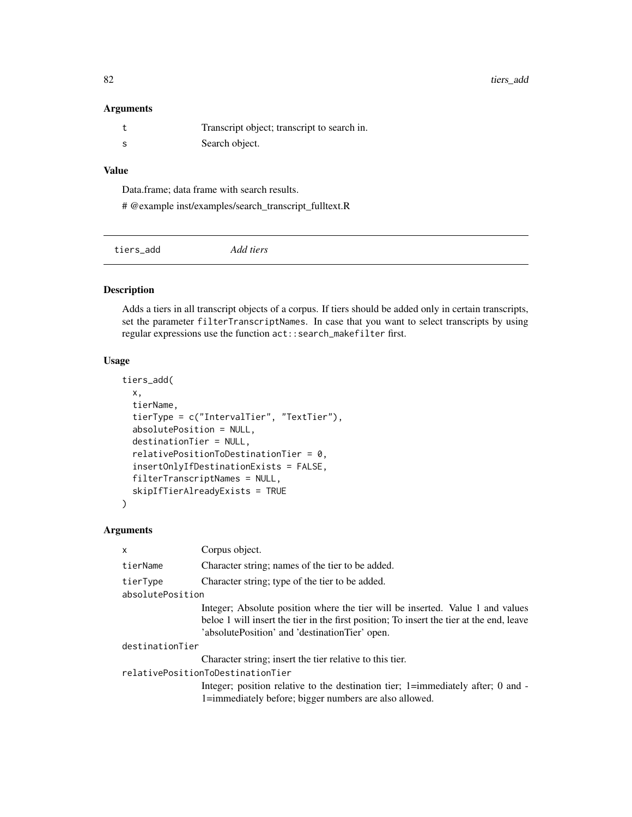# Arguments

| Transcript object; transcript to search in. |
|---------------------------------------------|
| Search object.                              |

# Value

Data.frame; data frame with search results.

# @example inst/examples/search\_transcript\_fulltext.R

<span id="page-81-0"></span>tiers\_add *Add tiers*

# Description

Adds a tiers in all transcript objects of a corpus. If tiers should be added only in certain transcripts, set the parameter filterTranscriptNames. In case that you want to select transcripts by using regular expressions use the function act::search\_makefilter first.

## Usage

```
tiers_add(
  x,
  tierName,
  tierType = c("IntervalTier", "TextTier"),
  absolutePosition = NULL,
  destinationTier = NULL,
  relativePositionToDestinationTier = <math>0</math>,insertOnlyIfDestinationExists = FALSE,
  filterTranscriptNames = NULL,
  skipIfTierAlreadyExists = TRUE
)
```
#### Arguments

| X                | Corpus object.                                                                                                                                                                                                               |
|------------------|------------------------------------------------------------------------------------------------------------------------------------------------------------------------------------------------------------------------------|
| tierName         | Character string; names of the tier to be added.                                                                                                                                                                             |
| tierType         | Character string; type of the tier to be added.                                                                                                                                                                              |
| absolutePosition |                                                                                                                                                                                                                              |
|                  | Integer; Absolute position where the tier will be inserted. Value 1 and values<br>beloe 1 will insert the tier in the first position; To insert the tier at the end, leave<br>'absolutePosition' and 'destinationTier' open. |
| destinationTier  |                                                                                                                                                                                                                              |
|                  | Character string; insert the tier relative to this tier.                                                                                                                                                                     |
|                  | relativePositionToDestinationTier                                                                                                                                                                                            |
|                  | Integer; position relative to the destination tier; 1=immediately after; 0 and -<br>1=immediately before; bigger numbers are also allowed.                                                                                   |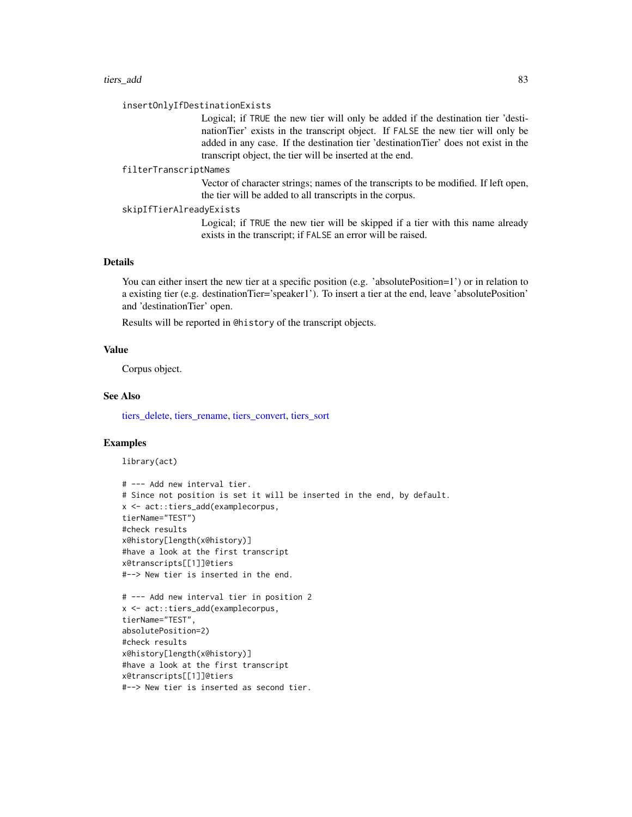#### insertOnlyIfDestinationExists

Logical; if TRUE the new tier will only be added if the destination tier 'destinationTier' exists in the transcript object. If FALSE the new tier will only be added in any case. If the destination tier 'destinationTier' does not exist in the transcript object, the tier will be inserted at the end.

## filterTranscriptNames

Vector of character strings; names of the transcripts to be modified. If left open, the tier will be added to all transcripts in the corpus.

## skipIfTierAlreadyExists

Logical; if TRUE the new tier will be skipped if a tier with this name already exists in the transcript; if FALSE an error will be raised.

# Details

You can either insert the new tier at a specific position (e.g. 'absolutePosition=1') or in relation to a existing tier (e.g. destinationTier='speaker1'). To insert a tier at the end, leave 'absolutePosition' and 'destinationTier' open.

Results will be reported in @history of the transcript objects.

## Value

Corpus object.

# See Also

[tiers\\_delete,](#page-86-0) [tiers\\_rename,](#page-87-0) [tiers\\_convert,](#page-84-0) [tiers\\_sort](#page-88-0)

### Examples

```
library(act)
```

```
# --- Add new interval tier.
# Since not position is set it will be inserted in the end, by default.
x <- act::tiers_add(examplecorpus,
tierName="TEST")
#check results
x@history[length(x@history)]
#have a look at the first transcript
x@transcripts[[1]]@tiers
#--> New tier is inserted in the end.
# --- Add new interval tier in position 2
x <- act::tiers_add(examplecorpus,
tierName="TEST",
absolutePosition=2)
#check results
x@history[length(x@history)]
#have a look at the first transcript
x@transcripts[[1]]@tiers
```

```
#--> New tier is inserted as second tier.
```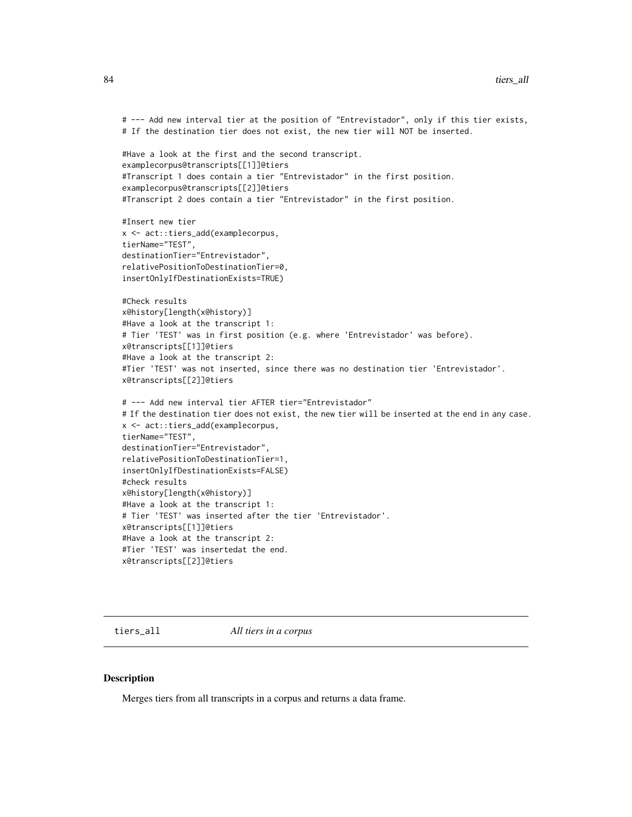```
# --- Add new interval tier at the position of "Entrevistador", only if this tier exists,
# If the destination tier does not exist, the new tier will NOT be inserted.
#Have a look at the first and the second transcript.
examplecorpus@transcripts[[1]]@tiers
#Transcript 1 does contain a tier "Entrevistador" in the first position.
examplecorpus@transcripts[[2]]@tiers
#Transcript 2 does contain a tier "Entrevistador" in the first position.
#Insert new tier
x <- act::tiers_add(examplecorpus,
tierName="TEST",
destinationTier="Entrevistador",
relativePositionToDestinationTier=0,
insertOnlyIfDestinationExists=TRUE)
#Check results
x@history[length(x@history)]
#Have a look at the transcript 1:
# Tier 'TEST' was in first position (e.g. where 'Entrevistador' was before).
x@transcripts[[1]]@tiers
#Have a look at the transcript 2:
#Tier 'TEST' was not inserted, since there was no destination tier 'Entrevistador'.
x@transcripts[[2]]@tiers
# --- Add new interval tier AFTER tier="Entrevistador"
# If the destination tier does not exist, the new tier will be inserted at the end in any case.
x <- act::tiers_add(examplecorpus,
tierName="TEST",
destinationTier="Entrevistador",
relativePositionToDestinationTier=1,
insertOnlyIfDestinationExists=FALSE)
#check results
x@history[length(x@history)]
#Have a look at the transcript 1:
# Tier 'TEST' was inserted after the tier 'Entrevistador'.
x@transcripts[[1]]@tiers
#Have a look at the transcript 2:
#Tier 'TEST' was insertedat the end.
x@transcripts[[2]]@tiers
```
tiers\_all *All tiers in a corpus*

## Description

Merges tiers from all transcripts in a corpus and returns a data frame.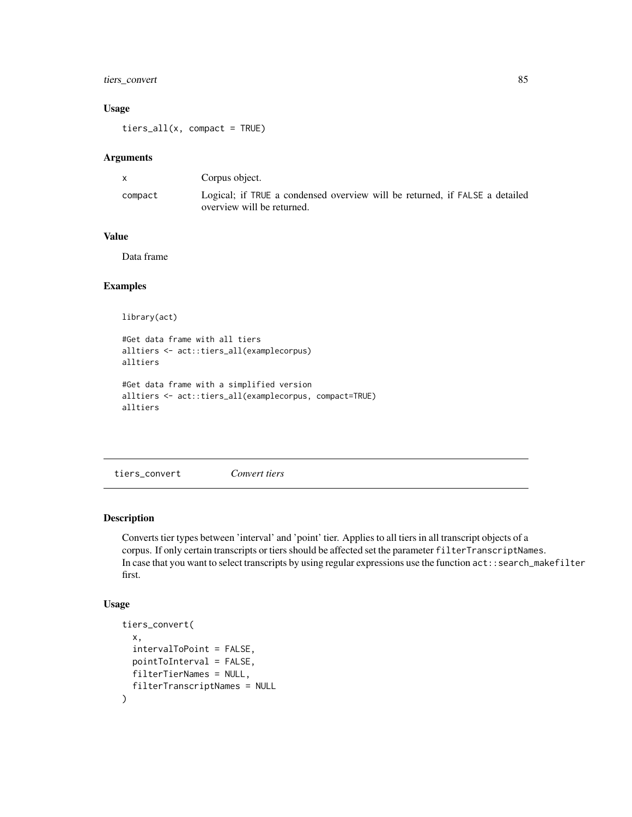# tiers\_convert 85

# Usage

tiers\_all(x, compact = TRUE)

#### Arguments

|         | Corpus object.                                                              |
|---------|-----------------------------------------------------------------------------|
| compact | Logical; if TRUE a condensed overview will be returned, if FALSE a detailed |
|         | overview will be returned.                                                  |

## Value

Data frame

## Examples

```
library(act)
```

```
#Get data frame with all tiers
alltiers <- act::tiers_all(examplecorpus)
alltiers
#Get data frame with a simplified version
alltiers <- act::tiers_all(examplecorpus, compact=TRUE)
alltiers
```
<span id="page-84-0"></span>tiers\_convert *Convert tiers*

# Description

Converts tier types between 'interval' and 'point' tier. Applies to all tiers in all transcript objects of a corpus. If only certain transcripts or tiers should be affected set the parameter filterTranscriptNames. In case that you want to select transcripts by using regular expressions use the function act::search\_makefilter first.

#### Usage

```
tiers_convert(
 x,
 intervalToPoint = FALSE,
 pointToInterval = FALSE,
 filterTierNames = NULL,
 filterTranscriptNames = NULL
)
```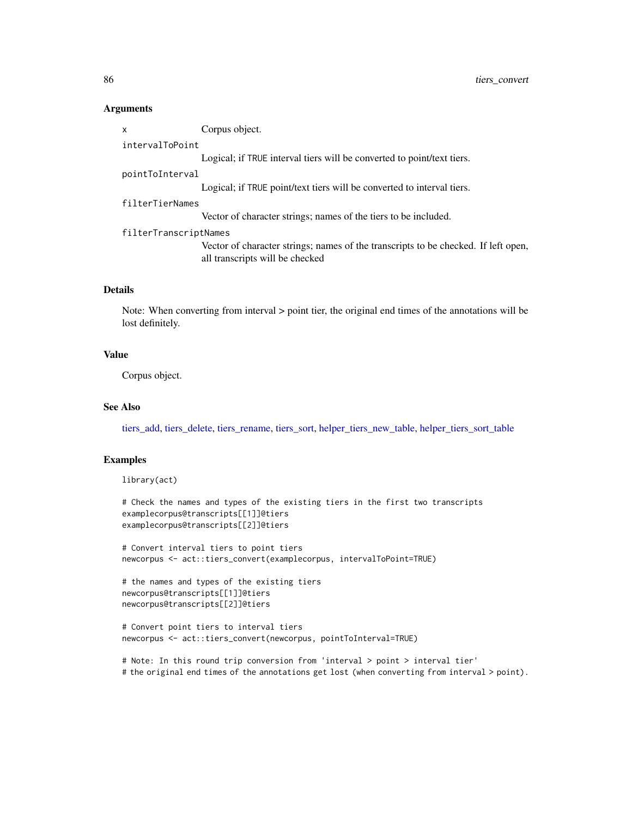## Arguments

x Corpus object. intervalToPoint

Logical; if TRUE interval tiers will be converted to point/text tiers.

#### pointToInterval

Logical; if TRUE point/text tiers will be converted to interval tiers.

#### filterTierNames

Vector of character strings; names of the tiers to be included.

#### filterTranscriptNames

Vector of character strings; names of the transcripts to be checked. If left open, all transcripts will be checked

## Details

Note: When converting from interval > point tier, the original end times of the annotations will be lost definitely.

## Value

Corpus object.

# See Also

[tiers\\_add,](#page-81-0) [tiers\\_delete,](#page-86-0) [tiers\\_rename,](#page-87-0) [tiers\\_sort,](#page-88-0) [helper\\_tiers\\_new\\_table,](#page-30-0) [helper\\_tiers\\_sort\\_table](#page-31-0)

## Examples

#### library(act)

```
# Check the names and types of the existing tiers in the first two transcripts
examplecorpus@transcripts[[1]]@tiers
examplecorpus@transcripts[[2]]@tiers
```

```
# Convert interval tiers to point tiers
newcorpus <- act::tiers_convert(examplecorpus, intervalToPoint=TRUE)
```

```
# the names and types of the existing tiers
newcorpus@transcripts[[1]]@tiers
newcorpus@transcripts[[2]]@tiers
```

```
# Convert point tiers to interval tiers
newcorpus <- act::tiers_convert(newcorpus, pointToInterval=TRUE)
```
# Note: In this round trip conversion from 'interval > point > interval tier' # the original end times of the annotations get lost (when converting from interval > point).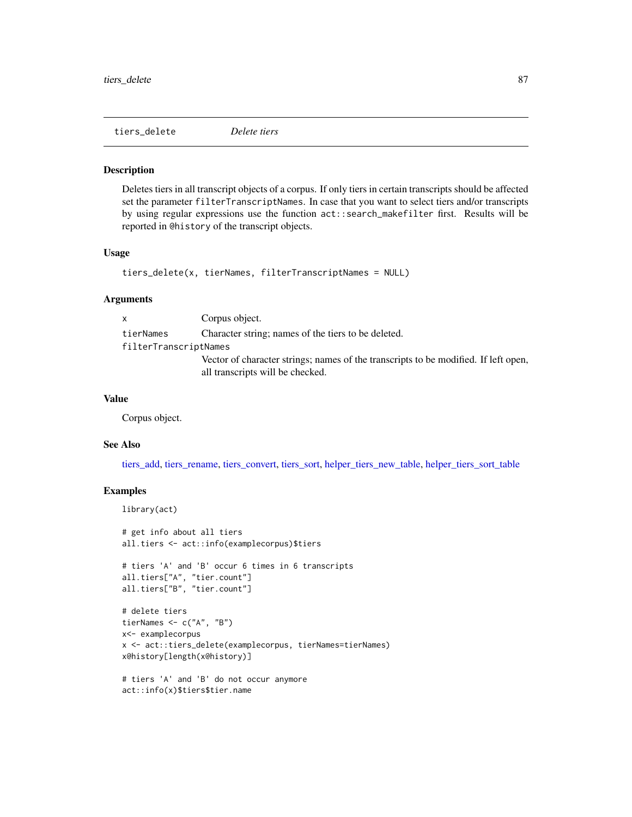<span id="page-86-0"></span>tiers\_delete *Delete tiers*

## Description

Deletes tiers in all transcript objects of a corpus. If only tiers in certain transcripts should be affected set the parameter filterTranscriptNames. In case that you want to select tiers and/or transcripts by using regular expressions use the function act::search\_makefilter first. Results will be reported in @history of the transcript objects.

### Usage

```
tiers_delete(x, tierNames, filterTranscriptNames = NULL)
```
## Arguments

|                       | Corpus object.                                                                                                          |
|-----------------------|-------------------------------------------------------------------------------------------------------------------------|
| tierNames             | Character string; names of the tiers to be deleted.                                                                     |
| filterTranscriptNames |                                                                                                                         |
|                       | Vector of character strings; names of the transcripts to be modified. If left open,<br>all transcripts will be checked. |

## Value

Corpus object.

### See Also

[tiers\\_add,](#page-81-0) [tiers\\_rename,](#page-87-0) [tiers\\_convert,](#page-84-0) [tiers\\_sort,](#page-88-0) [helper\\_tiers\\_new\\_table,](#page-30-0) [helper\\_tiers\\_sort\\_table](#page-31-0)

## Examples

```
library(act)
```

```
# get info about all tiers
all.tiers <- act::info(examplecorpus)$tiers
# tiers 'A' and 'B' occur 6 times in 6 transcripts
all.tiers["A", "tier.count"]
all.tiers["B", "tier.count"]
# delete tiers
tierNames <- c("A", "B")
x<- examplecorpus
x <- act::tiers_delete(examplecorpus, tierNames=tierNames)
x@history[length(x@history)]
# tiers 'A' and 'B' do not occur anymore
act::info(x)$tiers$tier.name
```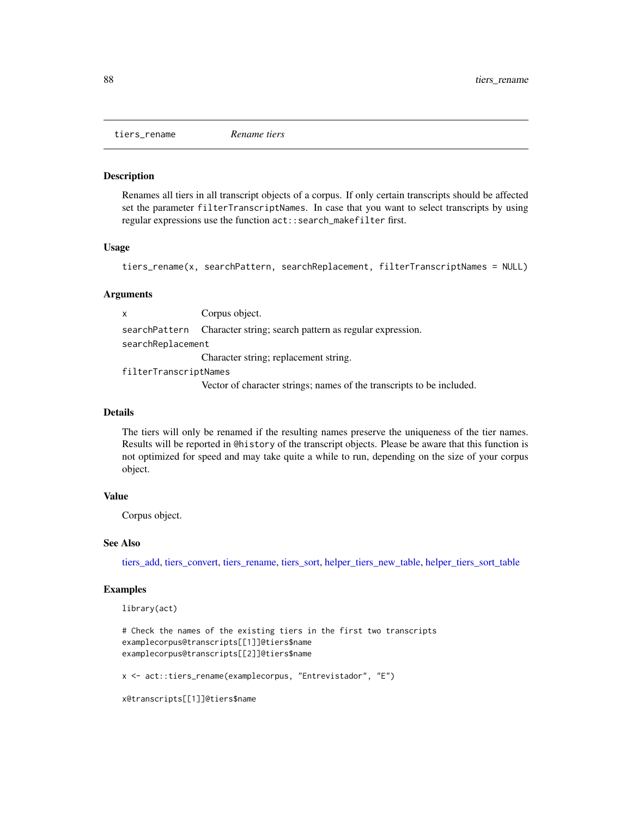<span id="page-87-0"></span>tiers\_rename *Rename tiers*

#### Description

Renames all tiers in all transcript objects of a corpus. If only certain transcripts should be affected set the parameter filterTranscriptNames. In case that you want to select transcripts by using regular expressions use the function act::search\_makefilter first.

#### Usage

tiers\_rename(x, searchPattern, searchReplacement, filterTranscriptNames = NULL)

#### Arguments

x Corpus object. searchPattern Character string; search pattern as regular expression. searchReplacement Character string; replacement string. filterTranscriptNames

Vector of character strings; names of the transcripts to be included.

#### Details

The tiers will only be renamed if the resulting names preserve the uniqueness of the tier names. Results will be reported in @history of the transcript objects. Please be aware that this function is not optimized for speed and may take quite a while to run, depending on the size of your corpus object.

## Value

Corpus object.

## See Also

[tiers\\_add,](#page-81-0) [tiers\\_convert,](#page-84-0) [tiers\\_rename,](#page-87-0) [tiers\\_sort,](#page-88-0) [helper\\_tiers\\_new\\_table,](#page-30-0) [helper\\_tiers\\_sort\\_table](#page-31-0)

#### Examples

library(act)

```
# Check the names of the existing tiers in the first two transcripts
examplecorpus@transcripts[[1]]@tiers$name
examplecorpus@transcripts[[2]]@tiers$name
```
x <- act::tiers\_rename(examplecorpus, "Entrevistador", "E")

x@transcripts[[1]]@tiers\$name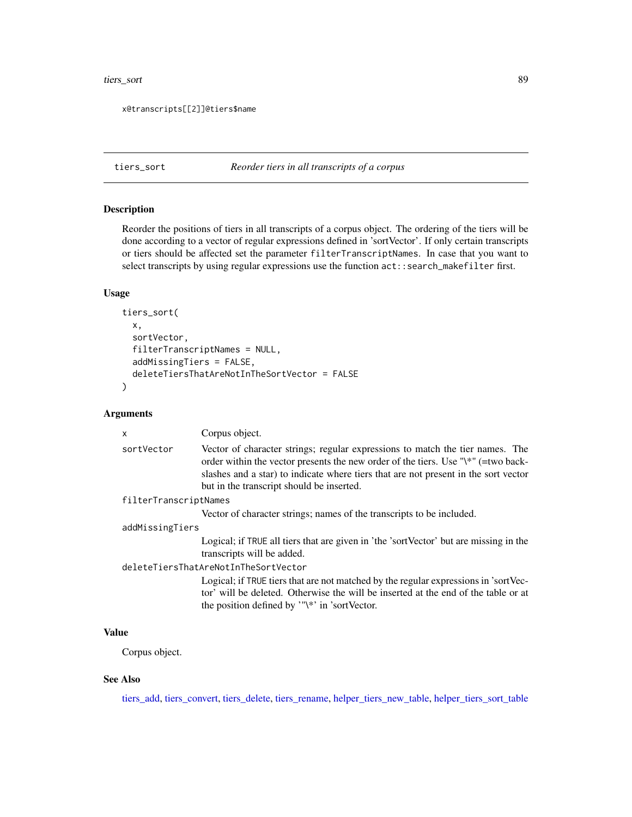#### tiers\_sort 89

x@transcripts[[2]]@tiers\$name

## <span id="page-88-0"></span>tiers\_sort *Reorder tiers in all transcripts of a corpus*

# Description

Reorder the positions of tiers in all transcripts of a corpus object. The ordering of the tiers will be done according to a vector of regular expressions defined in 'sortVector'. If only certain transcripts or tiers should be affected set the parameter filterTranscriptNames. In case that you want to select transcripts by using regular expressions use the function  $act::search\_makefilter$  first.

# Usage

```
tiers_sort(
 x,
  sortVector,
 filterTranscriptNames = NULL,
  addMissingTiers = FALSE,
  deleteTiersThatAreNotInTheSortVector = FALSE
)
```
# Arguments

| x                     | Corpus object.                                                                                                                                                                                                                                                                                                      |
|-----------------------|---------------------------------------------------------------------------------------------------------------------------------------------------------------------------------------------------------------------------------------------------------------------------------------------------------------------|
| sortVector            | Vector of character strings; regular expressions to match the tier names. The<br>order within the vector presents the new order of the tiers. Use " $\mathcal{E}$ " (=two back-<br>slashes and a star) to indicate where tiers that are not present in the sort vector<br>but in the transcript should be inserted. |
| filterTranscriptNames |                                                                                                                                                                                                                                                                                                                     |
|                       | Vector of character strings; names of the transcripts to be included.                                                                                                                                                                                                                                               |
| addMissingTiers       |                                                                                                                                                                                                                                                                                                                     |
|                       | Logical; if TRUE all tiers that are given in 'the 'sortVector' but are missing in the<br>transcripts will be added.                                                                                                                                                                                                 |
|                       | deleteTiersThatAreNotInTheSortVector                                                                                                                                                                                                                                                                                |
|                       | Logical; if TRUE tiers that are not matched by the regular expressions in 'sortVec-<br>tor' will be deleted. Otherwise the will be inserted at the end of the table or at<br>the position defined by ''\*' in 'sortVector.                                                                                          |

# Value

Corpus object.

# See Also

[tiers\\_add,](#page-81-0) [tiers\\_convert,](#page-84-0) [tiers\\_delete,](#page-86-0) [tiers\\_rename,](#page-87-0) [helper\\_tiers\\_new\\_table,](#page-30-0) [helper\\_tiers\\_sort\\_table](#page-31-0)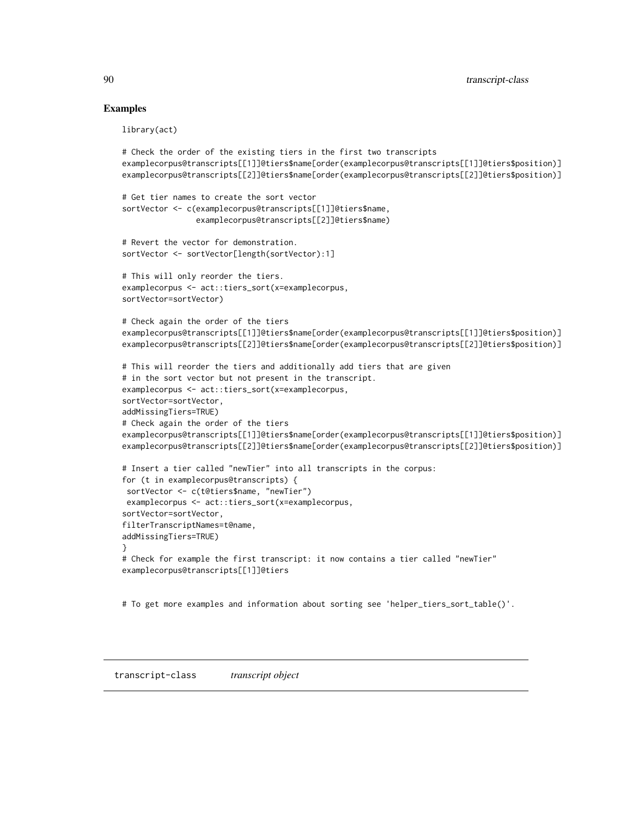## Examples

library(act)

```
# Check the order of the existing tiers in the first two transcripts
examplecorpus@transcripts[[1]]@tiers$name[order(examplecorpus@transcripts[[1]]@tiers$position)]
examplecorpus@transcripts[[2]]@tiers$name[order(examplecorpus@transcripts[[2]]@tiers$position)]
# Get tier names to create the sort vector
sortVector <- c(examplecorpus@transcripts[[1]]@tiers$name,
                examplecorpus@transcripts[[2]]@tiers$name)
# Revert the vector for demonstration.
sortVector <- sortVector[length(sortVector):1]
# This will only reorder the tiers.
examplecorpus <- act::tiers_sort(x=examplecorpus,
sortVector=sortVector)
# Check again the order of the tiers
examplecorpus@transcripts[[1]]@tiers$name[order(examplecorpus@transcripts[[1]]@tiers$position)]
examplecorpus@transcripts[[2]]@tiers$name[order(examplecorpus@transcripts[[2]]@tiers$position)]
# This will reorder the tiers and additionally add tiers that are given
# in the sort vector but not present in the transcript.
examplecorpus <- act::tiers_sort(x=examplecorpus,
sortVector=sortVector,
addMissingTiers=TRUE)
# Check again the order of the tiers
examplecorpus@transcripts[[1]]@tiers$name[order(examplecorpus@transcripts[[1]]@tiers$position)]
examplecorpus@transcripts[[2]]@tiers$name[order(examplecorpus@transcripts[[2]]@tiers$position)]
# Insert a tier called "newTier" into all transcripts in the corpus:
for (t in examplecorpus@transcripts) {
sortVector <- c(t@tiers$name, "newTier")
examplecorpus <- act::tiers_sort(x=examplecorpus,
sortVector=sortVector,
filterTranscriptNames=t@name,
addMissingTiers=TRUE)
}
# Check for example the first transcript: it now contains a tier called "newTier"
examplecorpus@transcripts[[1]]@tiers
```
# To get more examples and information about sorting see 'helper\_tiers\_sort\_table()'.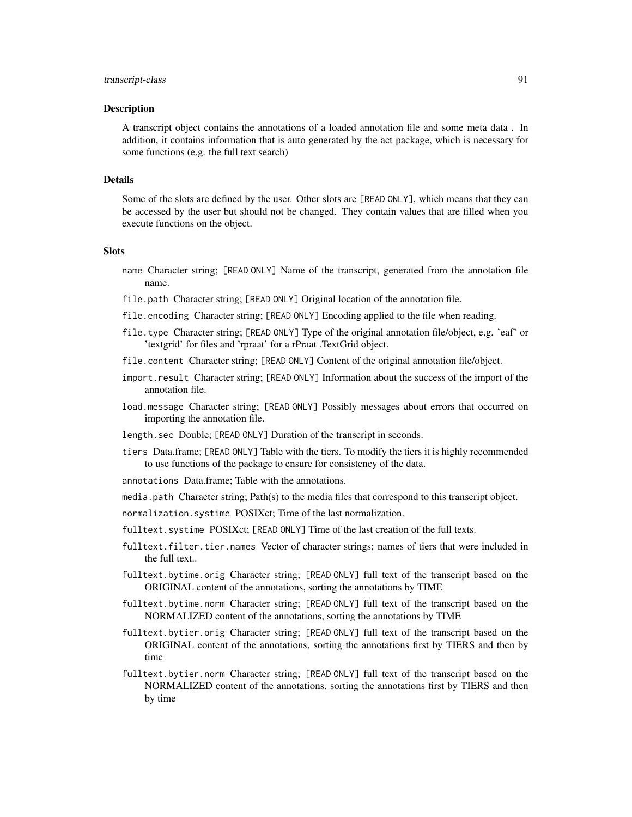# transcript-class 91

### Description

A transcript object contains the annotations of a loaded annotation file and some meta data . In addition, it contains information that is auto generated by the act package, which is necessary for some functions (e.g. the full text search)

#### Details

Some of the slots are defined by the user. Other slots are [READ ONLY], which means that they can be accessed by the user but should not be changed. They contain values that are filled when you execute functions on the object.

#### **Slots**

- name Character string; [READ ONLY] Name of the transcript, generated from the annotation file name.
- file.path Character string; [READ ONLY] Original location of the annotation file.
- file.encoding Character string; [READ ONLY] Encoding applied to the file when reading.
- file.type Character string; [READ ONLY] Type of the original annotation file/object, e.g. 'eaf' or 'textgrid' for files and 'rpraat' for a rPraat .TextGrid object.
- file.content Character string; [READ ONLY] Content of the original annotation file/object.
- import.result Character string; [READ ONLY] Information about the success of the import of the annotation file.
- load.message Character string; [READ ONLY] Possibly messages about errors that occurred on importing the annotation file.
- length.sec Double; [READ ONLY] Duration of the transcript in seconds.
- tiers Data.frame; [READ ONLY] Table with the tiers. To modify the tiers it is highly recommended to use functions of the package to ensure for consistency of the data.
- annotations Data.frame; Table with the annotations.
- media.path Character string; Path(s) to the media files that correspond to this transcript object.
- normalization.systime POSIXct; Time of the last normalization.
- fulltext.systime POSIXct; [READ ONLY] Time of the last creation of the full texts.
- fulltext.filter.tier.names Vector of character strings; names of tiers that were included in the full text..
- fulltext.bytime.orig Character string; [READ ONLY] full text of the transcript based on the ORIGINAL content of the annotations, sorting the annotations by TIME
- fulltext.bytime.norm Character string; [READ ONLY] full text of the transcript based on the NORMALIZED content of the annotations, sorting the annotations by TIME
- fulltext.bytier.orig Character string; [READ ONLY] full text of the transcript based on the ORIGINAL content of the annotations, sorting the annotations first by TIERS and then by time
- fulltext.bytier.norm Character string; [READ ONLY] full text of the transcript based on the NORMALIZED content of the annotations, sorting the annotations first by TIERS and then by time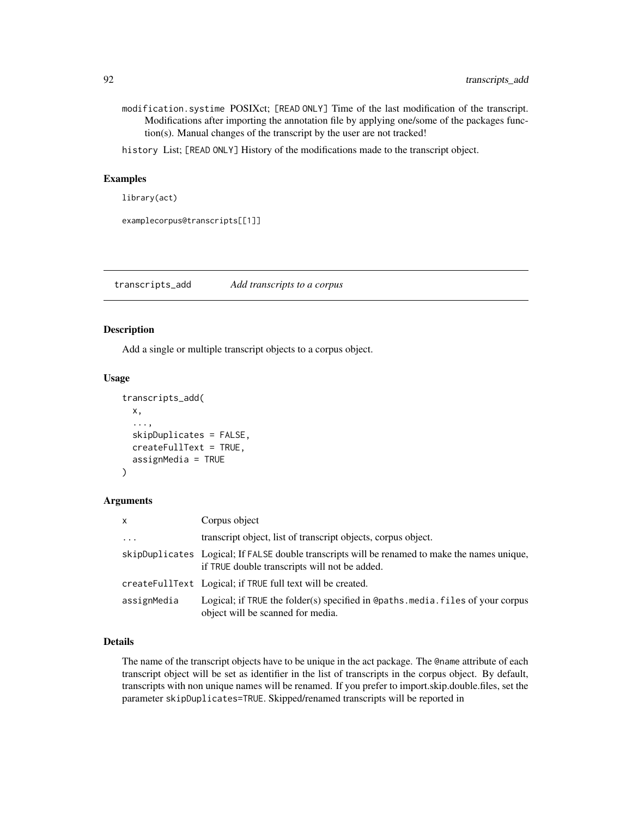modification.systime POSIXct; [READ ONLY] Time of the last modification of the transcript. Modifications after importing the annotation file by applying one/some of the packages function(s). Manual changes of the transcript by the user are not tracked!

history List; [READ ONLY] History of the modifications made to the transcript object.

## Examples

```
library(act)
```
examplecorpus@transcripts[[1]]

transcripts\_add *Add transcripts to a corpus*

## Description

Add a single or multiple transcript objects to a corpus object.

#### Usage

```
transcripts_add(
  x,
  ...,
  skipDuplicates = FALSE,
  createFullText = TRUE,
  assignMedia = TRUE
\mathcal{L}
```
#### Arguments

| X           | Corpus object                                                                                                                                  |
|-------------|------------------------------------------------------------------------------------------------------------------------------------------------|
| $\ddots$    | transcript object, list of transcript objects, corpus object.                                                                                  |
|             | skipDuplicates Logical; If FALSE double transcripts will be renamed to make the names unique,<br>if TRUE double transcripts will not be added. |
|             | createFullText Logical; if TRUE full text will be created.                                                                                     |
| assignMedia | Logical; if TRUE the folder(s) specified in @paths.media.files of your corpus<br>object will be scanned for media.                             |

# Details

The name of the transcript objects have to be unique in the act package. The @name attribute of each transcript object will be set as identifier in the list of transcripts in the corpus object. By default, transcripts with non unique names will be renamed. If you prefer to import.skip.double.files, set the parameter skipDuplicates=TRUE. Skipped/renamed transcripts will be reported in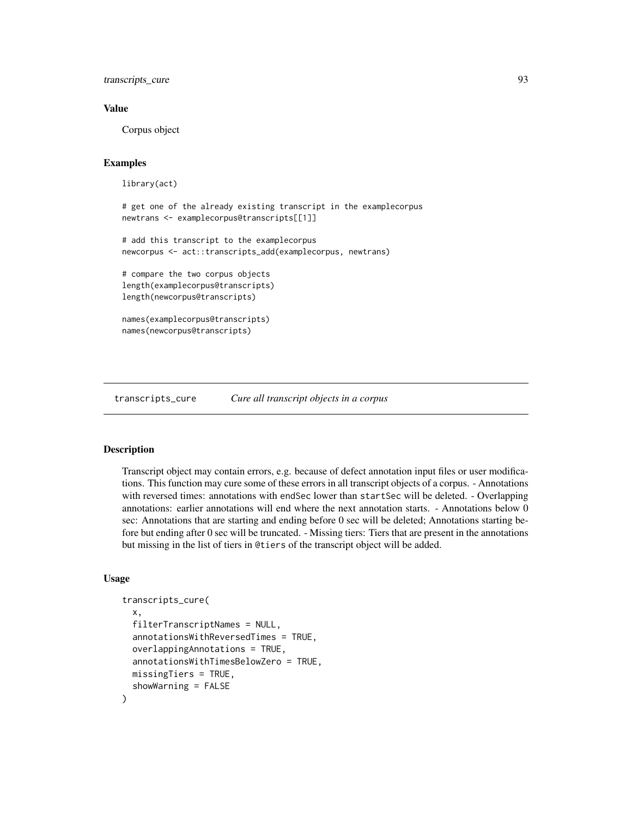transcripts\_cure 93

## Value

Corpus object

### Examples

```
library(act)
# get one of the already existing transcript in the examplecorpus
newtrans <- examplecorpus@transcripts[[1]]
# add this transcript to the examplecorpus
newcorpus <- act::transcripts_add(examplecorpus, newtrans)
# compare the two corpus objects
length(examplecorpus@transcripts)
length(newcorpus@transcripts)
names(examplecorpus@transcripts)
names(newcorpus@transcripts)
```
<span id="page-92-0"></span>transcripts\_cure *Cure all transcript objects in a corpus*

## Description

Transcript object may contain errors, e.g. because of defect annotation input files or user modifications. This function may cure some of these errors in all transcript objects of a corpus. - Annotations with reversed times: annotations with endSec lower than startSec will be deleted. - Overlapping annotations: earlier annotations will end where the next annotation starts. - Annotations below 0 sec: Annotations that are starting and ending before 0 sec will be deleted; Annotations starting before but ending after 0 sec will be truncated. - Missing tiers: Tiers that are present in the annotations but missing in the list of tiers in @tiers of the transcript object will be added.

## Usage

```
transcripts_cure(
  x,
  filterTranscriptNames = NULL,
  annotationsWithReversedTimes = TRUE,
  overlappingAnnotations = TRUE,
  annotationsWithTimesBelowZero = TRUE,
 missingTiers = TRUE,
  showWarning = FALSE
)
```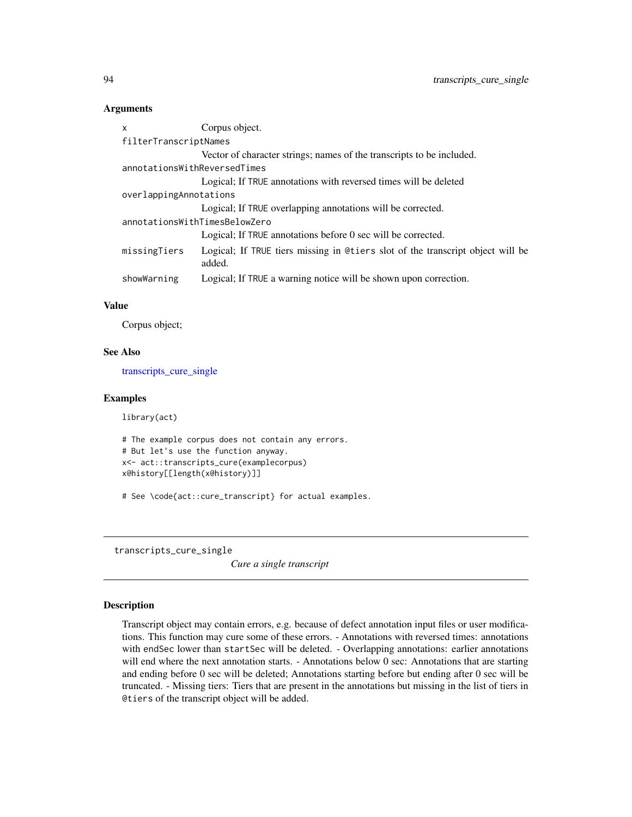## **Arguments**

| $\mathsf{x}$                  | Corpus object.                                                                           |
|-------------------------------|------------------------------------------------------------------------------------------|
| filterTranscriptNames         |                                                                                          |
|                               | Vector of character strings; names of the transcripts to be included.                    |
| annotationsWithReversedTimes  |                                                                                          |
|                               | Logical; If TRUE annotations with reversed times will be deleted                         |
| overlappingAnnotations        |                                                                                          |
|                               | Logical; If TRUE overlapping annotations will be corrected.                              |
| annotationsWithTimesBelowZero |                                                                                          |
|                               | Logical; If TRUE annotations before 0 sec will be corrected.                             |
| missingTiers                  | Logical; If TRUE tiers missing in @tiers slot of the transcript object will be<br>added. |
| showWarning                   | Logical; If TRUE a warning notice will be shown upon correction.                         |
|                               |                                                                                          |

# Value

Corpus object;

# See Also

[transcripts\\_cure\\_single](#page-93-0)

# Examples

library(act)

```
# The example corpus does not contain any errors.
# But let's use the function anyway.
x<- act::transcripts_cure(examplecorpus)
x@history[[length(x@history)]]
```
# See \code{act::cure\_transcript} for actual examples.

<span id="page-93-0"></span>transcripts\_cure\_single

*Cure a single transcript*

## Description

Transcript object may contain errors, e.g. because of defect annotation input files or user modifications. This function may cure some of these errors. - Annotations with reversed times: annotations with endSec lower than startSec will be deleted. - Overlapping annotations: earlier annotations will end where the next annotation starts. - Annotations below 0 sec: Annotations that are starting and ending before 0 sec will be deleted; Annotations starting before but ending after 0 sec will be truncated. - Missing tiers: Tiers that are present in the annotations but missing in the list of tiers in @tiers of the transcript object will be added.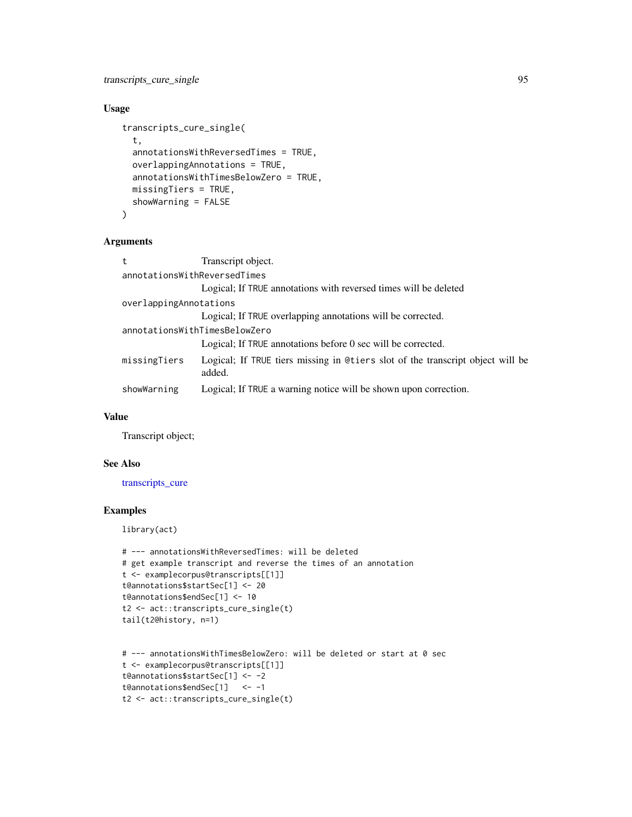# transcripts\_cure\_single 95

# Usage

```
transcripts_cure_single(
  t,
  annotationsWithReversedTimes = TRUE,
 overlappingAnnotations = TRUE,
  annotationsWithTimesBelowZero = TRUE,
 missingTiers = TRUE,
  showWarning = FALSE
)
```
## Arguments

| t                             | Transcript object.                                                                       |
|-------------------------------|------------------------------------------------------------------------------------------|
| annotationsWithReversedTimes  |                                                                                          |
|                               | Logical; If TRUE annotations with reversed times will be deleted                         |
| overlappingAnnotations        |                                                                                          |
|                               | Logical; If TRUE overlapping annotations will be corrected.                              |
| annotationsWithTimesBelowZero |                                                                                          |
|                               | Logical; If TRUE annotations before 0 sec will be corrected.                             |
| missingTiers                  | Logical; If TRUE tiers missing in @tiers slot of the transcript object will be<br>added. |
| showWarning                   | Logical; If TRUE a warning notice will be shown upon correction.                         |

## Value

Transcript object;

# See Also

[transcripts\\_cure](#page-92-0)

# Examples

library(act)

```
# --- annotationsWithReversedTimes: will be deleted
# get example transcript and reverse the times of an annotation
t <- examplecorpus@transcripts[[1]]
t@annotations$startSec[1] <- 20
t@annotations$endSec[1] <- 10
t2 <- act::transcripts_cure_single(t)
tail(t2@history, n=1)
```

```
# --- annotationsWithTimesBelowZero: will be deleted or start at 0 sec
t <- examplecorpus@transcripts[[1]]
t@annotations$startSec[1] <- -2
t@annotations$endSec[1] <- -1
t2 <- act::transcripts_cure_single(t)
```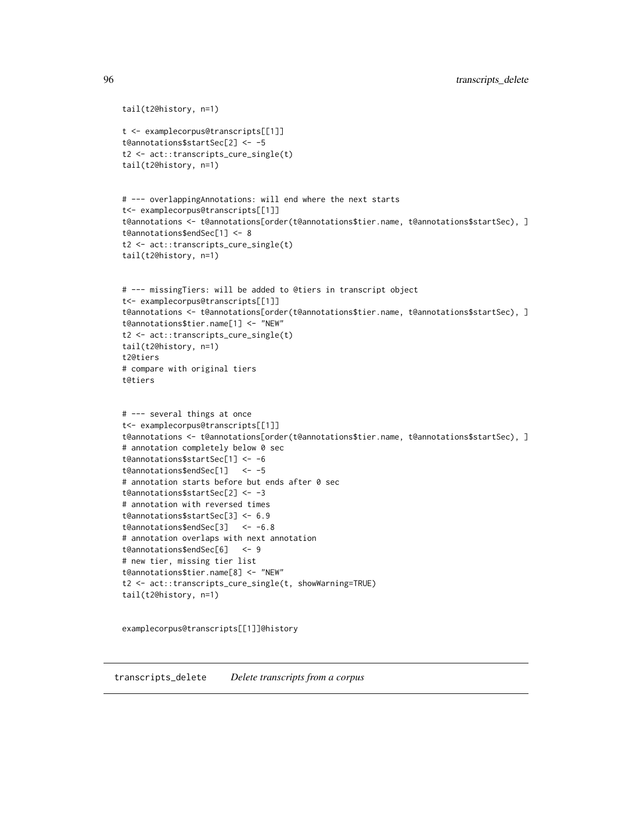```
tail(t2@history, n=1)
t <- examplecorpus@transcripts[[1]]
t@annotations$startSec[2] <- -5
t2 <- act::transcripts_cure_single(t)
tail(t2@history, n=1)
# --- overlappingAnnotations: will end where the next starts
t<- examplecorpus@transcripts[[1]]
t@annotations <- t@annotations[order(t@annotations$tier.name, t@annotations$startSec), ]
t@annotations$endSec[1] <- 8
t2 <- act::transcripts_cure_single(t)
tail(t2@history, n=1)
# --- missingTiers: will be added to @tiers in transcript object
t<- examplecorpus@transcripts[[1]]
t@annotations <- t@annotations[order(t@annotations$tier.name, t@annotations$startSec), ]
t@annotations$tier.name[1] <- "NEW"
t2 <- act::transcripts_cure_single(t)
tail(t2@history, n=1)
t2@tiers
# compare with original tiers
t@tiers
# --- several things at once
t<- examplecorpus@transcripts[[1]]
t@annotations <- t@annotations[order(t@annotations$tier.name, t@annotations$startSec), ]
# annotation completely below 0 sec
t@annotations$startSec[1] <- -6
t@annotations$endSec[1] <- -5
# annotation starts before but ends after 0 sec
t@annotations$startSec[2] <- -3
# annotation with reversed times
t@annotations$startSec[3] <- 6.9
t@annotations$endSec[3] <- -6.8
# annotation overlaps with next annotation
t@annotations$endSec[6] <- 9
# new tier, missing tier list
t@annotations$tier.name[8] <- "NEW"
t2 <- act::transcripts_cure_single(t, showWarning=TRUE)
tail(t2@history, n=1)
```
examplecorpus@transcripts[[1]]@history

transcripts\_delete *Delete transcripts from a corpus*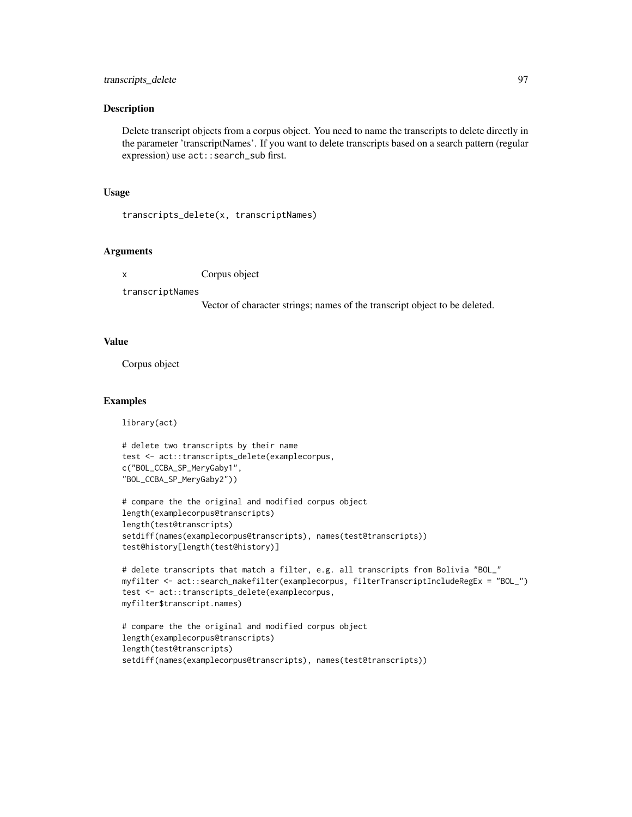## Description

Delete transcript objects from a corpus object. You need to name the transcripts to delete directly in the parameter 'transcriptNames'. If you want to delete transcripts based on a search pattern (regular expression) use act::search\_sub first.

## Usage

```
transcripts_delete(x, transcriptNames)
```
# **Arguments**

x Corpus object

transcriptNames

Vector of character strings; names of the transcript object to be deleted.

## Value

Corpus object

## Examples

library(act)

```
# delete two transcripts by their name
test <- act::transcripts_delete(examplecorpus,
c("BOL_CCBA_SP_MeryGaby1",
"BOL_CCBA_SP_MeryGaby2"))
```

```
# compare the the original and modified corpus object
length(examplecorpus@transcripts)
length(test@transcripts)
setdiff(names(examplecorpus@transcripts), names(test@transcripts))
test@history[length(test@history)]
```

```
# delete transcripts that match a filter, e.g. all transcripts from Bolivia "BOL_"
myfilter <- act::search_makefilter(examplecorpus, filterTranscriptIncludeRegEx = "BOL_")
test <- act::transcripts_delete(examplecorpus,
myfilter$transcript.names)
```

```
# compare the the original and modified corpus object
length(examplecorpus@transcripts)
length(test@transcripts)
setdiff(names(examplecorpus@transcripts), names(test@transcripts))
```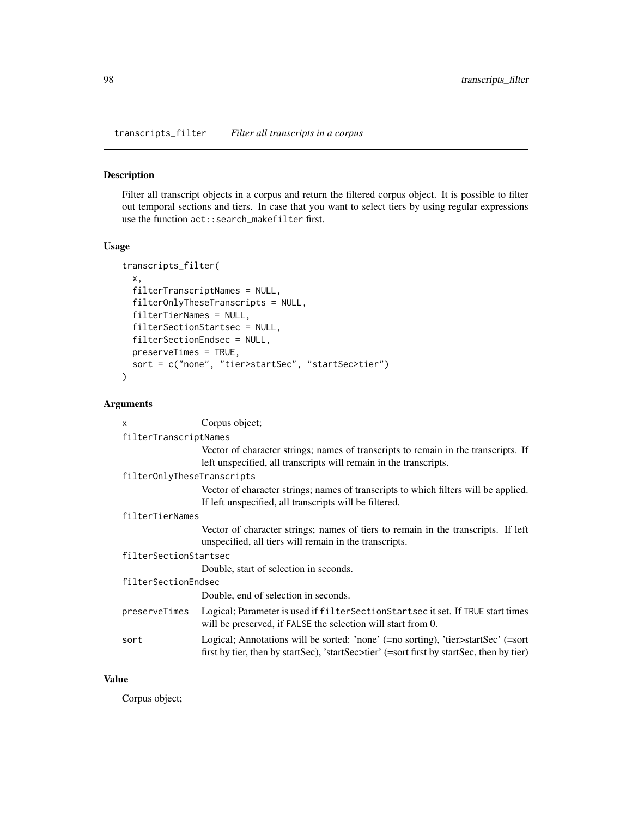transcripts\_filter *Filter all transcripts in a corpus*

# Description

Filter all transcript objects in a corpus and return the filtered corpus object. It is possible to filter out temporal sections and tiers. In case that you want to select tiers by using regular expressions use the function act::search\_makefilter first.

# Usage

```
transcripts_filter(
 x,
 filterTranscriptNames = NULL,
  filterOnlyTheseTranscripts = NULL,
  filterTierNames = NULL,
  filterSectionStartsec = NULL,
  filterSectionEndsec = NULL,
 preserveTimes = TRUE,
 sort = c("none", "tier>startSec", "startSec>tier")
)
```
# Arguments

| $\mathsf{x}$               | Corpus object;                                                                                                                                                                 |
|----------------------------|--------------------------------------------------------------------------------------------------------------------------------------------------------------------------------|
| filterTranscriptNames      |                                                                                                                                                                                |
|                            | Vector of character strings; names of transcripts to remain in the transcripts. If<br>left unspecified, all transcripts will remain in the transcripts.                        |
| filterOnlyTheseTranscripts |                                                                                                                                                                                |
|                            | Vector of character strings; names of transcripts to which filters will be applied.<br>If left unspecified, all transcripts will be filtered.                                  |
| filterTierNames            |                                                                                                                                                                                |
|                            | Vector of character strings; names of tiers to remain in the transcripts. If left<br>unspecified, all tiers will remain in the transcripts.                                    |
| filterSectionStartsec      |                                                                                                                                                                                |
|                            | Double, start of selection in seconds.                                                                                                                                         |
| filterSectionEndsec        |                                                                                                                                                                                |
|                            | Double, end of selection in seconds.                                                                                                                                           |
| preserveTimes              | Logical; Parameter is used if filter Section Startsec it set. If TRUE start times<br>will be preserved, if FALSE the selection will start from 0.                              |
| sort                       | Logical; Annotations will be sorted: 'none' (=no sorting), 'tier>startSec' (=sort<br>first by tier, then by startSec), 'startSec>tier' (=sort first by startSec, then by tier) |

## Value

Corpus object;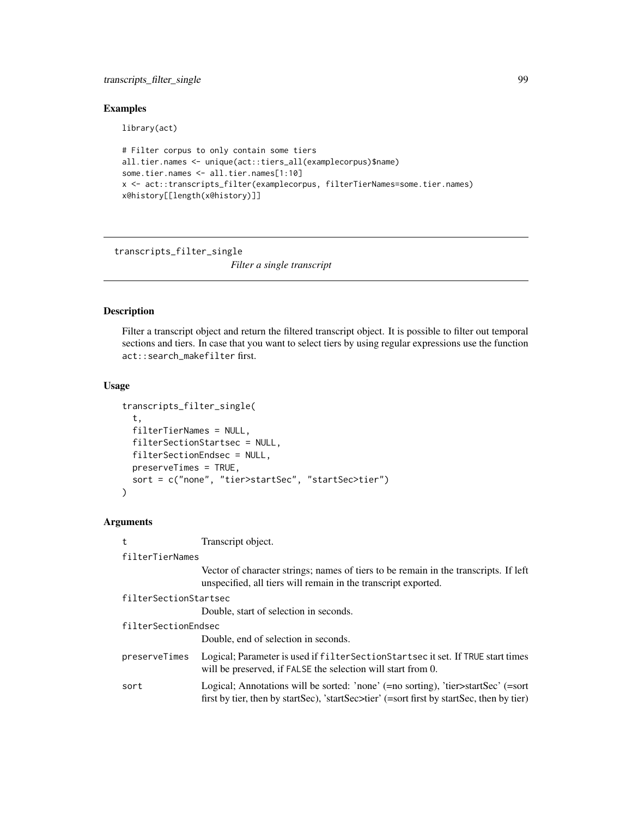# transcripts\_filter\_single 99

# Examples

library(act)

```
# Filter corpus to only contain some tiers
all.tier.names <- unique(act::tiers_all(examplecorpus)$name)
some.tier.names <- all.tier.names[1:10]
x <- act::transcripts_filter(examplecorpus, filterTierNames=some.tier.names)
x@history[[length(x@history)]]
```
transcripts\_filter\_single

*Filter a single transcript*

# Description

Filter a transcript object and return the filtered transcript object. It is possible to filter out temporal sections and tiers. In case that you want to select tiers by using regular expressions use the function act::search\_makefilter first.

# Usage

```
transcripts_filter_single(
  t,
 filterTierNames = NULL,
 filterSectionStartsec = NULL,
 filterSectionEndsec = NULL,
 preserveTimes = TRUE,
  sort = c("none", "tier>startSec", "startSec>tier")
)
```
# Arguments

| t                     | Transcript object.                                                                                                                                                             |
|-----------------------|--------------------------------------------------------------------------------------------------------------------------------------------------------------------------------|
| filterTierNames       |                                                                                                                                                                                |
|                       | Vector of character strings; names of tiers to be remain in the transcripts. If left<br>unspecified, all tiers will remain in the transcript exported.                         |
| filterSectionStartsec |                                                                                                                                                                                |
|                       | Double, start of selection in seconds.                                                                                                                                         |
| filterSectionEndsec   |                                                                                                                                                                                |
|                       | Double, end of selection in seconds.                                                                                                                                           |
| preserveTimes         | Logical; Parameter is used if filter Section Startsec it set. If TRUE start times<br>will be preserved, if FALSE the selection will start from 0.                              |
| sort                  | Logical; Annotations will be sorted: 'none' (=no sorting), 'tier>startSec' (=sort<br>first by tier, then by startSec), 'startSec>tier' (=sort first by startSec, then by tier) |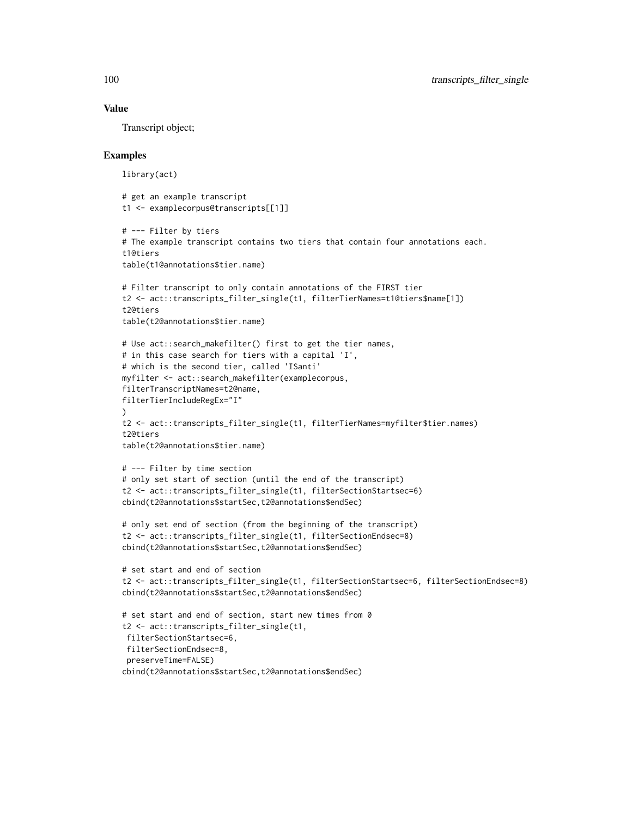## Value

Transcript object;

## Examples

library(act)

```
# get an example transcript
t1 <- examplecorpus@transcripts[[1]]
```
filterSectionStartsec=6, filterSectionEndsec=8, preserveTime=FALSE)

cbind(t2@annotations\$startSec,t2@annotations\$endSec)

```
# --- Filter by tiers
# The example transcript contains two tiers that contain four annotations each.
t1@tiers
table(t1@annotations$tier.name)
# Filter transcript to only contain annotations of the FIRST tier
t2 <- act::transcripts_filter_single(t1, filterTierNames=t1@tiers$name[1])
t2@tiers
table(t2@annotations$tier.name)
# Use act::search_makefilter() first to get the tier names,
# in this case search for tiers with a capital 'I',
# which is the second tier, called 'ISanti'
myfilter <- act::search_makefilter(examplecorpus,
filterTranscriptNames=t2@name,
filterTierIncludeRegEx="I"
\lambdat2 <- act::transcripts_filter_single(t1, filterTierNames=myfilter$tier.names)
t2@tiers
table(t2@annotations$tier.name)
# --- Filter by time section
# only set start of section (until the end of the transcript)
t2 <- act::transcripts_filter_single(t1, filterSectionStartsec=6)
cbind(t2@annotations$startSec,t2@annotations$endSec)
# only set end of section (from the beginning of the transcript)
t2 <- act::transcripts_filter_single(t1, filterSectionEndsec=8)
cbind(t2@annotations$startSec,t2@annotations$endSec)
# set start and end of section
t2 <- act::transcripts_filter_single(t1, filterSectionStartsec=6, filterSectionEndsec=8)
cbind(t2@annotations$startSec,t2@annotations$endSec)
# set start and end of section, start new times from 0
t2 <- act::transcripts_filter_single(t1,
```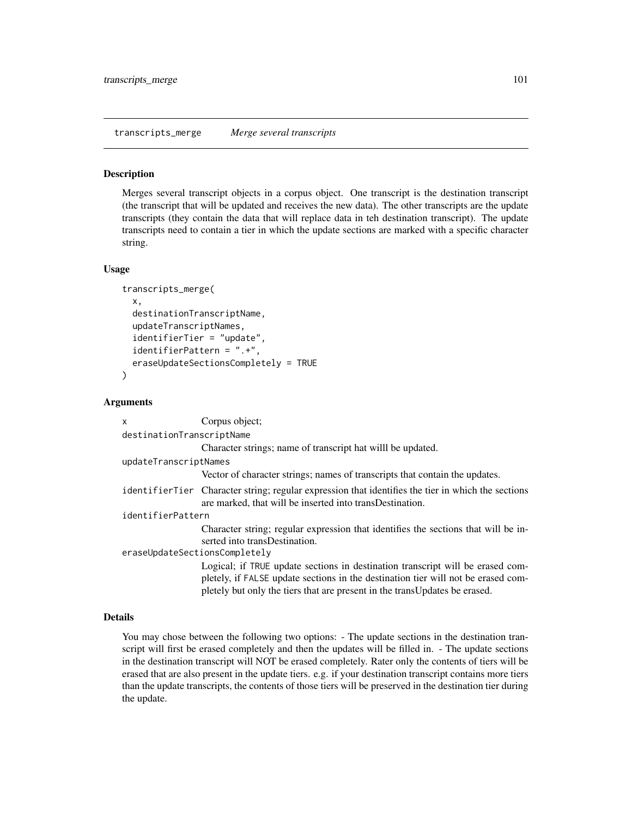<span id="page-100-0"></span>transcripts\_merge *Merge several transcripts*

#### Description

Merges several transcript objects in a corpus object. One transcript is the destination transcript (the transcript that will be updated and receives the new data). The other transcripts are the update transcripts (they contain the data that will replace data in teh destination transcript). The update transcripts need to contain a tier in which the update sections are marked with a specific character string.

## Usage

```
transcripts_merge(
  x,
  destinationTranscriptName,
  updateTranscriptNames,
  identifierTier = "update",
  identifierPattern = ".+",
  eraseUpdateSectionsCompletely = TRUE
)
```
# Arguments

| x                             | Corpus object:                                                                                                                                                                                                                                    |
|-------------------------------|---------------------------------------------------------------------------------------------------------------------------------------------------------------------------------------------------------------------------------------------------|
| destinationTranscriptName     |                                                                                                                                                                                                                                                   |
|                               | Character strings; name of transcript hat willl be updated.                                                                                                                                                                                       |
| updateTranscriptNames         |                                                                                                                                                                                                                                                   |
|                               | Vector of character strings; names of transcripts that contain the updates.                                                                                                                                                                       |
|                               | identifier Tier Character string; regular expression that identifies the tier in which the sections<br>are marked, that will be inserted into transDestination.                                                                                   |
| identifierPattern             |                                                                                                                                                                                                                                                   |
|                               | Character string; regular expression that identifies the sections that will be in-<br>serted into transDestination.                                                                                                                               |
| eraseUpdateSectionsCompletely |                                                                                                                                                                                                                                                   |
|                               | Logical; if TRUE update sections in destination transcript will be erased com-<br>pletely, if FALSE update sections in the destination tier will not be erased com-<br>pletely but only the tiers that are present in the transUpdates be erased. |
|                               |                                                                                                                                                                                                                                                   |

## Details

You may chose between the following two options: - The update sections in the destination transcript will first be erased completely and then the updates will be filled in. - The update sections in the destination transcript will NOT be erased completely. Rater only the contents of tiers will be erased that are also present in the update tiers. e.g. if your destination transcript contains more tiers than the update transcripts, the contents of those tiers will be preserved in the destination tier during the update.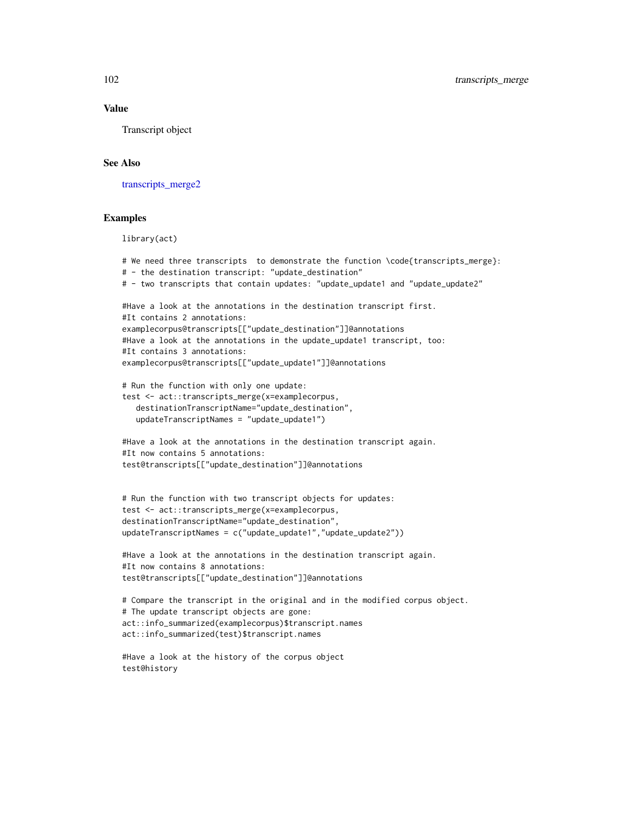## Value

Transcript object

## See Also

[transcripts\\_merge2](#page-102-0)

#### Examples

library(act)

```
# We need three transcripts to demonstrate the function \code{transcripts_merge}:
# - the destination transcript: "update_destination"
# - two transcripts that contain updates: "update_update1 and "update_update2"
#Have a look at the annotations in the destination transcript first.
#It contains 2 annotations:
examplecorpus@transcripts[["update_destination"]]@annotations
#Have a look at the annotations in the update_update1 transcript, too:
#It contains 3 annotations:
examplecorpus@transcripts[["update_update1"]]@annotations
# Run the function with only one update:
test <- act::transcripts_merge(x=examplecorpus,
   destinationTranscriptName="update_destination",
   updateTranscriptNames = "update_update1")
#Have a look at the annotations in the destination transcript again.
#It now contains 5 annotations:
test@transcripts[["update_destination"]]@annotations
# Run the function with two transcript objects for updates:
test <- act::transcripts_merge(x=examplecorpus,
destinationTranscriptName="update_destination",
updateTranscriptNames = c("update_update1","update_update2"))
#Have a look at the annotations in the destination transcript again.
#It now contains 8 annotations:
test@transcripts[["update_destination"]]@annotations
# Compare the transcript in the original and in the modified corpus object.
# The update transcript objects are gone:
act::info_summarized(examplecorpus)$transcript.names
act::info_summarized(test)$transcript.names
```

```
#Have a look at the history of the corpus object
test@history
```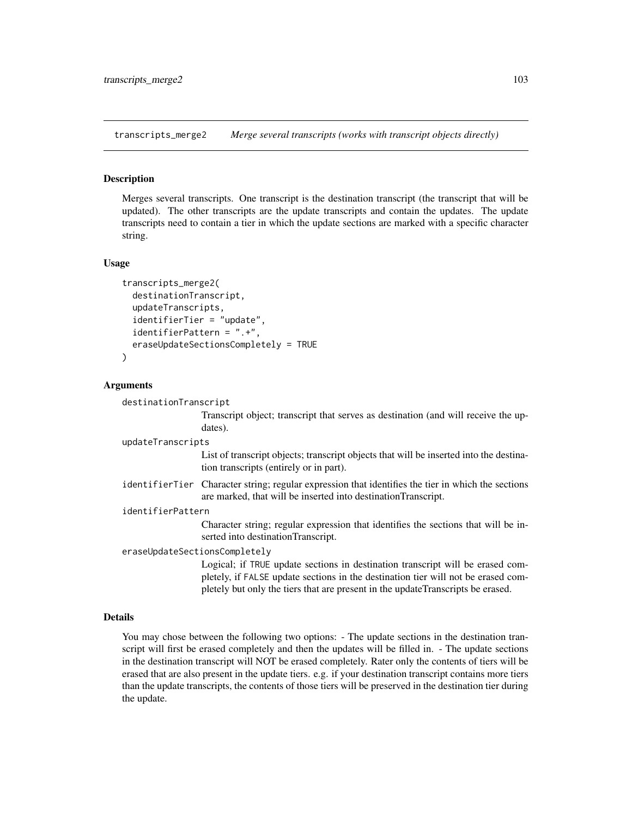<span id="page-102-0"></span>transcripts\_merge2 *Merge several transcripts (works with transcript objects directly)*

#### Description

Merges several transcripts. One transcript is the destination transcript (the transcript that will be updated). The other transcripts are the update transcripts and contain the updates. The update transcripts need to contain a tier in which the update sections are marked with a specific character string.

#### Usage

```
transcripts_merge2(
  destinationTranscript,
  updateTranscripts,
  identifierTier = "update",
  identifierPattern = ".+",
  eraseUpdateSectionsCompletely = TRUE
)
```
## Arguments

destinationTranscript

Transcript object; transcript that serves as destination (and will receive the updates).

#### updateTranscripts

List of transcript objects; transcript objects that will be inserted into the destination transcripts (entirely or in part).

- identifierTier Character string; regular expression that identifies the tier in which the sections are marked, that will be inserted into destinationTranscript.
- identifierPattern

Character string; regular expression that identifies the sections that will be inserted into destinationTranscript.

eraseUpdateSectionsCompletely

Logical; if TRUE update sections in destination transcript will be erased completely, if FALSE update sections in the destination tier will not be erased completely but only the tiers that are present in the updateTranscripts be erased.

## Details

You may chose between the following two options: - The update sections in the destination transcript will first be erased completely and then the updates will be filled in. - The update sections in the destination transcript will NOT be erased completely. Rater only the contents of tiers will be erased that are also present in the update tiers. e.g. if your destination transcript contains more tiers than the update transcripts, the contents of those tiers will be preserved in the destination tier during the update.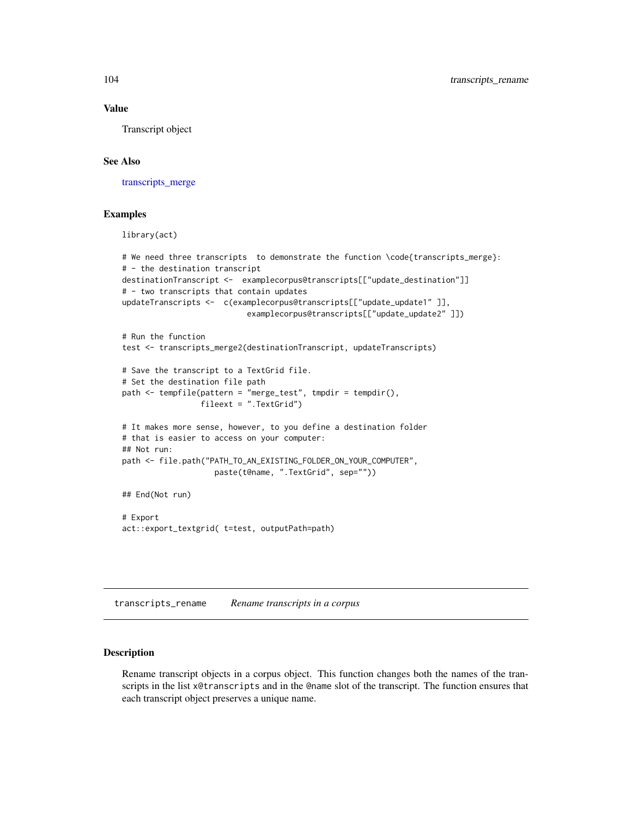# Value

Transcript object

# See Also

[transcripts\\_merge](#page-100-0)

## Examples

library(act)

```
# We need three transcripts to demonstrate the function \code{transcripts_merge}:
# - the destination transcript
destinationTranscript <- examplecorpus@transcripts[["update_destination"]]
# - two transcripts that contain updates
updateTranscripts <- c(examplecorpus@transcripts[["update_update1" ]],
                           examplecorpus@transcripts[["update_update2" ]])
# Run the function
test <- transcripts_merge2(destinationTranscript, updateTranscripts)
# Save the transcript to a TextGrid file.
# Set the destination file path
path <- tempfile(pattern = "merge_test", tmpdir = tempdir(),
                 fileext = ".TextGrid")
# It makes more sense, however, to you define a destination folder
# that is easier to access on your computer:
## Not run:
path <- file.path("PATH_TO_AN_EXISTING_FOLDER_ON_YOUR_COMPUTER",
                    paste(t@name, ".TextGrid", sep=""))
## End(Not run)
# Export
act::export_textgrid( t=test, outputPath=path)
```
transcripts\_rename *Rename transcripts in a corpus*

## Description

Rename transcript objects in a corpus object. This function changes both the names of the transcripts in the list x@transcripts and in the @name slot of the transcript. The function ensures that each transcript object preserves a unique name.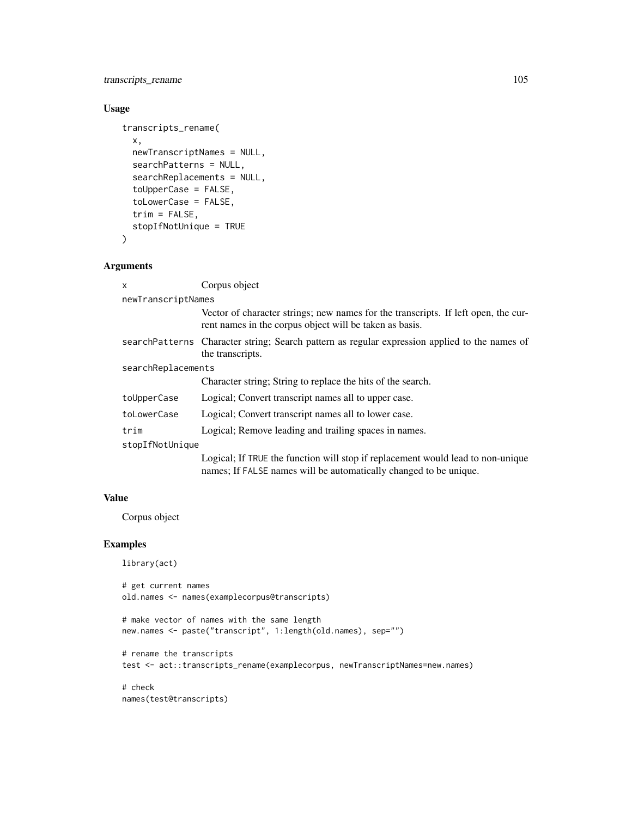# transcripts\_rename 105

# Usage

```
transcripts_rename(
  x,
  newTranscriptNames = NULL,
  searchPatterns = NULL,
  searchReplacements = NULL,
  toUpperCase = FALSE,
  toLowerCase = FALSE,
  trim = FALSE,stopIfNotUnique = TRUE
)
```
# Arguments

| X                  | Corpus object                                                                                                                                        |
|--------------------|------------------------------------------------------------------------------------------------------------------------------------------------------|
| newTranscriptNames |                                                                                                                                                      |
|                    | Vector of character strings; new names for the transcripts. If left open, the cur-<br>rent names in the corpus object will be taken as basis.        |
|                    | searchPatterns Character string; Search pattern as regular expression applied to the names of<br>the transcripts.                                    |
| searchReplacements |                                                                                                                                                      |
|                    | Character string; String to replace the hits of the search.                                                                                          |
| toUpperCase        | Logical; Convert transcript names all to upper case.                                                                                                 |
| toLowerCase        | Logical; Convert transcript names all to lower case.                                                                                                 |
| trim               | Logical; Remove leading and trailing spaces in names.                                                                                                |
| stopIfNotUnique    |                                                                                                                                                      |
|                    | Logical; If TRUE the function will stop if replacement would lead to non-unique<br>names; If FALSE names will be automatically changed to be unique. |

#### Value

Corpus object

# Examples

```
library(act)
```

```
# get current names
old.names <- names(examplecorpus@transcripts)
```

```
# make vector of names with the same length
new.names <- paste("transcript", 1:length(old.names), sep="")
```

```
# rename the transcripts
test <- act::transcripts_rename(examplecorpus, newTranscriptNames=new.names)
```
# check names(test@transcripts)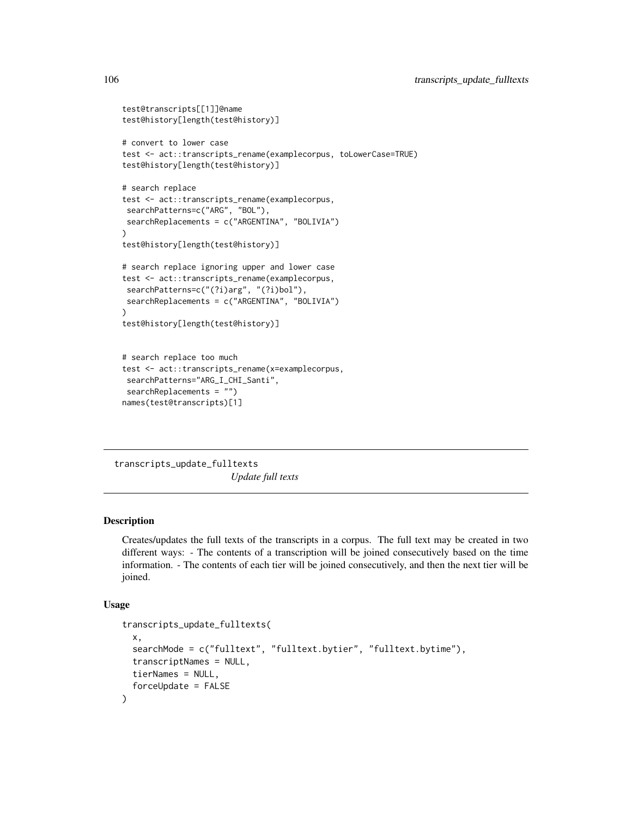```
test@transcripts[[1]]@name
test@history[length(test@history)]
# convert to lower case
test <- act::transcripts_rename(examplecorpus, toLowerCase=TRUE)
test@history[length(test@history)]
# search replace
test <- act::transcripts_rename(examplecorpus,
searchPatterns=c("ARG", "BOL"),
searchReplacements = c("ARGENTINA", "BOLIVIA")
\lambdatest@history[length(test@history)]
# search replace ignoring upper and lower case
test <- act::transcripts_rename(examplecorpus,
searchPatterns=c("(?i)arg", "(?i)bol"),
searchReplacements = c("ARGENTINA", "BOLIVIA")
\mathcal{L}test@history[length(test@history)]
# search replace too much
test <- act::transcripts_rename(x=examplecorpus,
searchPatterns="ARG_I_CHI_Santi",
 searchReplacements = "")
names(test@transcripts)[1]
```
transcripts\_update\_fulltexts *Update full texts*

## Description

Creates/updates the full texts of the transcripts in a corpus. The full text may be created in two different ways: - The contents of a transcription will be joined consecutively based on the time information. - The contents of each tier will be joined consecutively, and then the next tier will be joined.

#### Usage

```
transcripts_update_fulltexts(
  x,
  searchMode = c("fulltext", "fulltext.bytier", "fulltext.bytime"),
  transcriptNames = NULL,
  tierNames = NULL,
  forceUpdate = FALSE
)
```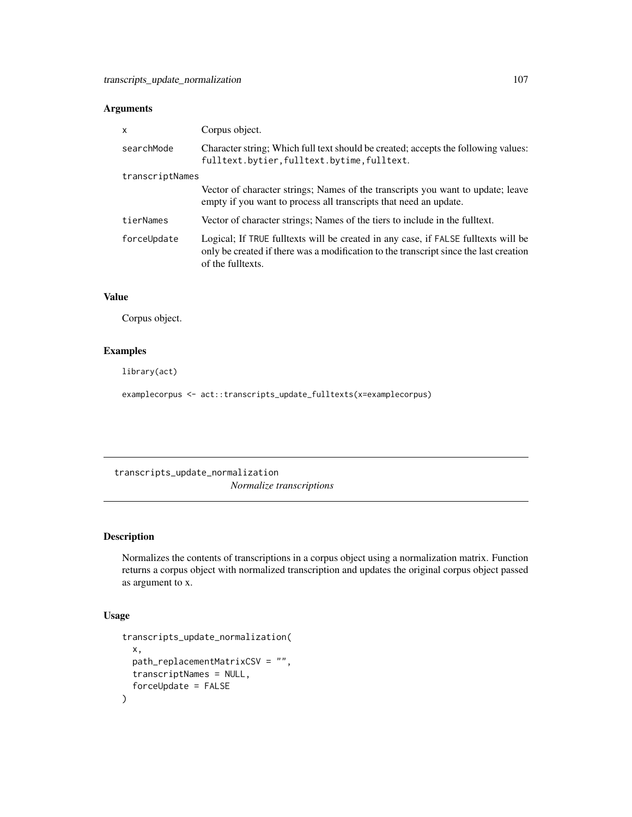# Arguments

| $\boldsymbol{\mathsf{x}}$ | Corpus object.                                                                                                                                                                                   |
|---------------------------|--------------------------------------------------------------------------------------------------------------------------------------------------------------------------------------------------|
| searchMode                | Character string; Which full text should be created; accepts the following values:<br>fulltext.bytier, fulltext.bytime, fulltext.                                                                |
| transcriptNames           |                                                                                                                                                                                                  |
|                           | Vector of character strings; Names of the transcripts you want to update; leave<br>empty if you want to process all transcripts that need an update.                                             |
| tierNames                 | Vector of character strings; Names of the tiers to include in the fulltext.                                                                                                                      |
| forceUpdate               | Logical; If TRUE fulltexts will be created in any case, if FALSE fulltexts will be<br>only be created if there was a modification to the transcript since the last creation<br>of the fulltexts. |

# Value

Corpus object.

# Examples

library(act)

examplecorpus <- act::transcripts\_update\_fulltexts(x=examplecorpus)

transcripts\_update\_normalization *Normalize transcriptions*

# Description

Normalizes the contents of transcriptions in a corpus object using a normalization matrix. Function returns a corpus object with normalized transcription and updates the original corpus object passed as argument to x.

# Usage

```
transcripts_update_normalization(
  x,
 path_replacementMatrixCSV = "",
  transcriptNames = NULL,
  forceUpdate = FALSE
\mathcal{E}
```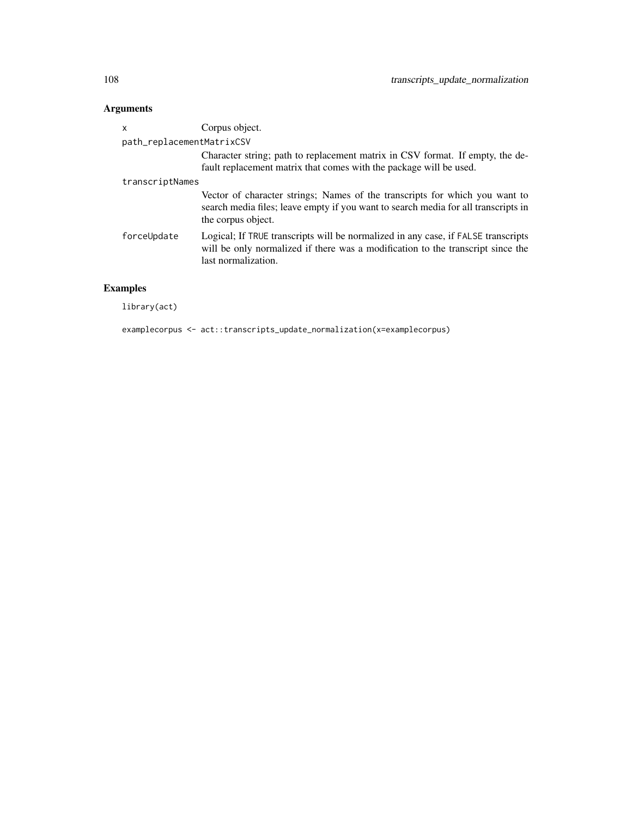# Arguments

| x                         | Corpus object.                                                                                                                                                                              |
|---------------------------|---------------------------------------------------------------------------------------------------------------------------------------------------------------------------------------------|
| path_replacementMatrixCSV |                                                                                                                                                                                             |
|                           | Character string; path to replacement matrix in CSV format. If empty, the de-<br>fault replacement matrix that comes with the package will be used.                                         |
| transcriptNames           |                                                                                                                                                                                             |
|                           | Vector of character strings; Names of the transcripts for which you want to<br>search media files; leave empty if you want to search media for all transcripts in<br>the corpus object.     |
| forceUpdate               | Logical; If TRUE transcripts will be normalized in any case, if FALSE transcripts<br>will be only normalized if there was a modification to the transcript since the<br>last normalization. |
|                           |                                                                                                                                                                                             |

# Examples

library(act)

examplecorpus <- act::transcripts\_update\_normalization(x=examplecorpus)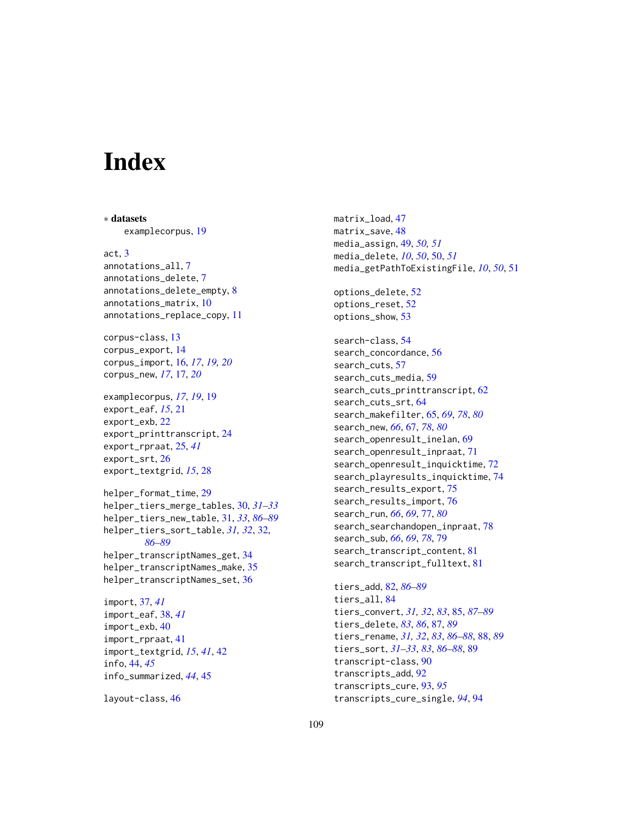## **Index**

∗ datasets examplecorpus, [19](#page-18-0) act, [3](#page-2-0) annotations\_all, [7](#page-6-0) annotations\_delete, [7](#page-6-0) annotations\_delete\_empty, [8](#page-7-0) annotations\_matrix, [10](#page-9-0) annotations\_replace\_copy, [11](#page-10-0) corpus-class, [13](#page-12-0) corpus\_export, [14](#page-13-0) corpus\_import, [16,](#page-15-0) *[17](#page-16-0)*, *[19,](#page-18-0) [20](#page-19-0)* corpus\_new, *[17](#page-16-0)*, [17,](#page-16-0) *[20](#page-19-0)* examplecorpus, *[17](#page-16-0)*, *[19](#page-18-0)*, [19](#page-18-0) export\_eaf, *[15](#page-14-0)*, [21](#page-20-0) export\_exb, [22](#page-21-0) export\_printtranscript, [24](#page-23-0) export\_rpraat, [25,](#page-24-0) *[41](#page-40-0)* export\_srt, [26](#page-25-0) export\_textgrid, *[15](#page-14-0)*, [28](#page-27-0) helper\_format\_time, [29](#page-28-0) helper\_tiers\_merge\_tables, [30,](#page-29-0) *[31–](#page-30-0)[33](#page-32-0)* helper\_tiers\_new\_table, [31,](#page-30-0) *[33](#page-32-0)*, *[86–](#page-85-0)[89](#page-88-0)* helper\_tiers\_sort\_table, *[31,](#page-30-0) [32](#page-31-0)*, [32,](#page-31-0) *[86](#page-85-0)[–89](#page-88-0)* helper\_transcriptNames\_get, [34](#page-33-0) helper\_transcriptNames\_make, [35](#page-34-0) helper\_transcriptNames\_set, [36](#page-35-0) import, [37,](#page-36-0) *[41](#page-40-0)* import\_eaf, [38,](#page-37-0) *[41](#page-40-0)* import\_exb, [40](#page-39-0) import\_rpraat, [41](#page-40-0)

```
layout-class, 46
```
info\_summarized, *[44](#page-43-0)*, [45](#page-44-0)

info, [44,](#page-43-0) *[45](#page-44-0)*

import\_textgrid, *[15](#page-14-0)*, *[41](#page-40-0)*, [42](#page-41-0)

matrix\_load, [47](#page-46-0) matrix\_save, [48](#page-47-0) media\_assign, [49,](#page-48-0) *[50,](#page-49-0) [51](#page-50-0)* media\_delete, *[10](#page-9-0)*, *[50](#page-49-0)*, [50,](#page-49-0) *[51](#page-50-0)* media\_getPathToExistingFile, *[10](#page-9-0)*, *[50](#page-49-0)*, [51](#page-50-0) options\_delete, [52](#page-51-0) options\_reset, [52](#page-51-0) options\_show, [53](#page-52-0) search-class, [54](#page-53-0) search\_concordance, [56](#page-55-0) search cuts, [57](#page-56-0) search\_cuts\_media, [59](#page-58-0) search\_cuts\_printtranscript, [62](#page-61-0) search\_cuts\_srt, [64](#page-63-0) search\_makefilter, [65,](#page-64-0) *[69](#page-68-0)*, *[78](#page-77-0)*, *[80](#page-79-0)* search\_new, *[66](#page-65-0)*, [67,](#page-66-0) *[78](#page-77-0)*, *[80](#page-79-0)* search\_openresult\_inelan, [69](#page-68-0) search\_openresult\_inpraat, [71](#page-70-0) search\_openresult\_inquicktime, [72](#page-71-0) search\_playresults\_inquicktime, [74](#page-73-0) search\_results\_export, [75](#page-74-0) search\_results\_import, [76](#page-75-0) search\_run, *[66](#page-65-0)*, *[69](#page-68-0)*, [77,](#page-76-0) *[80](#page-79-0)* search\_searchandopen\_inpraat, [78](#page-77-0) search\_sub, *[66](#page-65-0)*, *[69](#page-68-0)*, *[78](#page-77-0)*, [79](#page-78-0) search\_transcript\_content, [81](#page-80-0) search\_transcript\_fulltext, [81](#page-80-0)

tiers\_add, [82,](#page-81-0) *[86](#page-85-0)[–89](#page-88-0)* tiers\_all, [84](#page-83-0) tiers\_convert, *[31,](#page-30-0) [32](#page-31-0)*, *[83](#page-82-0)*, [85,](#page-84-0) *[87](#page-86-0)[–89](#page-88-0)* tiers\_delete, *[83](#page-82-0)*, *[86](#page-85-0)*, [87,](#page-86-0) *[89](#page-88-0)* tiers\_rename, *[31,](#page-30-0) [32](#page-31-0)*, *[83](#page-82-0)*, *[86](#page-85-0)[–88](#page-87-0)*, [88,](#page-87-0) *[89](#page-88-0)* tiers\_sort, *[31](#page-30-0)[–33](#page-32-0)*, *[83](#page-82-0)*, *[86](#page-85-0)[–88](#page-87-0)*, [89](#page-88-0) transcript-class, [90](#page-89-0) transcripts\_add, [92](#page-91-0) transcripts\_cure, [93,](#page-92-0) *[95](#page-94-0)* transcripts\_cure\_single, *[94](#page-93-0)*, [94](#page-93-0)